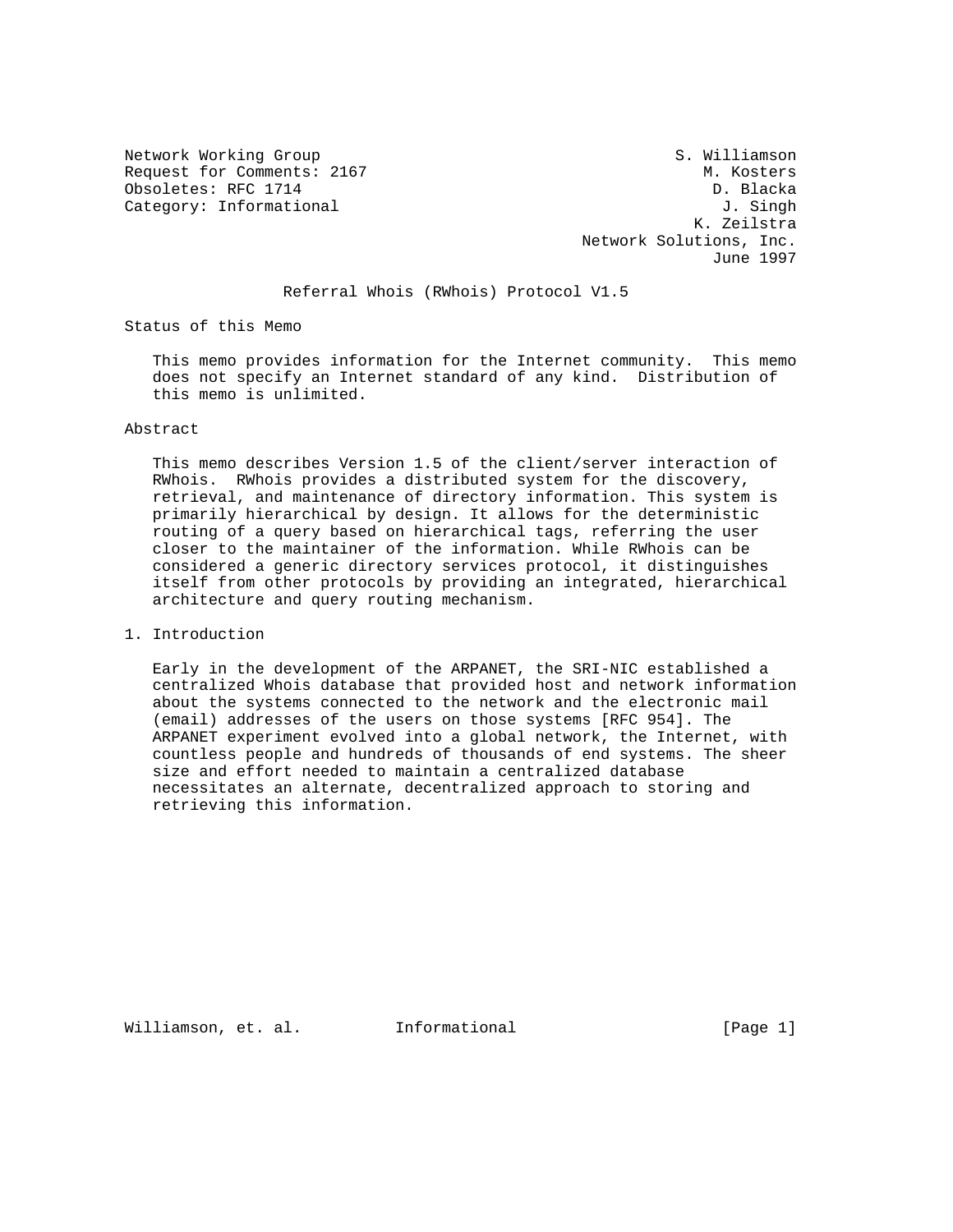Network Working Group S. Williamson Request for Comments: 2167<br>
Obsoletes: RFC 1714<br>
Obsoletes: RFC 1714 Obsoletes: RFC 1714 Category: Informational  $J.$  Singh

 K. Zeilstra Network Solutions, Inc. June 1997

Referral Whois (RWhois) Protocol V1.5

Status of this Memo

 This memo provides information for the Internet community. This memo does not specify an Internet standard of any kind. Distribution of this memo is unlimited.

## Abstract

 This memo describes Version 1.5 of the client/server interaction of RWhois. RWhois provides a distributed system for the discovery, retrieval, and maintenance of directory information. This system is primarily hierarchical by design. It allows for the deterministic routing of a query based on hierarchical tags, referring the user closer to the maintainer of the information. While RWhois can be considered a generic directory services protocol, it distinguishes itself from other protocols by providing an integrated, hierarchical architecture and query routing mechanism.

1. Introduction

 Early in the development of the ARPANET, the SRI-NIC established a centralized Whois database that provided host and network information about the systems connected to the network and the electronic mail (email) addresses of the users on those systems [RFC 954]. The ARPANET experiment evolved into a global network, the Internet, with countless people and hundreds of thousands of end systems. The sheer size and effort needed to maintain a centralized database necessitates an alternate, decentralized approach to storing and retrieving this information.

Williamson, et. al. Informational [Page 1]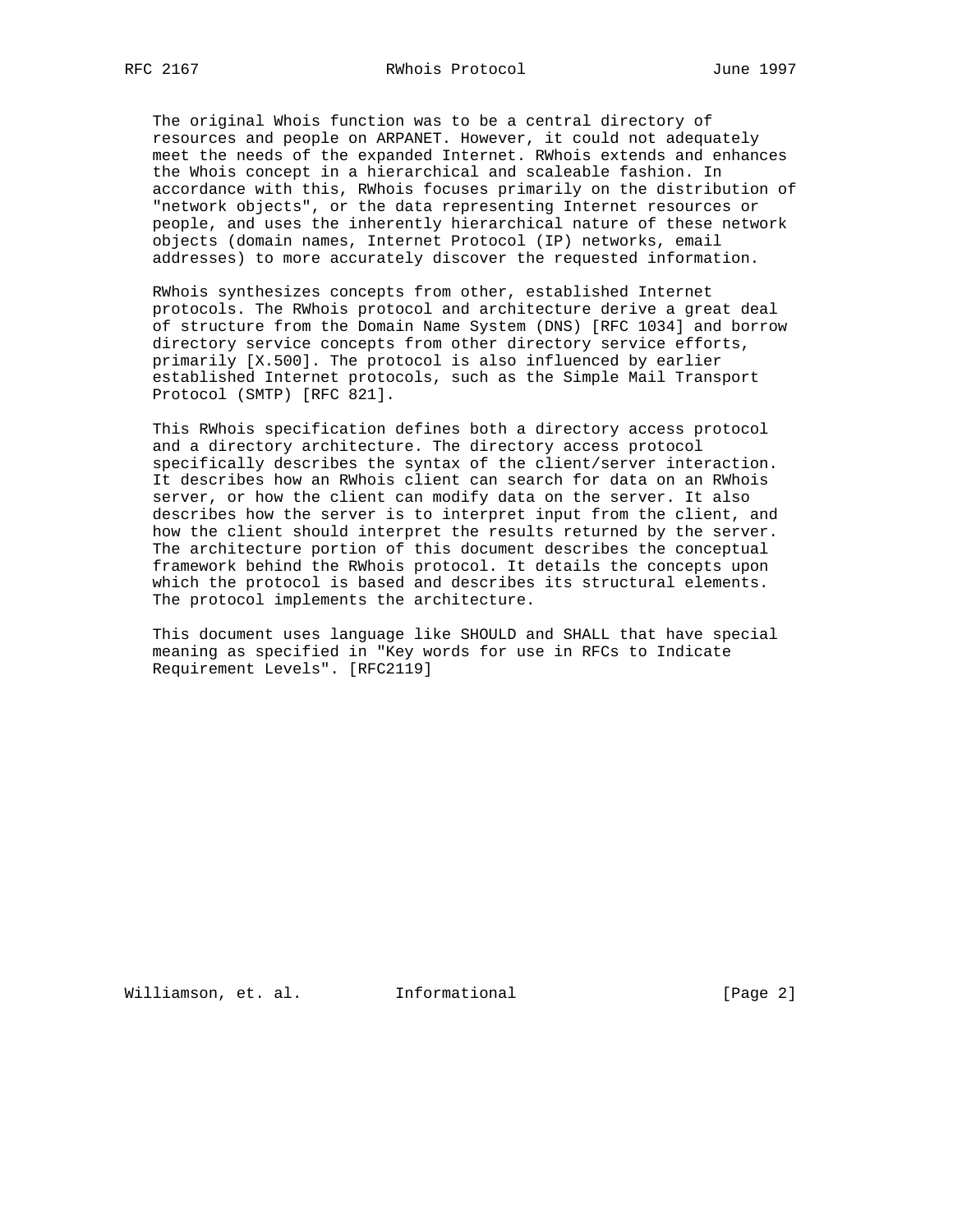The original Whois function was to be a central directory of resources and people on ARPANET. However, it could not adequately meet the needs of the expanded Internet. RWhois extends and enhances the Whois concept in a hierarchical and scaleable fashion. In accordance with this, RWhois focuses primarily on the distribution of "network objects", or the data representing Internet resources or people, and uses the inherently hierarchical nature of these network objects (domain names, Internet Protocol (IP) networks, email addresses) to more accurately discover the requested information.

 RWhois synthesizes concepts from other, established Internet protocols. The RWhois protocol and architecture derive a great deal of structure from the Domain Name System (DNS) [RFC 1034] and borrow directory service concepts from other directory service efforts, primarily [X.500]. The protocol is also influenced by earlier established Internet protocols, such as the Simple Mail Transport Protocol (SMTP) [RFC 821].

 This RWhois specification defines both a directory access protocol and a directory architecture. The directory access protocol specifically describes the syntax of the client/server interaction. It describes how an RWhois client can search for data on an RWhois server, or how the client can modify data on the server. It also describes how the server is to interpret input from the client, and how the client should interpret the results returned by the server. The architecture portion of this document describes the conceptual framework behind the RWhois protocol. It details the concepts upon which the protocol is based and describes its structural elements. The protocol implements the architecture.

 This document uses language like SHOULD and SHALL that have special meaning as specified in "Key words for use in RFCs to Indicate Requirement Levels". [RFC2119]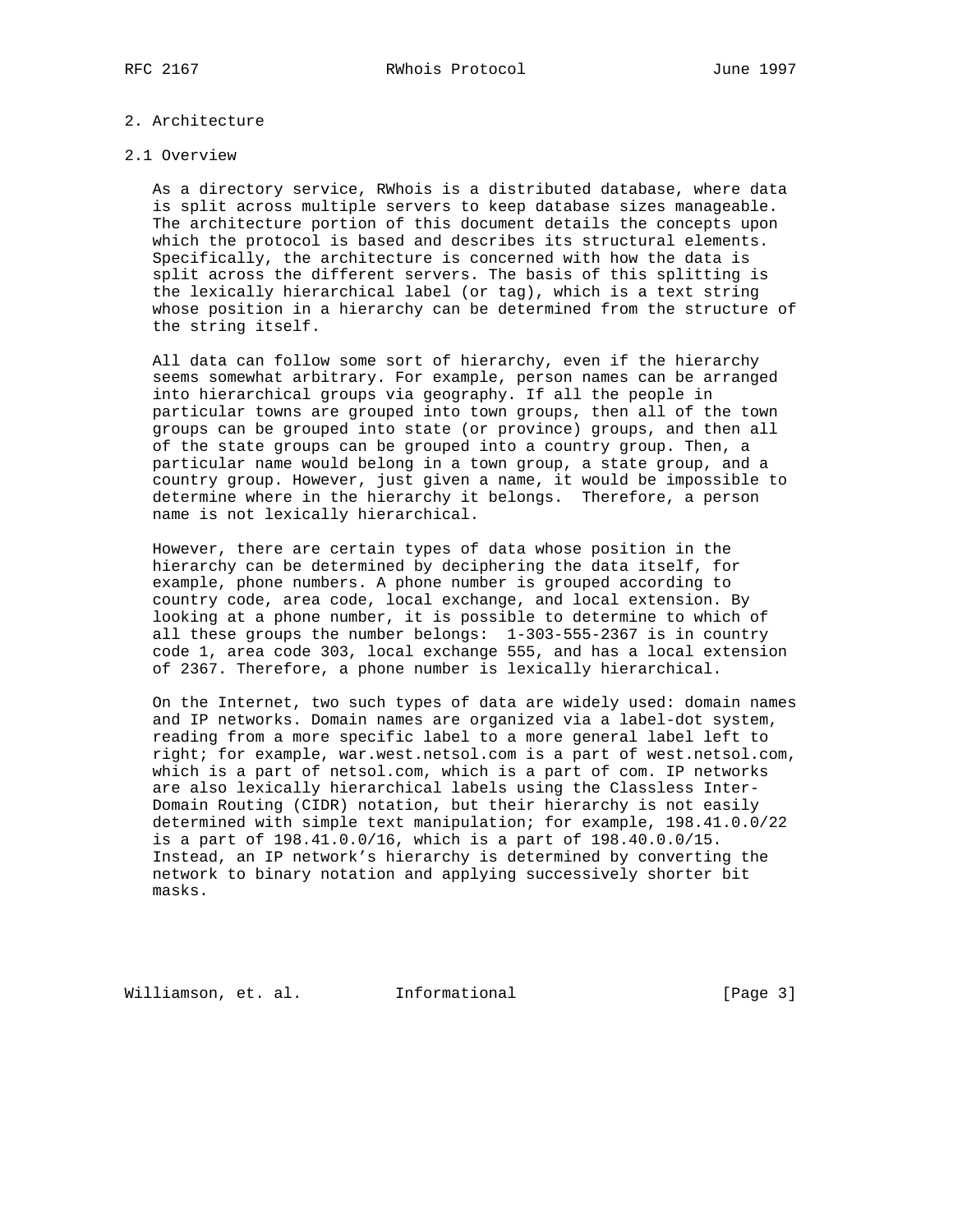# 2. Architecture

### 2.1 Overview

 As a directory service, RWhois is a distributed database, where data is split across multiple servers to keep database sizes manageable. The architecture portion of this document details the concepts upon which the protocol is based and describes its structural elements. Specifically, the architecture is concerned with how the data is split across the different servers. The basis of this splitting is the lexically hierarchical label (or tag), which is a text string whose position in a hierarchy can be determined from the structure of the string itself.

 All data can follow some sort of hierarchy, even if the hierarchy seems somewhat arbitrary. For example, person names can be arranged into hierarchical groups via geography. If all the people in particular towns are grouped into town groups, then all of the town groups can be grouped into state (or province) groups, and then all of the state groups can be grouped into a country group. Then, a particular name would belong in a town group, a state group, and a country group. However, just given a name, it would be impossible to determine where in the hierarchy it belongs. Therefore, a person name is not lexically hierarchical.

 However, there are certain types of data whose position in the hierarchy can be determined by deciphering the data itself, for example, phone numbers. A phone number is grouped according to country code, area code, local exchange, and local extension. By looking at a phone number, it is possible to determine to which of all these groups the number belongs: 1-303-555-2367 is in country code 1, area code 303, local exchange 555, and has a local extension of 2367. Therefore, a phone number is lexically hierarchical.

 On the Internet, two such types of data are widely used: domain names and IP networks. Domain names are organized via a label-dot system, reading from a more specific label to a more general label left to right; for example, war.west.netsol.com is a part of west.netsol.com, which is a part of netsol.com, which is a part of com. IP networks are also lexically hierarchical labels using the Classless Inter- Domain Routing (CIDR) notation, but their hierarchy is not easily determined with simple text manipulation; for example, 198.41.0.0/22 is a part of 198.41.0.0/16, which is a part of 198.40.0.0/15. Instead, an IP network's hierarchy is determined by converting the network to binary notation and applying successively shorter bit masks.

Williamson, et. al. Informational [Page 3]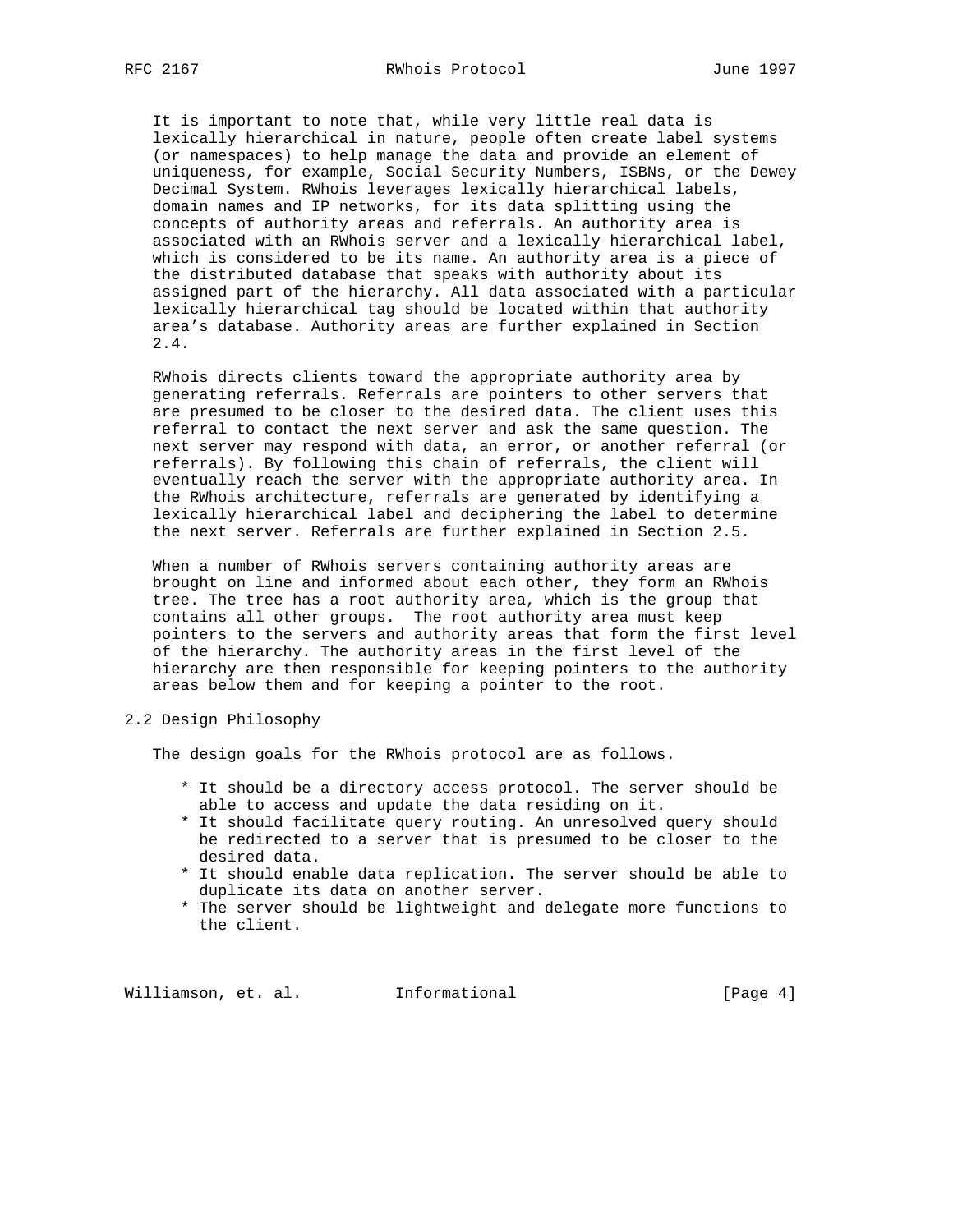It is important to note that, while very little real data is lexically hierarchical in nature, people often create label systems (or namespaces) to help manage the data and provide an element of uniqueness, for example, Social Security Numbers, ISBNs, or the Dewey Decimal System. RWhois leverages lexically hierarchical labels, domain names and IP networks, for its data splitting using the concepts of authority areas and referrals. An authority area is associated with an RWhois server and a lexically hierarchical label, which is considered to be its name. An authority area is a piece of the distributed database that speaks with authority about its assigned part of the hierarchy. All data associated with a particular lexically hierarchical tag should be located within that authority area's database. Authority areas are further explained in Section 2.4.

 RWhois directs clients toward the appropriate authority area by generating referrals. Referrals are pointers to other servers that are presumed to be closer to the desired data. The client uses this referral to contact the next server and ask the same question. The next server may respond with data, an error, or another referral (or referrals). By following this chain of referrals, the client will eventually reach the server with the appropriate authority area. In the RWhois architecture, referrals are generated by identifying a lexically hierarchical label and deciphering the label to determine the next server. Referrals are further explained in Section 2.5.

 When a number of RWhois servers containing authority areas are brought on line and informed about each other, they form an RWhois tree. The tree has a root authority area, which is the group that contains all other groups. The root authority area must keep pointers to the servers and authority areas that form the first level of the hierarchy. The authority areas in the first level of the hierarchy are then responsible for keeping pointers to the authority areas below them and for keeping a pointer to the root.

2.2 Design Philosophy

The design goals for the RWhois protocol are as follows.

- \* It should be a directory access protocol. The server should be able to access and update the data residing on it.
- \* It should facilitate query routing. An unresolved query should be redirected to a server that is presumed to be closer to the desired data.
- \* It should enable data replication. The server should be able to duplicate its data on another server.
- \* The server should be lightweight and delegate more functions to the client.

Williamson, et. al. 1nformational 1999 [Page 4]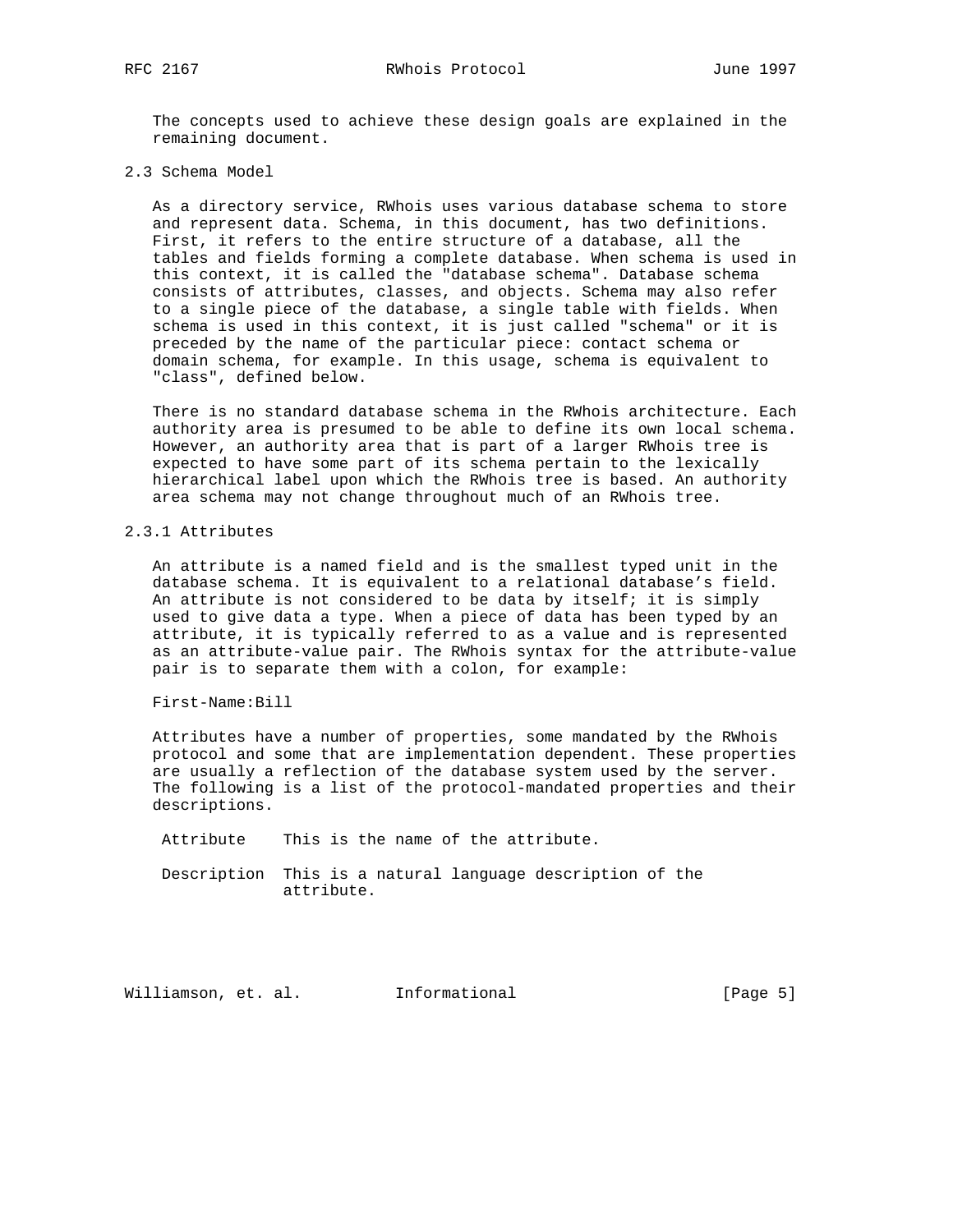The concepts used to achieve these design goals are explained in the remaining document.

2.3 Schema Model

 As a directory service, RWhois uses various database schema to store and represent data. Schema, in this document, has two definitions. First, it refers to the entire structure of a database, all the tables and fields forming a complete database. When schema is used in this context, it is called the "database schema". Database schema consists of attributes, classes, and objects. Schema may also refer to a single piece of the database, a single table with fields. When schema is used in this context, it is just called "schema" or it is preceded by the name of the particular piece: contact schema or domain schema, for example. In this usage, schema is equivalent to "class", defined below.

 There is no standard database schema in the RWhois architecture. Each authority area is presumed to be able to define its own local schema. However, an authority area that is part of a larger RWhois tree is expected to have some part of its schema pertain to the lexically hierarchical label upon which the RWhois tree is based. An authority area schema may not change throughout much of an RWhois tree.

## 2.3.1 Attributes

 An attribute is a named field and is the smallest typed unit in the database schema. It is equivalent to a relational database's field. An attribute is not considered to be data by itself; it is simply used to give data a type. When a piece of data has been typed by an attribute, it is typically referred to as a value and is represented as an attribute-value pair. The RWhois syntax for the attribute-value pair is to separate them with a colon, for example:

First-Name:Bill

 Attributes have a number of properties, some mandated by the RWhois protocol and some that are implementation dependent. These properties are usually a reflection of the database system used by the server. The following is a list of the protocol-mandated properties and their descriptions.

Attribute This is the name of the attribute.

 Description This is a natural language description of the attribute.

Williamson, et. al. Informational [Page 5]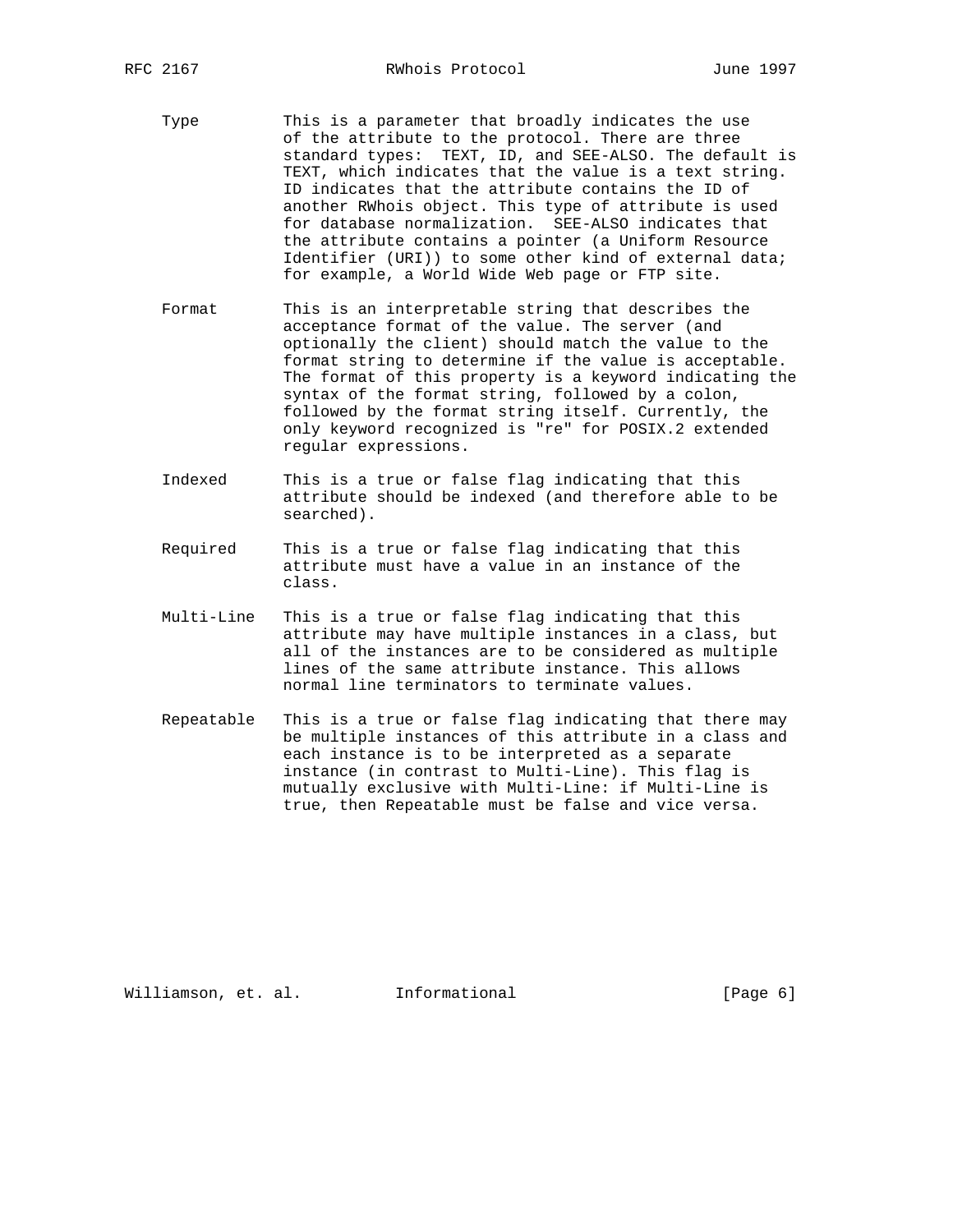- Type This is a parameter that broadly indicates the use of the attribute to the protocol. There are three standard types: TEXT, ID, and SEE-ALSO. The default is TEXT, which indicates that the value is a text string. ID indicates that the attribute contains the ID of another RWhois object. This type of attribute is used for database normalization. SEE-ALSO indicates that the attribute contains a pointer (a Uniform Resource Identifier (URI)) to some other kind of external data; for example, a World Wide Web page or FTP site.
- Format This is an interpretable string that describes the acceptance format of the value. The server (and optionally the client) should match the value to the format string to determine if the value is acceptable. The format of this property is a keyword indicating the syntax of the format string, followed by a colon, followed by the format string itself. Currently, the only keyword recognized is "re" for POSIX.2 extended regular expressions.
- Indexed This is a true or false flag indicating that this attribute should be indexed (and therefore able to be searched).
- Required This is a true or false flag indicating that this attribute must have a value in an instance of the class.
- Multi-Line This is a true or false flag indicating that this attribute may have multiple instances in a class, but all of the instances are to be considered as multiple lines of the same attribute instance. This allows normal line terminators to terminate values.
- Repeatable This is a true or false flag indicating that there may be multiple instances of this attribute in a class and each instance is to be interpreted as a separate instance (in contrast to Multi-Line). This flag is mutually exclusive with Multi-Line: if Multi-Line is true, then Repeatable must be false and vice versa.

Williamson, et. al. Informational [Page 6]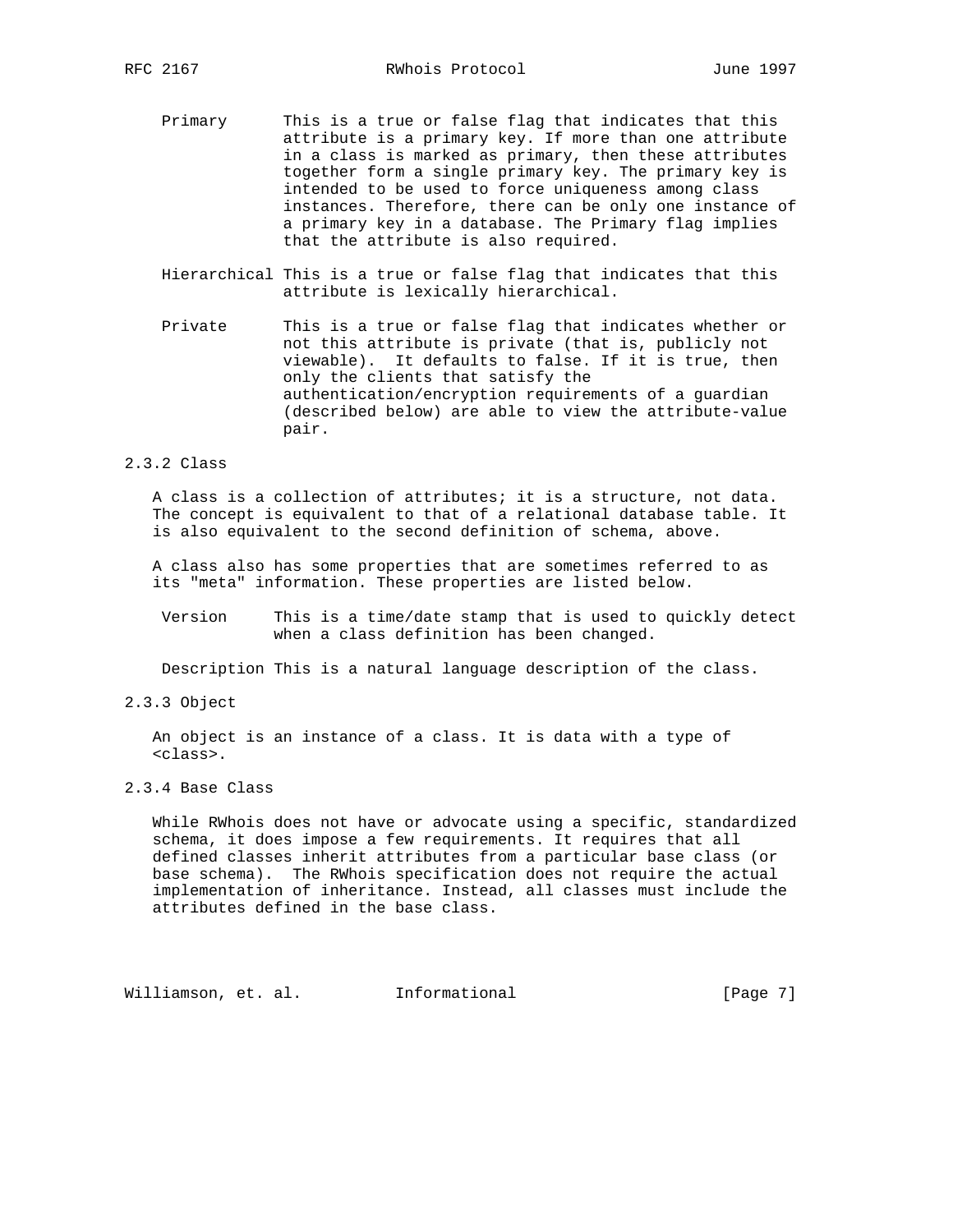- Primary This is a true or false flag that indicates that this attribute is a primary key. If more than one attribute in a class is marked as primary, then these attributes together form a single primary key. The primary key is intended to be used to force uniqueness among class instances. Therefore, there can be only one instance of a primary key in a database. The Primary flag implies that the attribute is also required.
- Hierarchical This is a true or false flag that indicates that this attribute is lexically hierarchical.
- Private This is a true or false flag that indicates whether or not this attribute is private (that is, publicly not viewable). It defaults to false. If it is true, then only the clients that satisfy the authentication/encryption requirements of a guardian (described below) are able to view the attribute-value pair.

## 2.3.2 Class

 A class is a collection of attributes; it is a structure, not data. The concept is equivalent to that of a relational database table. It is also equivalent to the second definition of schema, above.

 A class also has some properties that are sometimes referred to as its "meta" information. These properties are listed below.

 Version This is a time/date stamp that is used to quickly detect when a class definition has been changed.

Description This is a natural language description of the class.

2.3.3 Object

 An object is an instance of a class. It is data with a type of <class>.

## 2.3.4 Base Class

 While RWhois does not have or advocate using a specific, standardized schema, it does impose a few requirements. It requires that all defined classes inherit attributes from a particular base class (or base schema). The RWhois specification does not require the actual implementation of inheritance. Instead, all classes must include the attributes defined in the base class.

Williamson, et. al. Informational [Page 7]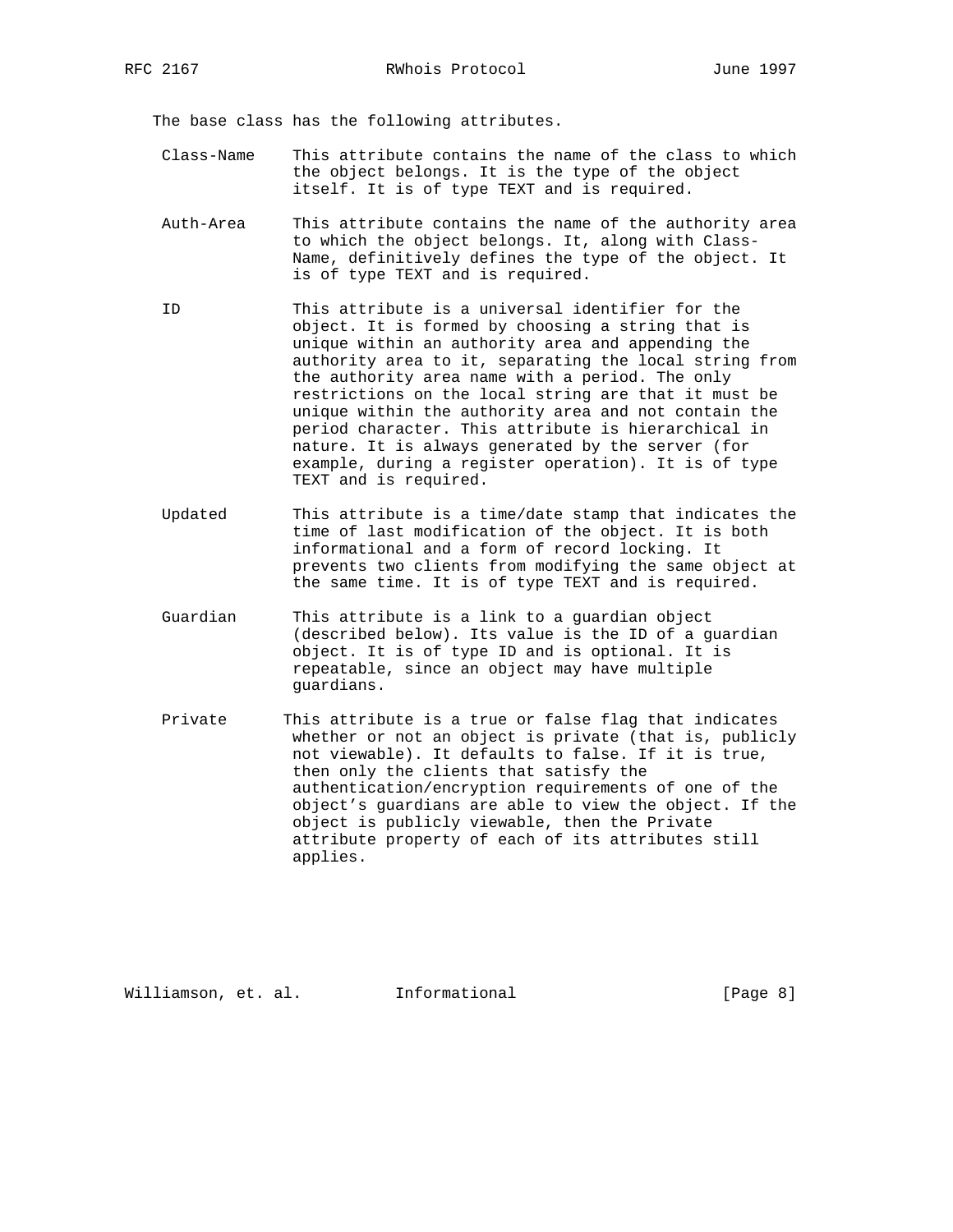The base class has the following attributes.

- Class-Name This attribute contains the name of the class to which the object belongs. It is the type of the object itself. It is of type TEXT and is required.
- Auth-Area This attribute contains the name of the authority area to which the object belongs. It, along with Class- Name, definitively defines the type of the object. It is of type TEXT and is required.
- ID This attribute is a universal identifier for the object. It is formed by choosing a string that is unique within an authority area and appending the authority area to it, separating the local string from the authority area name with a period. The only restrictions on the local string are that it must be unique within the authority area and not contain the period character. This attribute is hierarchical in nature. It is always generated by the server (for example, during a register operation). It is of type TEXT and is required.
- Updated This attribute is a time/date stamp that indicates the time of last modification of the object. It is both informational and a form of record locking. It prevents two clients from modifying the same object at the same time. It is of type TEXT and is required.
- Guardian This attribute is a link to a guardian object (described below). Its value is the ID of a guardian object. It is of type ID and is optional. It is repeatable, since an object may have multiple guardians.
- Private This attribute is a true or false flag that indicates whether or not an object is private (that is, publicly not viewable). It defaults to false. If it is true, then only the clients that satisfy the authentication/encryption requirements of one of the object's guardians are able to view the object. If the object is publicly viewable, then the Private attribute property of each of its attributes still applies.

Williamson, et. al. Informational [Page 8]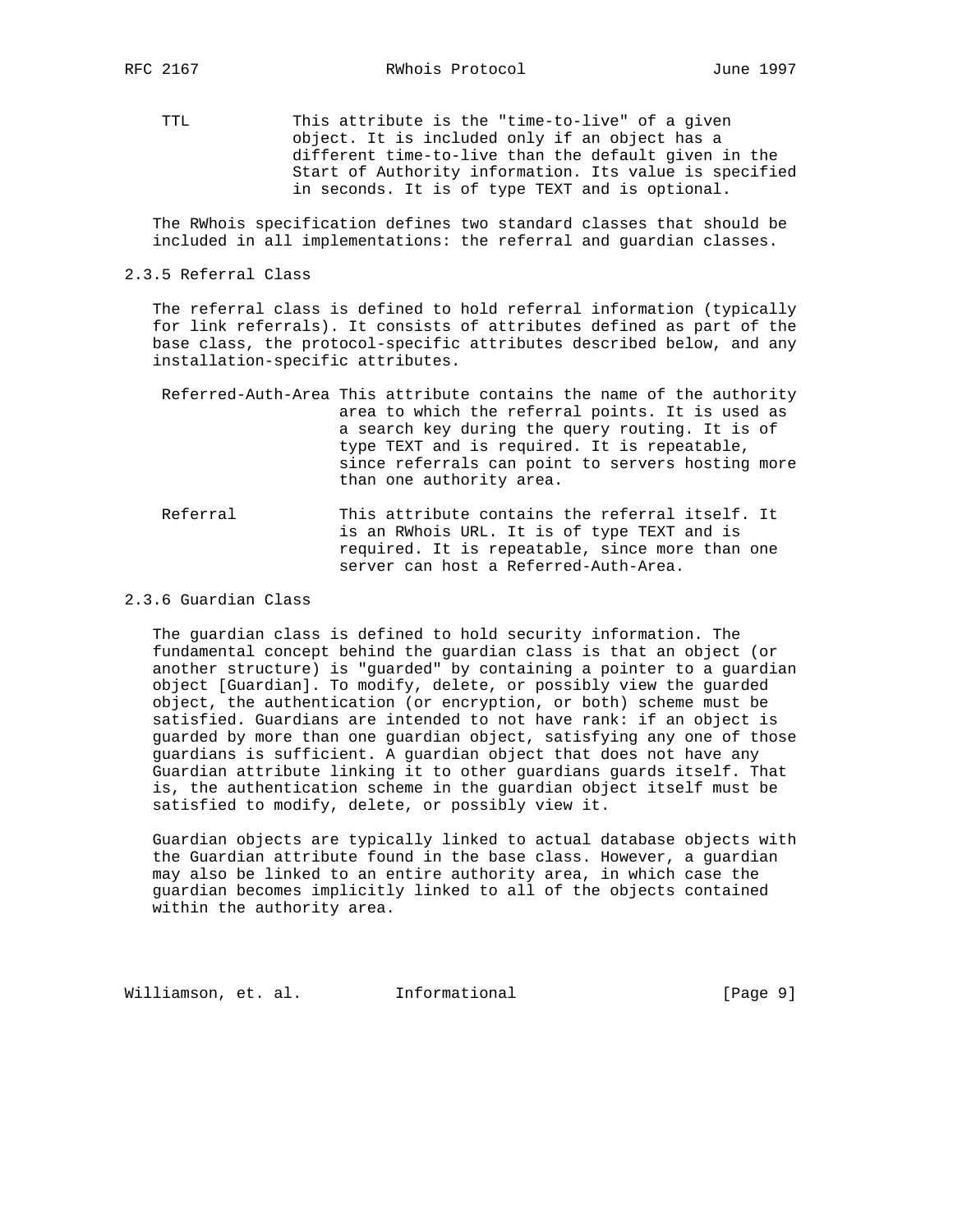TTL This attribute is the "time-to-live" of a given object. It is included only if an object has a different time-to-live than the default given in the Start of Authority information. Its value is specified in seconds. It is of type TEXT and is optional.

 The RWhois specification defines two standard classes that should be included in all implementations: the referral and guardian classes.

2.3.5 Referral Class

 The referral class is defined to hold referral information (typically for link referrals). It consists of attributes defined as part of the base class, the protocol-specific attributes described below, and any installation-specific attributes.

- Referred-Auth-Area This attribute contains the name of the authority area to which the referral points. It is used as a search key during the query routing. It is of type TEXT and is required. It is repeatable, since referrals can point to servers hosting more than one authority area.
- Referral This attribute contains the referral itself. It is an RWhois URL. It is of type TEXT and is required. It is repeatable, since more than one server can host a Referred-Auth-Area.
- 2.3.6 Guardian Class

 The guardian class is defined to hold security information. The fundamental concept behind the guardian class is that an object (or another structure) is "guarded" by containing a pointer to a guardian object [Guardian]. To modify, delete, or possibly view the guarded object, the authentication (or encryption, or both) scheme must be satisfied. Guardians are intended to not have rank: if an object is guarded by more than one guardian object, satisfying any one of those guardians is sufficient. A guardian object that does not have any Guardian attribute linking it to other guardians guards itself. That is, the authentication scheme in the guardian object itself must be satisfied to modify, delete, or possibly view it.

 Guardian objects are typically linked to actual database objects with the Guardian attribute found in the base class. However, a guardian may also be linked to an entire authority area, in which case the guardian becomes implicitly linked to all of the objects contained within the authority area.

Williamson, et. al. Informational [Page 9]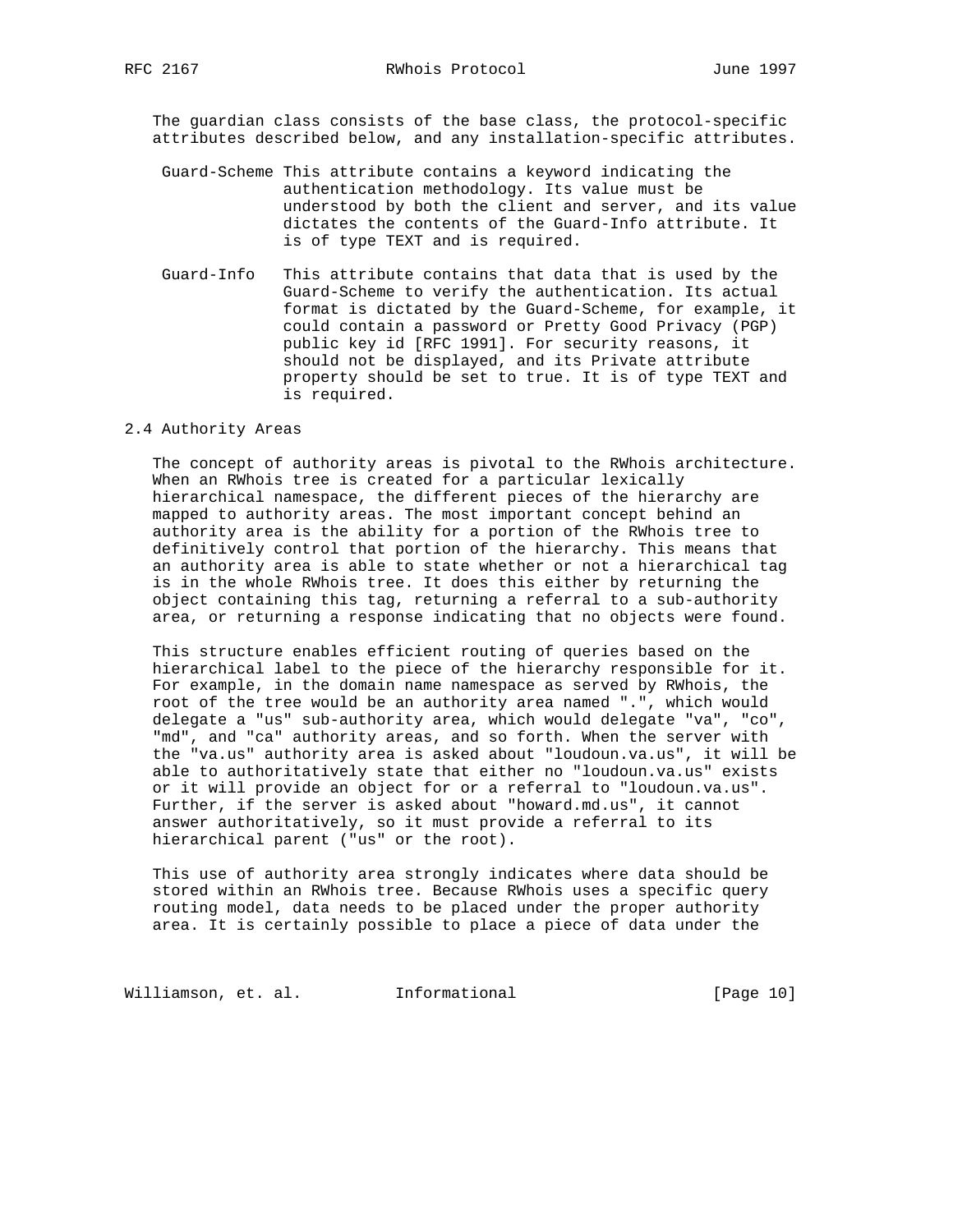The guardian class consists of the base class, the protocol-specific attributes described below, and any installation-specific attributes.

- Guard-Scheme This attribute contains a keyword indicating the authentication methodology. Its value must be understood by both the client and server, and its value dictates the contents of the Guard-Info attribute. It is of type TEXT and is required.
- Guard-Info This attribute contains that data that is used by the Guard-Scheme to verify the authentication. Its actual format is dictated by the Guard-Scheme, for example, it could contain a password or Pretty Good Privacy (PGP) public key id [RFC 1991]. For security reasons, it should not be displayed, and its Private attribute property should be set to true. It is of type TEXT and is required.

### 2.4 Authority Areas

 The concept of authority areas is pivotal to the RWhois architecture. When an RWhois tree is created for a particular lexically hierarchical namespace, the different pieces of the hierarchy are mapped to authority areas. The most important concept behind an authority area is the ability for a portion of the RWhois tree to definitively control that portion of the hierarchy. This means that an authority area is able to state whether or not a hierarchical tag is in the whole RWhois tree. It does this either by returning the object containing this tag, returning a referral to a sub-authority area, or returning a response indicating that no objects were found.

 This structure enables efficient routing of queries based on the hierarchical label to the piece of the hierarchy responsible for it. For example, in the domain name namespace as served by RWhois, the root of the tree would be an authority area named ".", which would delegate a "us" sub-authority area, which would delegate "va", "co", "md", and "ca" authority areas, and so forth. When the server with the "va.us" authority area is asked about "loudoun.va.us", it will be able to authoritatively state that either no "loudoun.va.us" exists or it will provide an object for or a referral to "loudoun.va.us". Further, if the server is asked about "howard.md.us", it cannot answer authoritatively, so it must provide a referral to its hierarchical parent ("us" or the root).

 This use of authority area strongly indicates where data should be stored within an RWhois tree. Because RWhois uses a specific query routing model, data needs to be placed under the proper authority area. It is certainly possible to place a piece of data under the

Williamson, et. al. 1nformational [Page 10]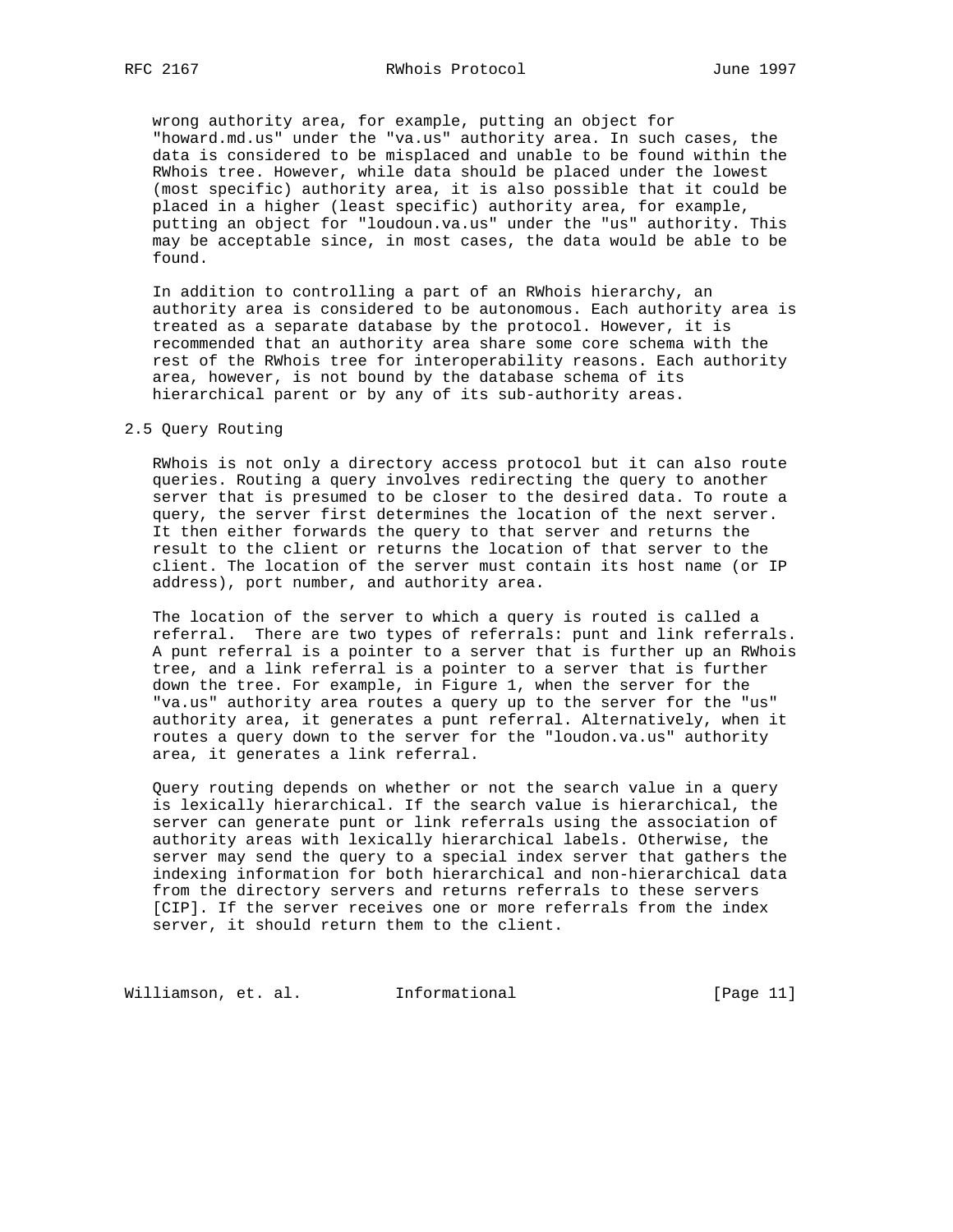wrong authority area, for example, putting an object for "howard.md.us" under the "va.us" authority area. In such cases, the data is considered to be misplaced and unable to be found within the RWhois tree. However, while data should be placed under the lowest (most specific) authority area, it is also possible that it could be placed in a higher (least specific) authority area, for example, putting an object for "loudoun.va.us" under the "us" authority. This may be acceptable since, in most cases, the data would be able to be found.

 In addition to controlling a part of an RWhois hierarchy, an authority area is considered to be autonomous. Each authority area is treated as a separate database by the protocol. However, it is recommended that an authority area share some core schema with the rest of the RWhois tree for interoperability reasons. Each authority area, however, is not bound by the database schema of its hierarchical parent or by any of its sub-authority areas.

### 2.5 Query Routing

 RWhois is not only a directory access protocol but it can also route queries. Routing a query involves redirecting the query to another server that is presumed to be closer to the desired data. To route a query, the server first determines the location of the next server. It then either forwards the query to that server and returns the result to the client or returns the location of that server to the client. The location of the server must contain its host name (or IP address), port number, and authority area.

 The location of the server to which a query is routed is called a referral. There are two types of referrals: punt and link referrals. A punt referral is a pointer to a server that is further up an RWhois tree, and a link referral is a pointer to a server that is further down the tree. For example, in Figure 1, when the server for the "va.us" authority area routes a query up to the server for the "us" authority area, it generates a punt referral. Alternatively, when it routes a query down to the server for the "loudon.va.us" authority area, it generates a link referral.

 Query routing depends on whether or not the search value in a query is lexically hierarchical. If the search value is hierarchical, the server can generate punt or link referrals using the association of authority areas with lexically hierarchical labels. Otherwise, the server may send the query to a special index server that gathers the indexing information for both hierarchical and non-hierarchical data from the directory servers and returns referrals to these servers [CIP]. If the server receives one or more referrals from the index server, it should return them to the client.

Williamson, et. al. 1nformational 1999 [Page 11]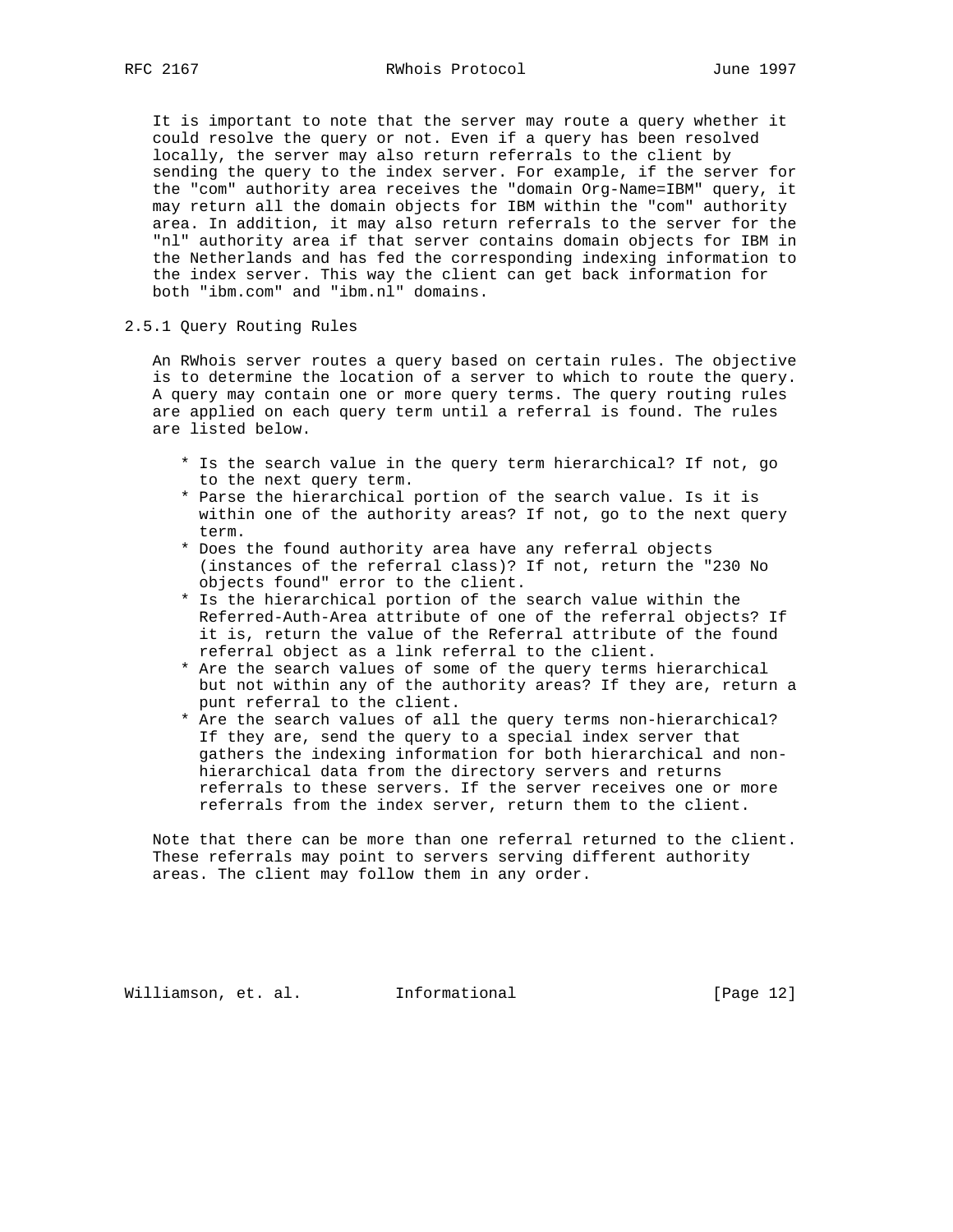It is important to note that the server may route a query whether it could resolve the query or not. Even if a query has been resolved locally, the server may also return referrals to the client by sending the query to the index server. For example, if the server for the "com" authority area receives the "domain Org-Name=IBM" query, it may return all the domain objects for IBM within the "com" authority area. In addition, it may also return referrals to the server for the "nl" authority area if that server contains domain objects for IBM in the Netherlands and has fed the corresponding indexing information to the index server. This way the client can get back information for both "ibm.com" and "ibm.nl" domains.

# 2.5.1 Query Routing Rules

 An RWhois server routes a query based on certain rules. The objective is to determine the location of a server to which to route the query. A query may contain one or more query terms. The query routing rules are applied on each query term until a referral is found. The rules are listed below.

- \* Is the search value in the query term hierarchical? If not, go to the next query term.
- \* Parse the hierarchical portion of the search value. Is it is within one of the authority areas? If not, go to the next query term.
- \* Does the found authority area have any referral objects (instances of the referral class)? If not, return the "230 No objects found" error to the client.
- \* Is the hierarchical portion of the search value within the Referred-Auth-Area attribute of one of the referral objects? If it is, return the value of the Referral attribute of the found referral object as a link referral to the client.
- \* Are the search values of some of the query terms hierarchical but not within any of the authority areas? If they are, return a punt referral to the client.
- \* Are the search values of all the query terms non-hierarchical? If they are, send the query to a special index server that gathers the indexing information for both hierarchical and non hierarchical data from the directory servers and returns referrals to these servers. If the server receives one or more referrals from the index server, return them to the client.

 Note that there can be more than one referral returned to the client. These referrals may point to servers serving different authority areas. The client may follow them in any order.

Williamson, et. al. Informational [Page 12]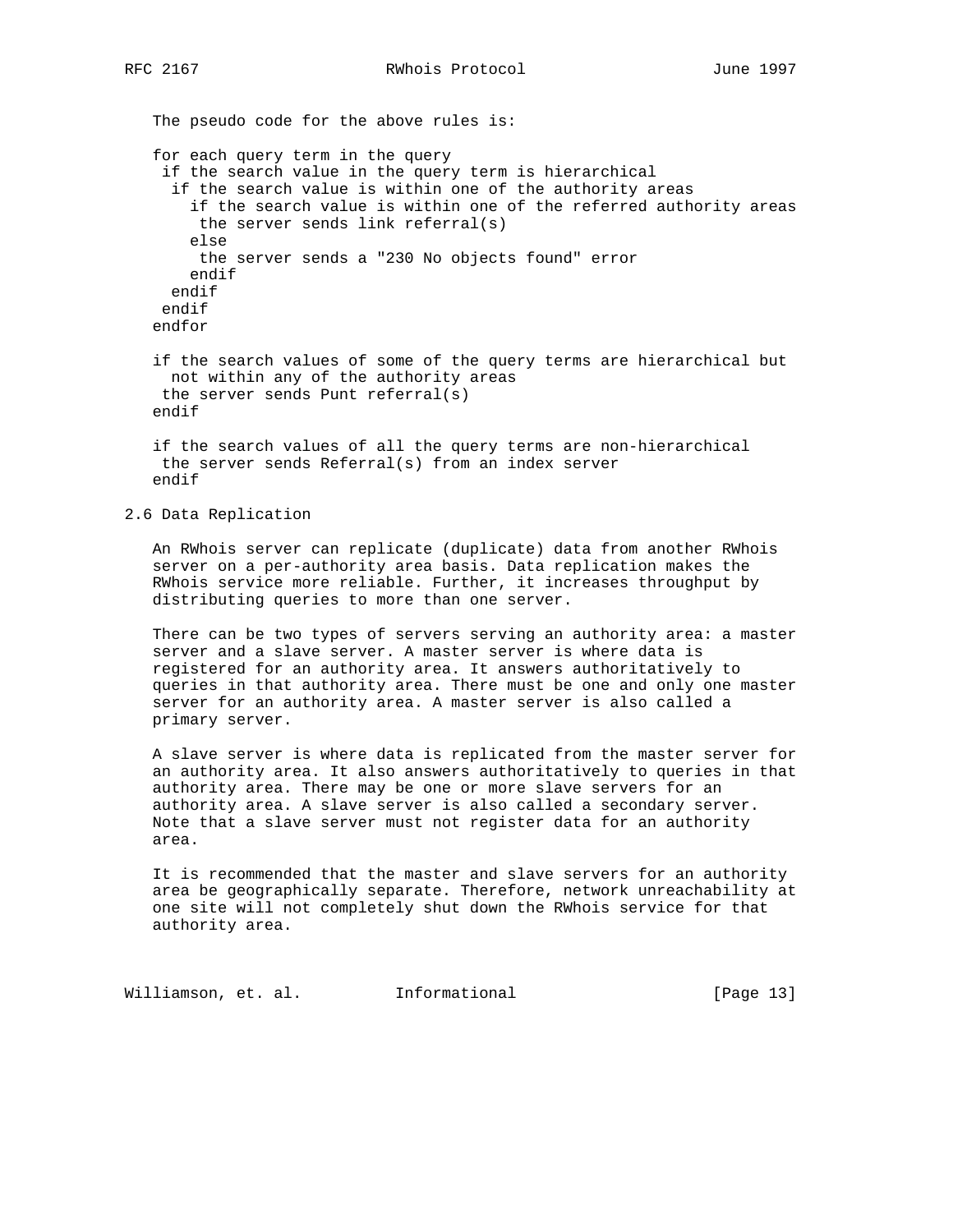The pseudo code for the above rules is: for each query term in the query if the search value in the query term is hierarchical if the search value is within one of the authority areas if the search value is within one of the referred authority areas the server sends link referral(s) else the server sends a "230 No objects found" error endif endif endif endfor if the search values of some of the query terms are hierarchical but

 not within any of the authority areas the server sends Punt referral(s) endif

 if the search values of all the query terms are non-hierarchical the server sends Referral(s) from an index server endif

## 2.6 Data Replication

 An RWhois server can replicate (duplicate) data from another RWhois server on a per-authority area basis. Data replication makes the RWhois service more reliable. Further, it increases throughput by distributing queries to more than one server.

 There can be two types of servers serving an authority area: a master server and a slave server. A master server is where data is registered for an authority area. It answers authoritatively to queries in that authority area. There must be one and only one master server for an authority area. A master server is also called a primary server.

 A slave server is where data is replicated from the master server for an authority area. It also answers authoritatively to queries in that authority area. There may be one or more slave servers for an authority area. A slave server is also called a secondary server. Note that a slave server must not register data for an authority area.

 It is recommended that the master and slave servers for an authority area be geographically separate. Therefore, network unreachability at one site will not completely shut down the RWhois service for that authority area.

Williamson, et. al. Informational [Page 13]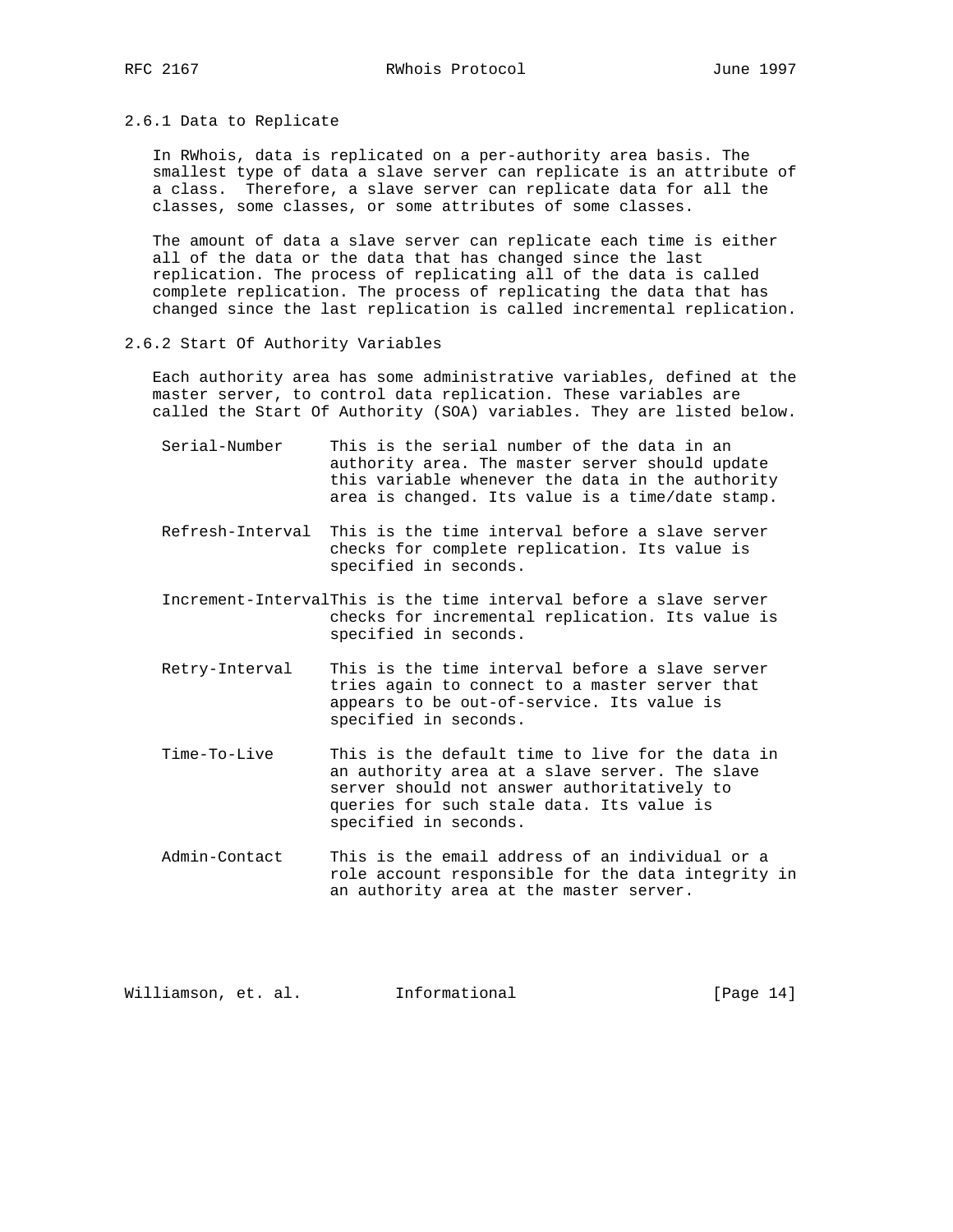2.6.1 Data to Replicate

 In RWhois, data is replicated on a per-authority area basis. The smallest type of data a slave server can replicate is an attribute of a class. Therefore, a slave server can replicate data for all the classes, some classes, or some attributes of some classes.

 The amount of data a slave server can replicate each time is either all of the data or the data that has changed since the last replication. The process of replicating all of the data is called complete replication. The process of replicating the data that has changed since the last replication is called incremental replication.

### 2.6.2 Start Of Authority Variables

 Each authority area has some administrative variables, defined at the master server, to control data replication. These variables are called the Start Of Authority (SOA) variables. They are listed below.

- Serial-Number This is the serial number of the data in an authority area. The master server should update this variable whenever the data in the authority area is changed. Its value is a time/date stamp.
- Refresh-Interval This is the time interval before a slave server checks for complete replication. Its value is specified in seconds.
- Increment-IntervalThis is the time interval before a slave server checks for incremental replication. Its value is specified in seconds.
- Retry-Interval This is the time interval before a slave server tries again to connect to a master server that appears to be out-of-service. Its value is specified in seconds.
- Time-To-Live This is the default time to live for the data in an authority area at a slave server. The slave server should not answer authoritatively to queries for such stale data. Its value is specified in seconds.
- Admin-Contact This is the email address of an individual or a role account responsible for the data integrity in an authority area at the master server.

Williamson, et. al. Informational [Page 14]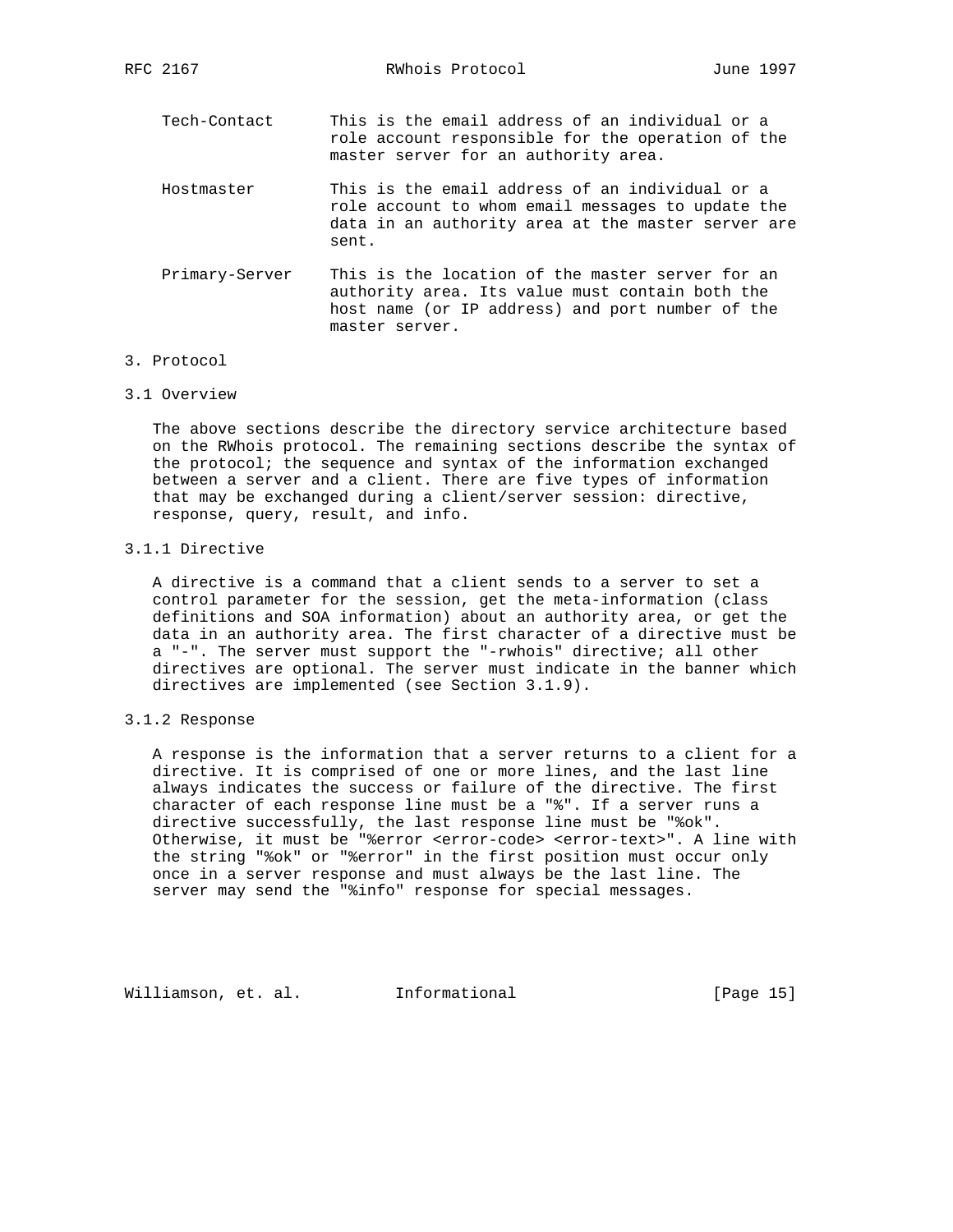Tech-Contact This is the email address of an individual or a role account responsible for the operation of the master server for an authority area.

- Hostmaster This is the email address of an individual or a role account to whom email messages to update the data in an authority area at the master server are sent.
- Primary-Server This is the location of the master server for an authority area. Its value must contain both the host name (or IP address) and port number of the master server.
- 3. Protocol
- 3.1 Overview

 The above sections describe the directory service architecture based on the RWhois protocol. The remaining sections describe the syntax of the protocol; the sequence and syntax of the information exchanged between a server and a client. There are five types of information that may be exchanged during a client/server session: directive, response, query, result, and info.

3.1.1 Directive

 A directive is a command that a client sends to a server to set a control parameter for the session, get the meta-information (class definitions and SOA information) about an authority area, or get the data in an authority area. The first character of a directive must be a "-". The server must support the "-rwhois" directive; all other directives are optional. The server must indicate in the banner which directives are implemented (see Section 3.1.9).

# 3.1.2 Response

 A response is the information that a server returns to a client for a directive. It is comprised of one or more lines, and the last line always indicates the success or failure of the directive. The first character of each response line must be a "%". If a server runs a directive successfully, the last response line must be "%ok". Otherwise, it must be "%error <error-code> <error-text>". A line with the string "%ok" or "%error" in the first position must occur only once in a server response and must always be the last line. The server may send the "%info" response for special messages.

Williamson, et. al. Informational [Page 15]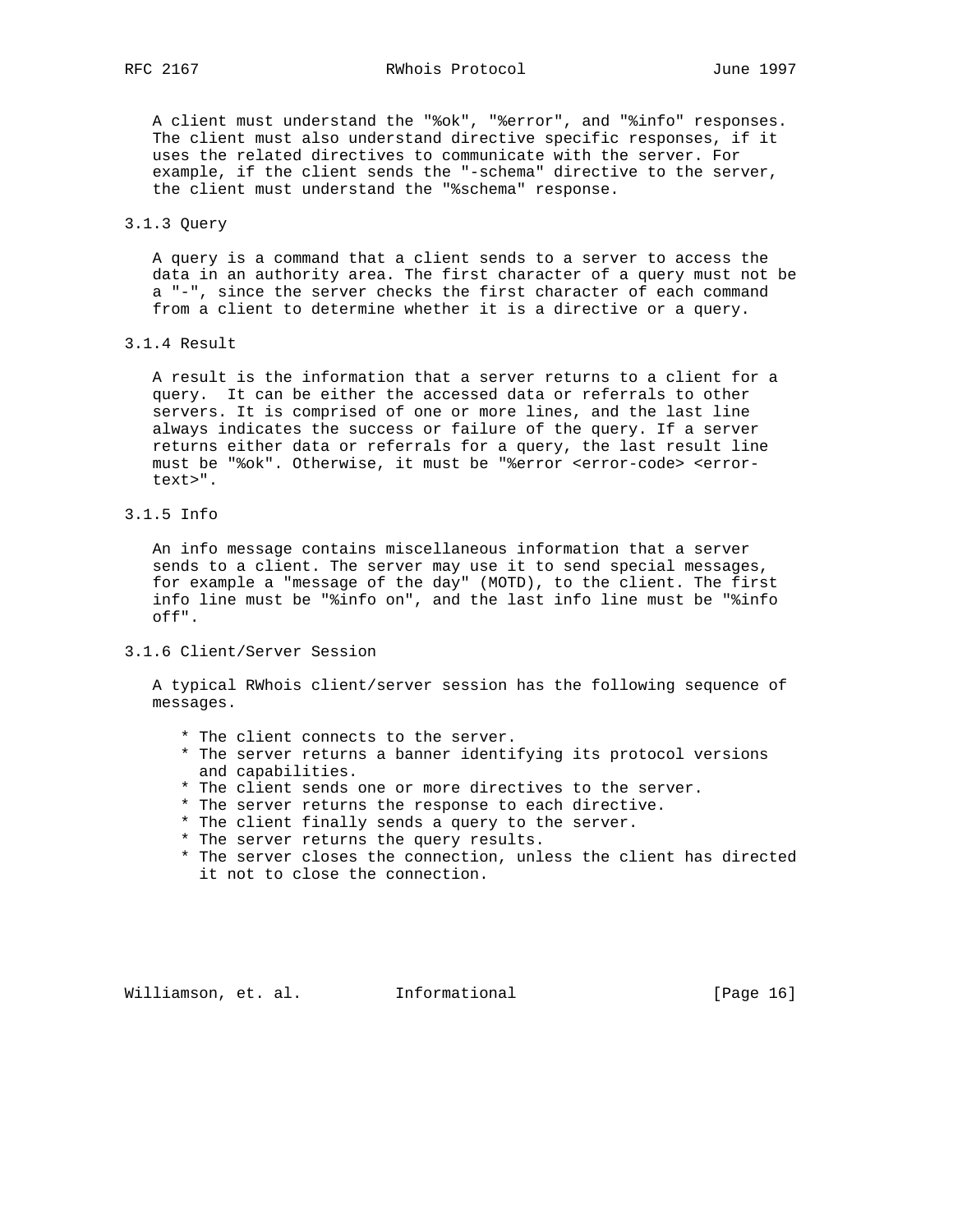A client must understand the "%ok", "%error", and "%info" responses. The client must also understand directive specific responses, if it uses the related directives to communicate with the server. For example, if the client sends the "-schema" directive to the server, the client must understand the "%schema" response.

## 3.1.3 Query

 A query is a command that a client sends to a server to access the data in an authority area. The first character of a query must not be a "-", since the server checks the first character of each command from a client to determine whether it is a directive or a query.

3.1.4 Result

 A result is the information that a server returns to a client for a query. It can be either the accessed data or referrals to other servers. It is comprised of one or more lines, and the last line always indicates the success or failure of the query. If a server returns either data or referrals for a query, the last result line must be "%ok". Otherwise, it must be "%error <error-code> <error text>".

3.1.5 Info

 An info message contains miscellaneous information that a server sends to a client. The server may use it to send special messages, for example a "message of the day" (MOTD), to the client. The first info line must be "%info on", and the last info line must be "%info off".

3.1.6 Client/Server Session

 A typical RWhois client/server session has the following sequence of messages.

- \* The client connects to the server.
- \* The server returns a banner identifying its protocol versions and capabilities.
- \* The client sends one or more directives to the server.
- \* The server returns the response to each directive.
- \* The client finally sends a query to the server.
- \* The server returns the query results.
- \* The server closes the connection, unless the client has directed it not to close the connection.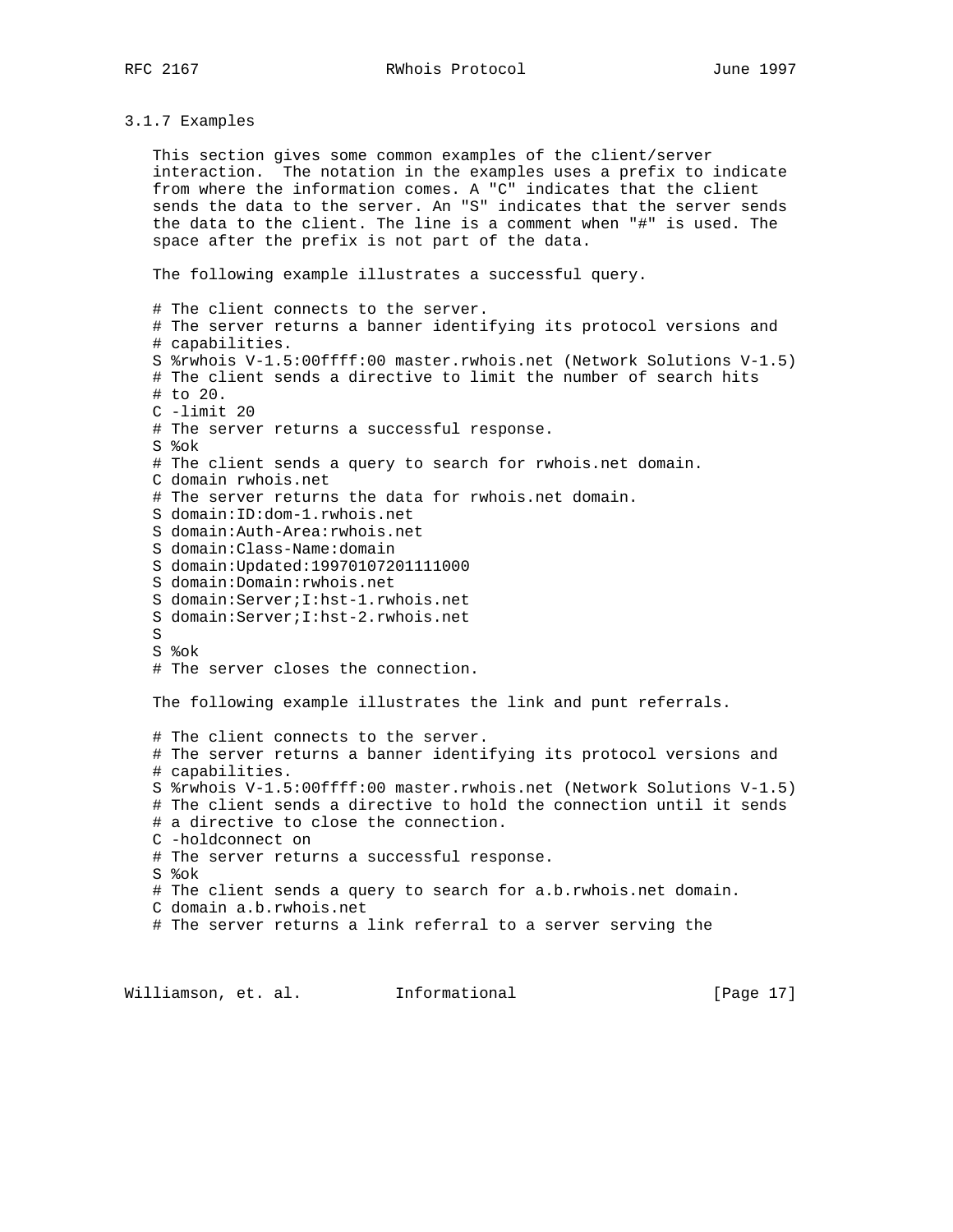3.1.7 Examples

 This section gives some common examples of the client/server interaction. The notation in the examples uses a prefix to indicate from where the information comes. A "C" indicates that the client sends the data to the server. An "S" indicates that the server sends the data to the client. The line is a comment when "#" is used. The space after the prefix is not part of the data.

The following example illustrates a successful query.

 # The client connects to the server. # The server returns a banner identifying its protocol versions and # capabilities. S %rwhois V-1.5:00ffff:00 master.rwhois.net (Network Solutions V-1.5) # The client sends a directive to limit the number of search hits # to 20. C -limit 20 # The server returns a successful response. S %ok # The client sends a query to search for rwhois.net domain. C domain rwhois.net # The server returns the data for rwhois.net domain. S domain:ID:dom-1.rwhois.net S domain:Auth-Area:rwhois.net S domain:Class-Name:domain S domain:Updated:19970107201111000 S domain:Domain:rwhois.net S domain:Server;I:hst-1.rwhois.net S domain:Server;I:hst-2.rwhois.net S S %ok # The server closes the connection. The following example illustrates the link and punt referrals. # The client connects to the server. # The server returns a banner identifying its protocol versions and # capabilities. S %rwhois V-1.5:00ffff:00 master.rwhois.net (Network Solutions V-1.5) # The client sends a directive to hold the connection until it sends # a directive to close the connection. C -holdconnect on # The server returns a successful response. S %ok # The client sends a query to search for a.b.rwhois.net domain. C domain a.b.rwhois.net # The server returns a link referral to a server serving the

Williamson, et. al. Informational [Page 17]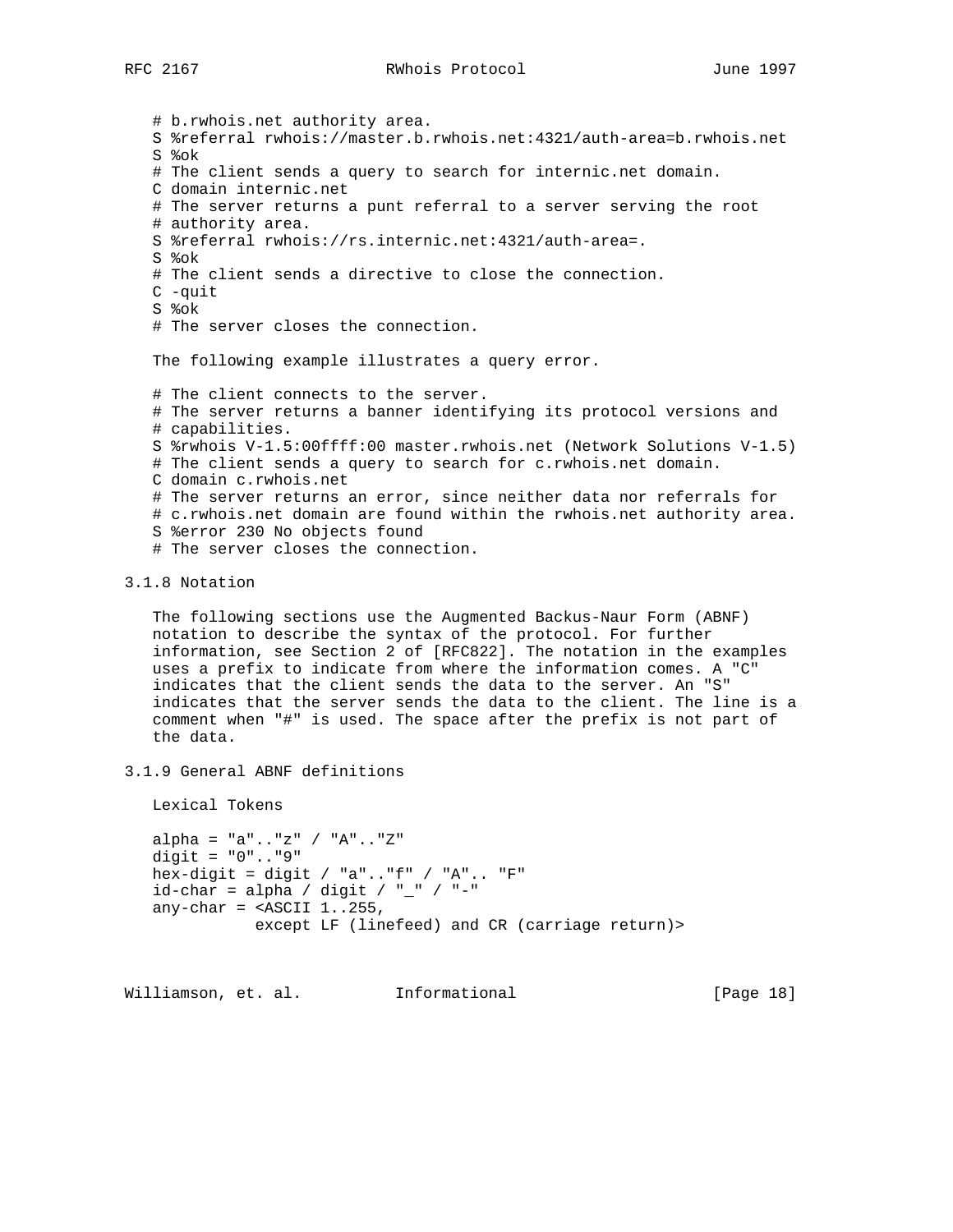# b.rwhois.net authority area. S %referral rwhois://master.b.rwhois.net:4321/auth-area=b.rwhois.net S %ok # The client sends a query to search for internic.net domain. C domain internic.net # The server returns a punt referral to a server serving the root # authority area. S %referral rwhois://rs.internic.net:4321/auth-area=. S %ok # The client sends a directive to close the connection. C -quit S %ok # The server closes the connection. The following example illustrates a query error. # The client connects to the server. # The server returns a banner identifying its protocol versions and # capabilities. S %rwhois V-1.5:00ffff:00 master.rwhois.net (Network Solutions V-1.5) # The client sends a query to search for c.rwhois.net domain. C domain c.rwhois.net # The server returns an error, since neither data nor referrals for # c.rwhois.net domain are found within the rwhois.net authority area. S %error 230 No objects found # The server closes the connection.

## 3.1.8 Notation

 The following sections use the Augmented Backus-Naur Form (ABNF) notation to describe the syntax of the protocol. For further information, see Section 2 of [RFC822]. The notation in the examples uses a prefix to indicate from where the information comes. A "C" indicates that the client sends the data to the server. An "S" indicates that the server sends the data to the client. The line is a comment when "#" is used. The space after the prefix is not part of the data.

3.1.9 General ABNF definitions

Lexical Tokens

 alpha = "a".."z" / "A".."Z" digit = "0".."9" hex-digit = digit / "a".." $f''$  / "A".. "F"  $id$ -char = alpha / digit / "\_" / "-" any-char =  $\leq$ ASCII 1..255, except LF (linefeed) and CR (carriage return)>

Williamson, et. al. Informational [Page 18]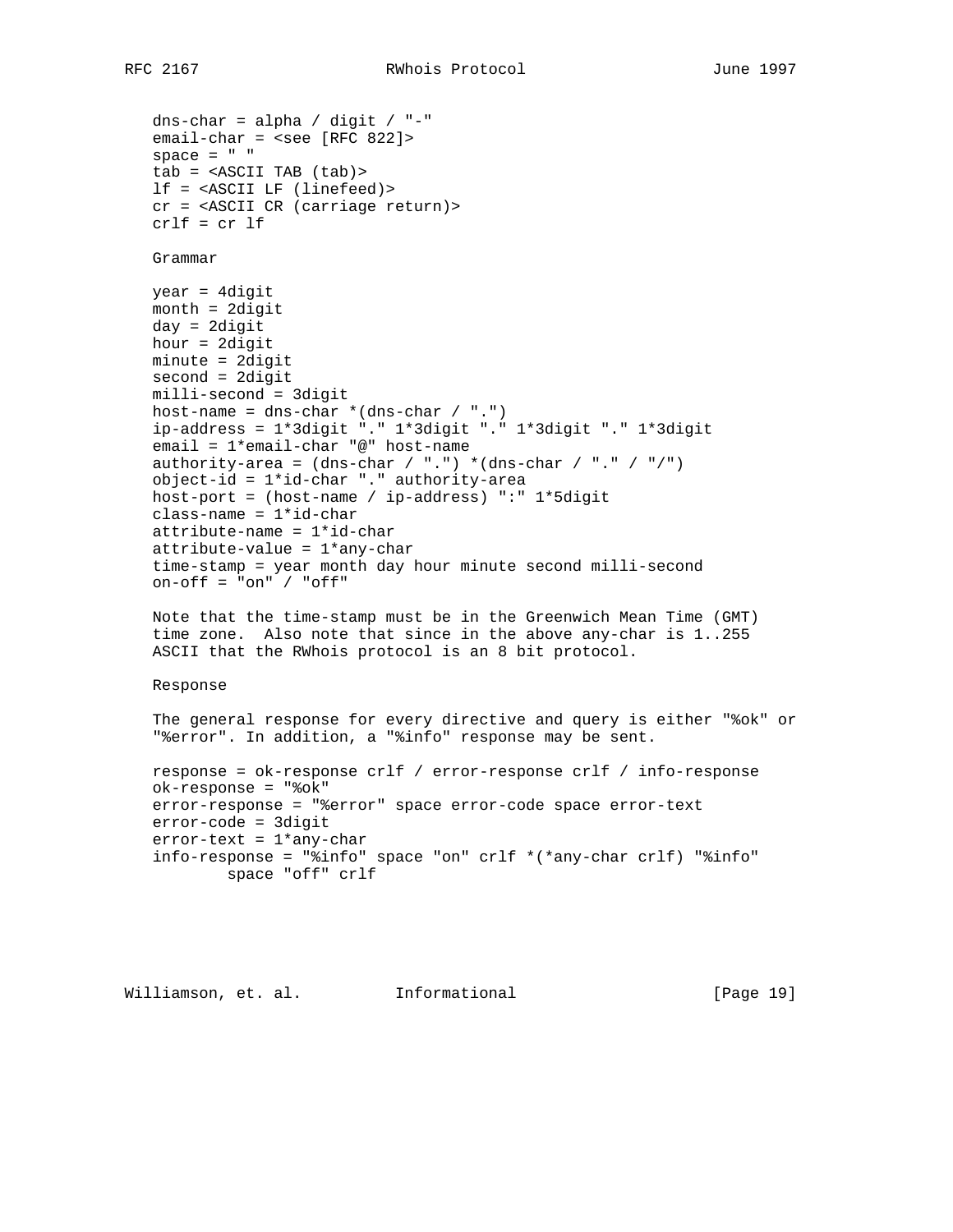dns-char = alpha / digit / "-" email-char = <see [RFC 822]> space =  $" "$  tab = <ASCII TAB (tab)> lf = <ASCII LF (linefeed)> cr = <ASCII CR (carriage return)> crlf = cr lf Grammar year = 4digit month = 2digit day = 2digit hour = 2digit minute = 2digit second = 2digit milli-second = 3digit host-name = dns-char  $*(dns-char / ".^")$  ip-address = 1\*3digit "." 1\*3digit "." 1\*3digit "." 1\*3digit email = 1\*email-char "@" host-name authority-area =  $(dns-char / "."') * (dns-char / "." / "/")$  object-id = 1\*id-char "." authority-area host-port = (host-name / ip-address) ":" 1\*5digit class-name = 1\*id-char attribute-name = 1\*id-char attribute-value = 1\*any-char time-stamp = year month day hour minute second milli-second  $on-off = "on" / "off"$  Note that the time-stamp must be in the Greenwich Mean Time (GMT) time zone. Also note that since in the above any-char is 1..255 ASCII that the RWhois protocol is an 8 bit protocol. Response The general response for every directive and query is either "%ok" or "%error". In addition, a "%info" response may be sent. response = ok-response crlf / error-response crlf / info-response ok-response = "%ok" error-response = "%error" space error-code space error-text error-code = 3digit error-text = 1\*any-char info-response = "%info" space "on" crlf \*(\*any-char crlf) "%info" space "off" crlf

Williamson, et. al. Informational [Page 19]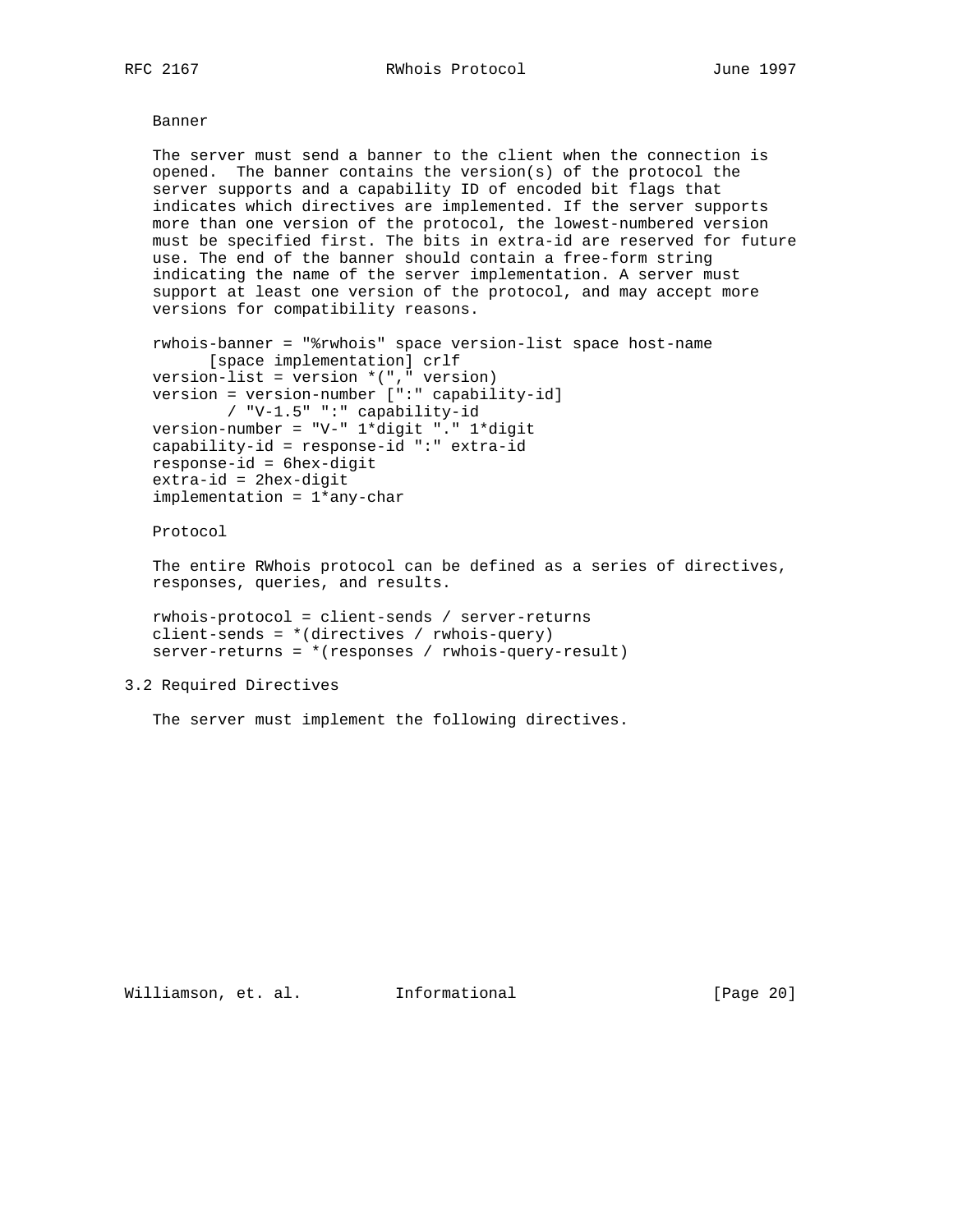Banner

 The server must send a banner to the client when the connection is opened. The banner contains the version(s) of the protocol the server supports and a capability ID of encoded bit flags that indicates which directives are implemented. If the server supports more than one version of the protocol, the lowest-numbered version must be specified first. The bits in extra-id are reserved for future use. The end of the banner should contain a free-form string indicating the name of the server implementation. A server must support at least one version of the protocol, and may accept more versions for compatibility reasons.

```
 rwhois-banner = "%rwhois" space version-list space host-name
      [space implementation] crlf
 version-list = version *("," version)
 version = version-number [":" capability-id]
       / "V-1.5" ":" capability-id
 version-number = "V-" 1*digit "." 1*digit
 capability-id = response-id ":" extra-id
 response-id = 6hex-digit
 extra-id = 2hex-digit
 implementation = 1*any-char
```
Protocol

 The entire RWhois protocol can be defined as a series of directives, responses, queries, and results.

 rwhois-protocol = client-sends / server-returns client-sends = \*(directives / rwhois-query) server-returns = \*(responses / rwhois-query-result)

# 3.2 Required Directives

The server must implement the following directives.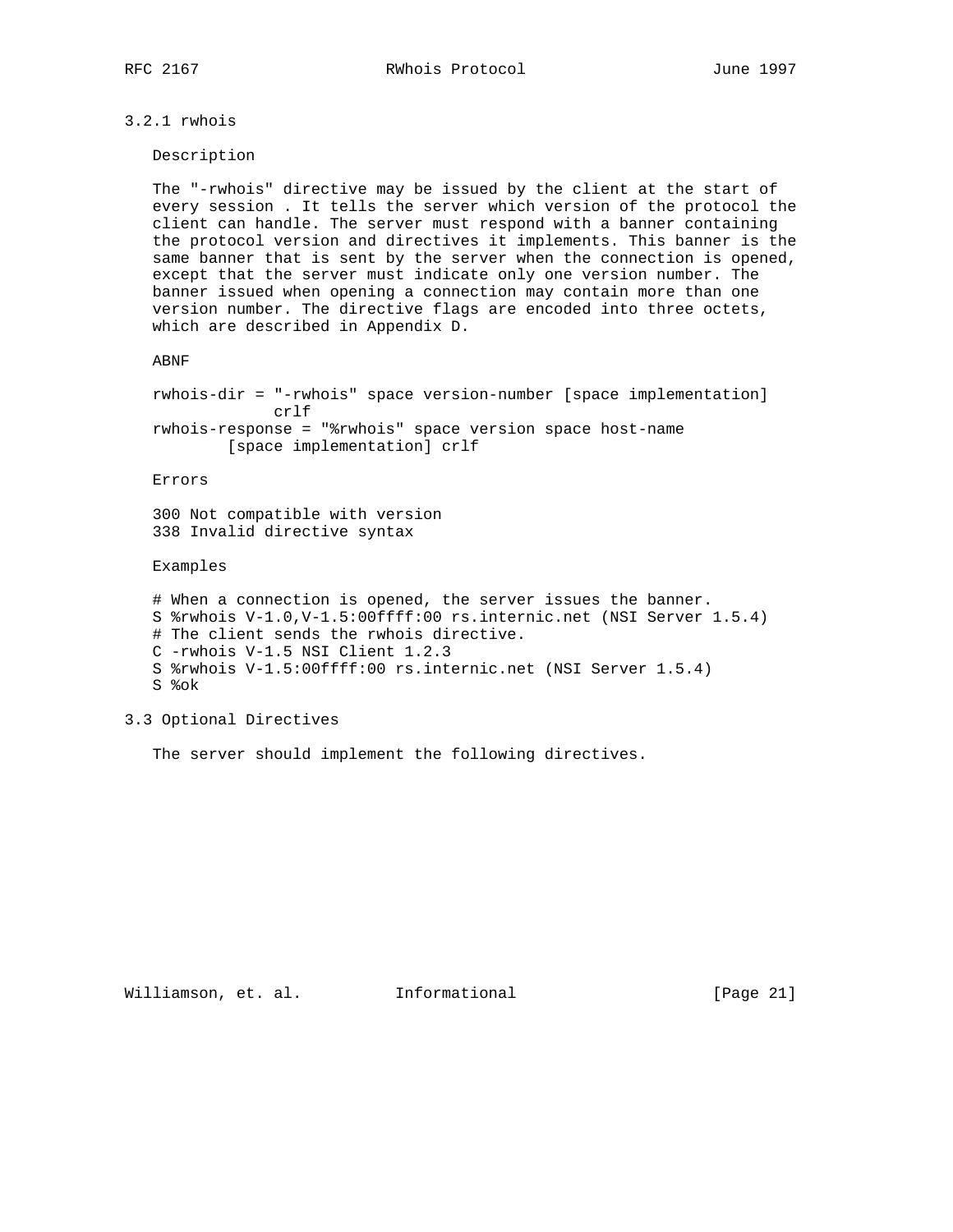# 3.2.1 rwhois

Description

 The "-rwhois" directive may be issued by the client at the start of every session . It tells the server which version of the protocol the client can handle. The server must respond with a banner containing the protocol version and directives it implements. This banner is the same banner that is sent by the server when the connection is opened, except that the server must indicate only one version number. The banner issued when opening a connection may contain more than one version number. The directive flags are encoded into three octets, which are described in Appendix D.

### ABNF

 rwhois-dir = "-rwhois" space version-number [space implementation] crlf rwhois-response = "%rwhois" space version space host-name [space implementation] crlf

Errors

 300 Not compatible with version 338 Invalid directive syntax

Examples

 # When a connection is opened, the server issues the banner. S %rwhois V-1.0,V-1.5:00ffff:00 rs.internic.net (NSI Server 1.5.4) # The client sends the rwhois directive. C -rwhois V-1.5 NSI Client 1.2.3 S %rwhois V-1.5:00ffff:00 rs.internic.net (NSI Server 1.5.4) S %ok

# 3.3 Optional Directives

The server should implement the following directives.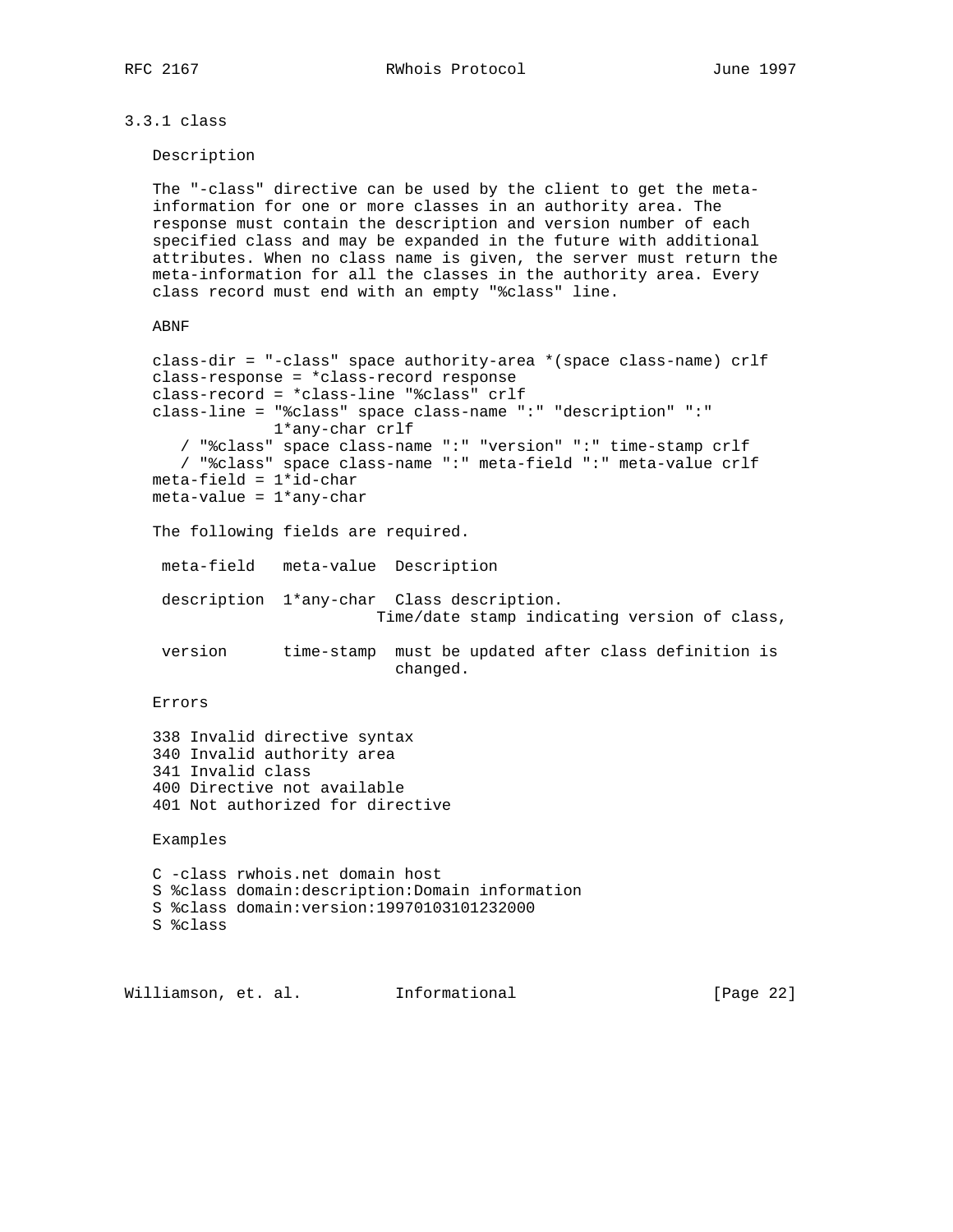3.3.1 class

Description

 The "-class" directive can be used by the client to get the meta information for one or more classes in an authority area. The response must contain the description and version number of each specified class and may be expanded in the future with additional attributes. When no class name is given, the server must return the meta-information for all the classes in the authority area. Every class record must end with an empty "%class" line.

```
 ABNF
```

```
 class-dir = "-class" space authority-area *(space class-name) crlf
 class-response = *class-record response
 class-record = *class-line "%class" crlf
 class-line = "%class" space class-name ":" "description" ":"
              1*any-char crlf
    / "%class" space class-name ":" "version" ":" time-stamp crlf
    / "%class" space class-name ":" meta-field ":" meta-value crlf
meta-field = 1*id-charmeta-value = 1*any-char The following fields are required.
  meta-field meta-value Description
  description 1*any-char Class description.
                         Time/date stamp indicating version of class,
  version time-stamp must be updated after class definition is
                           changed.
 Errors
 338 Invalid directive syntax
 340 Invalid authority area
 341 Invalid class
 400 Directive not available
 401 Not authorized for directive
 Examples
 C -class rwhois.net domain host
```
 S %class domain:description:Domain information S %class domain:version:19970103101232000

S %class

Williamson, et. al. Informational [Page 22]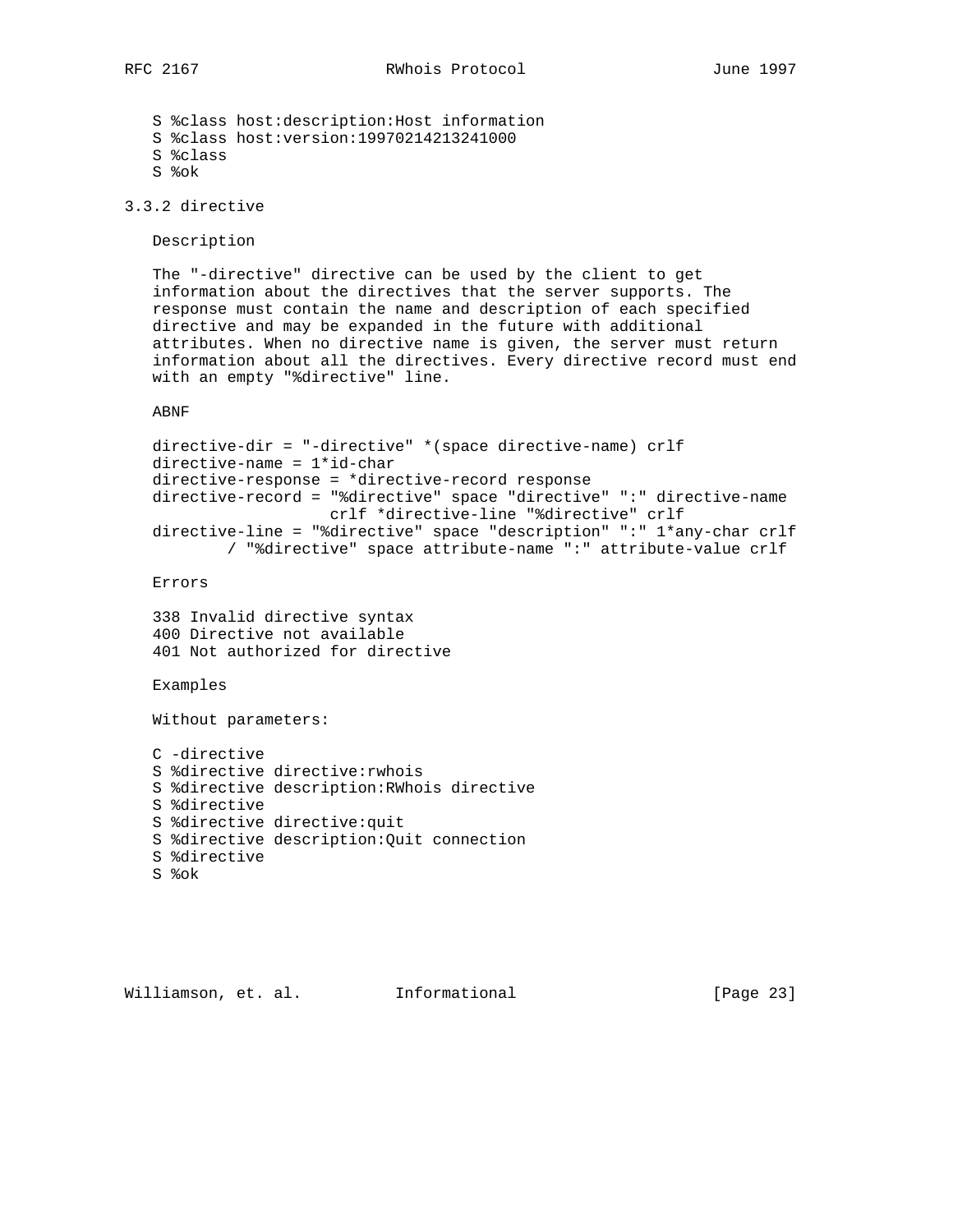S %class host:description:Host information S %class host:version:19970214213241000 S %class S %ok

3.3.2 directive

Description

 The "-directive" directive can be used by the client to get information about the directives that the server supports. The response must contain the name and description of each specified directive and may be expanded in the future with additional attributes. When no directive name is given, the server must return information about all the directives. Every directive record must end with an empty "%directive" line.

ABNF

```
 directive-dir = "-directive" *(space directive-name) crlf
 directive-name = 1*id-char
 directive-response = *directive-record response
 directive-record = "%directive" space "directive" ":" directive-name
                   crlf *directive-line "%directive" crlf
 directive-line = "%directive" space "description" ":" 1*any-char crlf
        / "%directive" space attribute-name ":" attribute-value crlf
```
Errors

 338 Invalid directive syntax 400 Directive not available 401 Not authorized for directive

Examples

Without parameters:

```
 C -directive
 S %directive directive:rwhois
 S %directive description:RWhois directive
 S %directive
 S %directive directive:quit
 S %directive description:Quit connection
 S %directive
 S %ok
```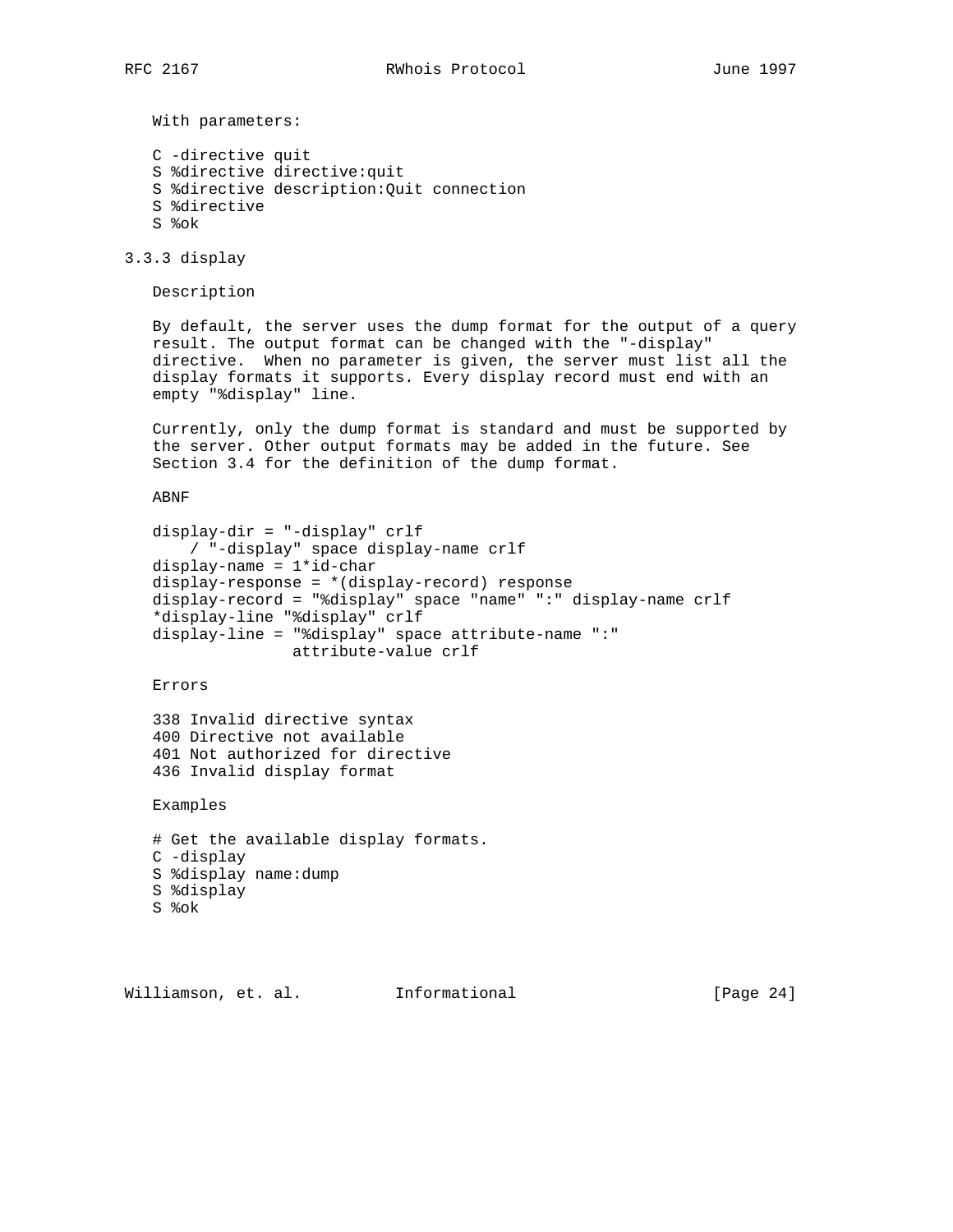With parameters:

 C -directive quit S %directive directive:quit S %directive description:Quit connection S %directive S %ok

3.3.3 display

Description

 By default, the server uses the dump format for the output of a query result. The output format can be changed with the "-display" directive. When no parameter is given, the server must list all the display formats it supports. Every display record must end with an empty "%display" line.

 Currently, only the dump format is standard and must be supported by the server. Other output formats may be added in the future. See Section 3.4 for the definition of the dump format.

ABNF

```
 display-dir = "-display" crlf
     / "-display" space display-name crlf
display-name = 1*id-char
 display-response = *(display-record) response
 display-record = "%display" space "name" ":" display-name crlf
 *display-line "%display" crlf
 display-line = "%display" space attribute-name ":"
               attribute-value crlf
```
Errors

 338 Invalid directive syntax 400 Directive not available 401 Not authorized for directive 436 Invalid display format

Examples

```
 # Get the available display formats.
 C -display
 S %display name:dump
 S %display
 S %ok
```
Williamson, et. al. Informational [Page 24]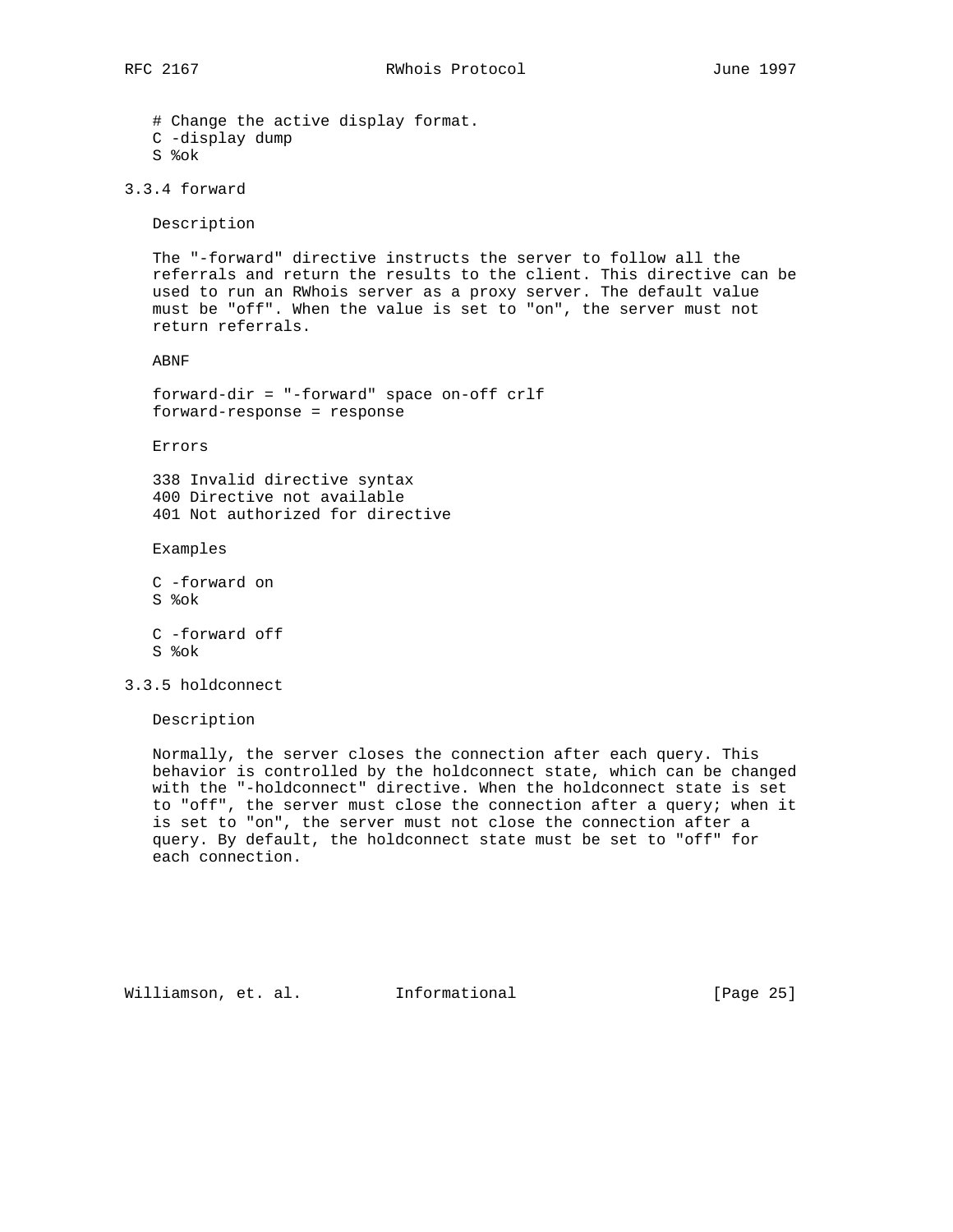# Change the active display format.

- C -display dump
- S %ok

3.3.4 forward

Description

 The "-forward" directive instructs the server to follow all the referrals and return the results to the client. This directive can be used to run an RWhois server as a proxy server. The default value must be "off". When the value is set to "on", the server must not return referrals.

ABNF

 forward-dir = "-forward" space on-off crlf forward-response = response

Errors

 338 Invalid directive syntax 400 Directive not available 401 Not authorized for directive

Examples

- C -forward on S %ok C -forward off
- S %ok

3.3.5 holdconnect

Description

 Normally, the server closes the connection after each query. This behavior is controlled by the holdconnect state, which can be changed with the "-holdconnect" directive. When the holdconnect state is set to "off", the server must close the connection after a query; when it is set to "on", the server must not close the connection after a query. By default, the holdconnect state must be set to "off" for each connection.

Williamson, et. al. Informational [Page 25]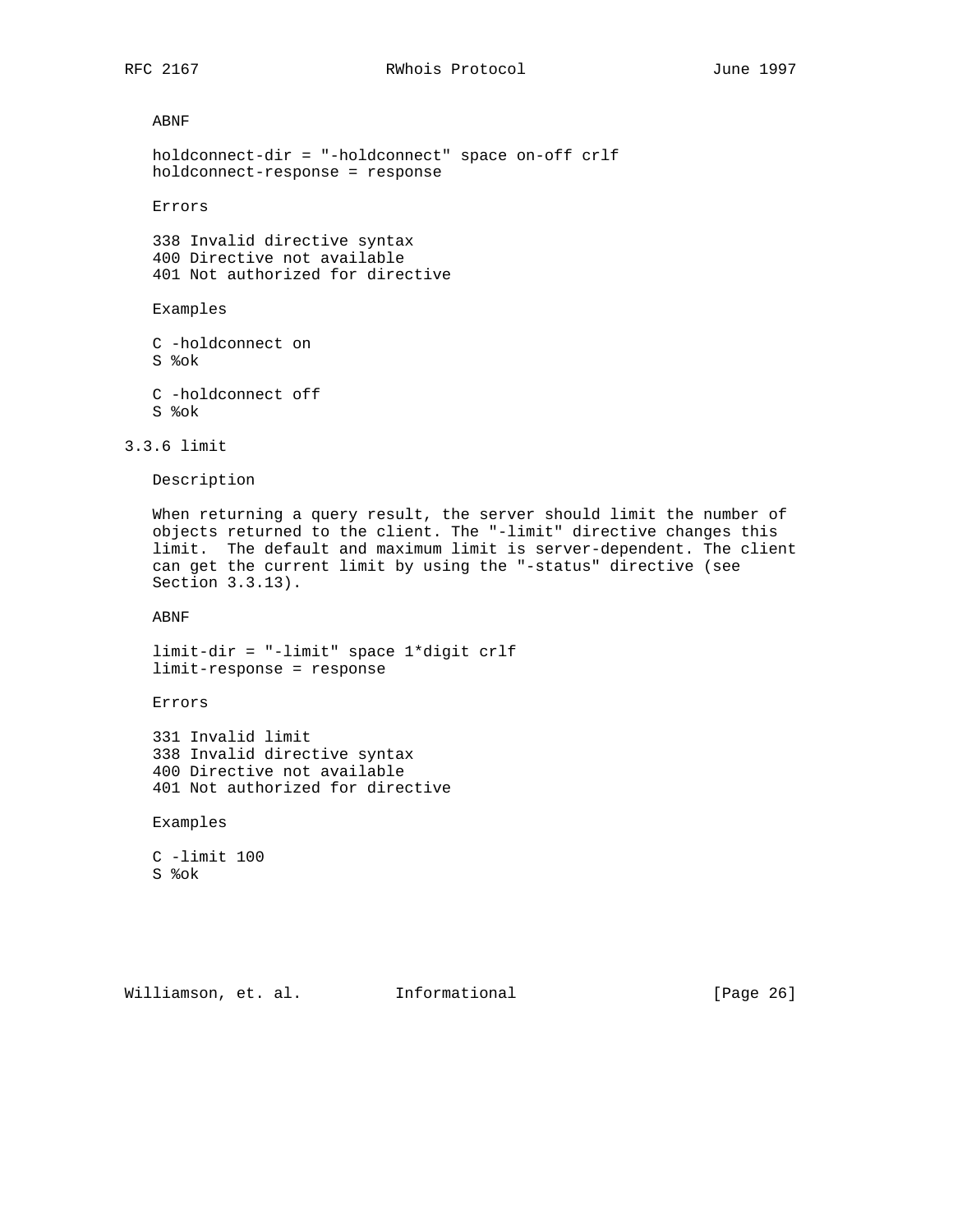ABNF

```
 holdconnect-dir = "-holdconnect" space on-off crlf
 holdconnect-response = response
```
Errors

 338 Invalid directive syntax 400 Directive not available 401 Not authorized for directive

## Examples

 C -holdconnect on S %ok C -holdconnect off S %ok

3.3.6 limit

Description

 When returning a query result, the server should limit the number of objects returned to the client. The "-limit" directive changes this limit. The default and maximum limit is server-dependent. The client can get the current limit by using the "-status" directive (see Section 3.3.13).

ABNF

 limit-dir = "-limit" space 1\*digit crlf limit-response = response

Errors

 331 Invalid limit 338 Invalid directive syntax 400 Directive not available 401 Not authorized for directive

Examples

 C -limit 100 S %ok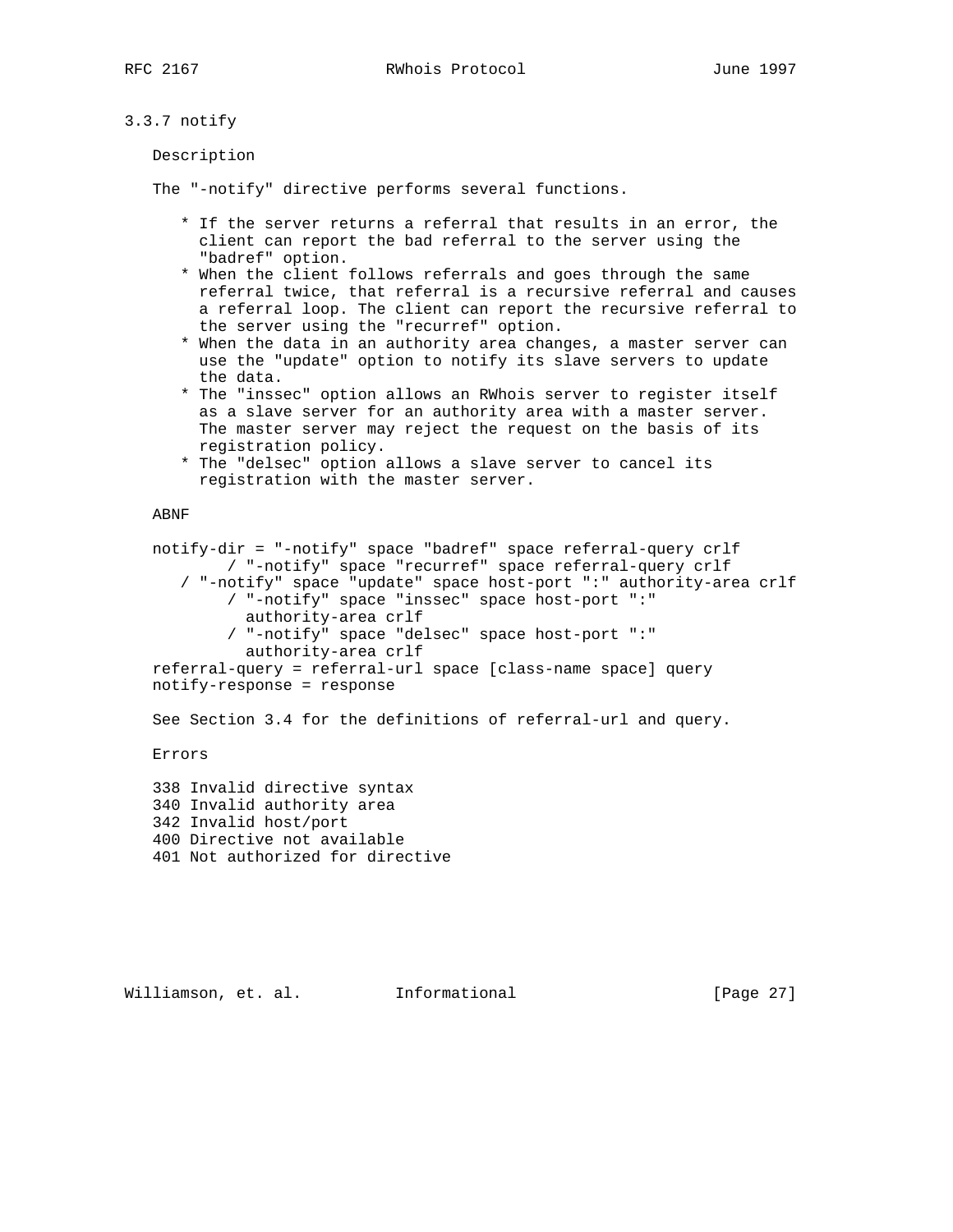# 3.3.7 notify

Description

The "-notify" directive performs several functions.

- \* If the server returns a referral that results in an error, the client can report the bad referral to the server using the "badref" option.
- \* When the client follows referrals and goes through the same referral twice, that referral is a recursive referral and causes a referral loop. The client can report the recursive referral to the server using the "recurref" option.
- \* When the data in an authority area changes, a master server can use the "update" option to notify its slave servers to update the data.
- \* The "inssec" option allows an RWhois server to register itself as a slave server for an authority area with a master server. The master server may reject the request on the basis of its registration policy.
- \* The "delsec" option allows a slave server to cancel its registration with the master server.

### ABNF

 notify-dir = "-notify" space "badref" space referral-query crlf / "-notify" space "recurref" space referral-query crlf / "-notify" space "update" space host-port ":" authority-area crlf / "-notify" space "inssec" space host-port ":" authority-area crlf / "-notify" space "delsec" space host-port ":" authority-area crlf referral-query = referral-url space [class-name space] query notify-response = response See Section 3.4 for the definitions of referral-url and query. Errors

 338 Invalid directive syntax 340 Invalid authority area 342 Invalid host/port 400 Directive not available 401 Not authorized for directive

Williamson, et. al. Informational [Page 27]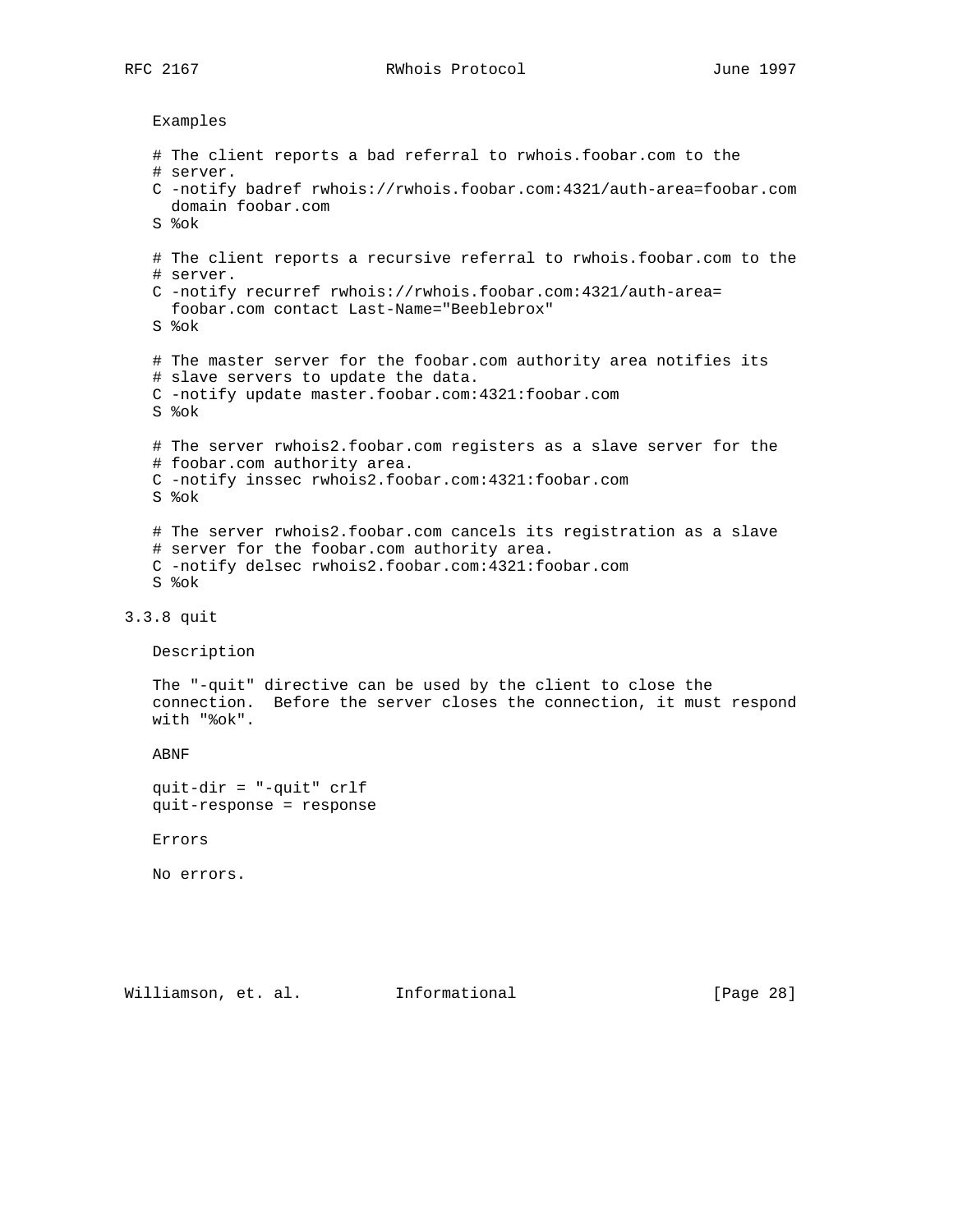RFC 2167 **RWhois Protocol** June 1997

Examples

```
 # The client reports a bad referral to rwhois.foobar.com to the
    # server.
    C -notify badref rwhois://rwhois.foobar.com:4321/auth-area=foobar.com
      domain foobar.com
    S %ok
    # The client reports a recursive referral to rwhois.foobar.com to the
    # server.
   C -notify recurref rwhois://rwhois.foobar.com:4321/auth-area=
     foobar.com contact Last-Name="Beeblebrox"
   S %ok
    # The master server for the foobar.com authority area notifies its
    # slave servers to update the data.
   C -notify update master.foobar.com:4321:foobar.com
   S %ok
    # The server rwhois2.foobar.com registers as a slave server for the
    # foobar.com authority area.
   C -notify inssec rwhois2.foobar.com:4321:foobar.com
   S %ok
    # The server rwhois2.foobar.com cancels its registration as a slave
    # server for the foobar.com authority area.
   C -notify delsec rwhois2.foobar.com:4321:foobar.com
   S %ok
3.3.8 quit
   Description
   The "-quit" directive can be used by the client to close the
   connection. Before the server closes the connection, it must respond
   with "%ok".
   ABNF
   quit-dir = "-quit" crlf
   quit-response = response
   Errors
   No errors.
```
Williamson, et. al. Informational [Page 28]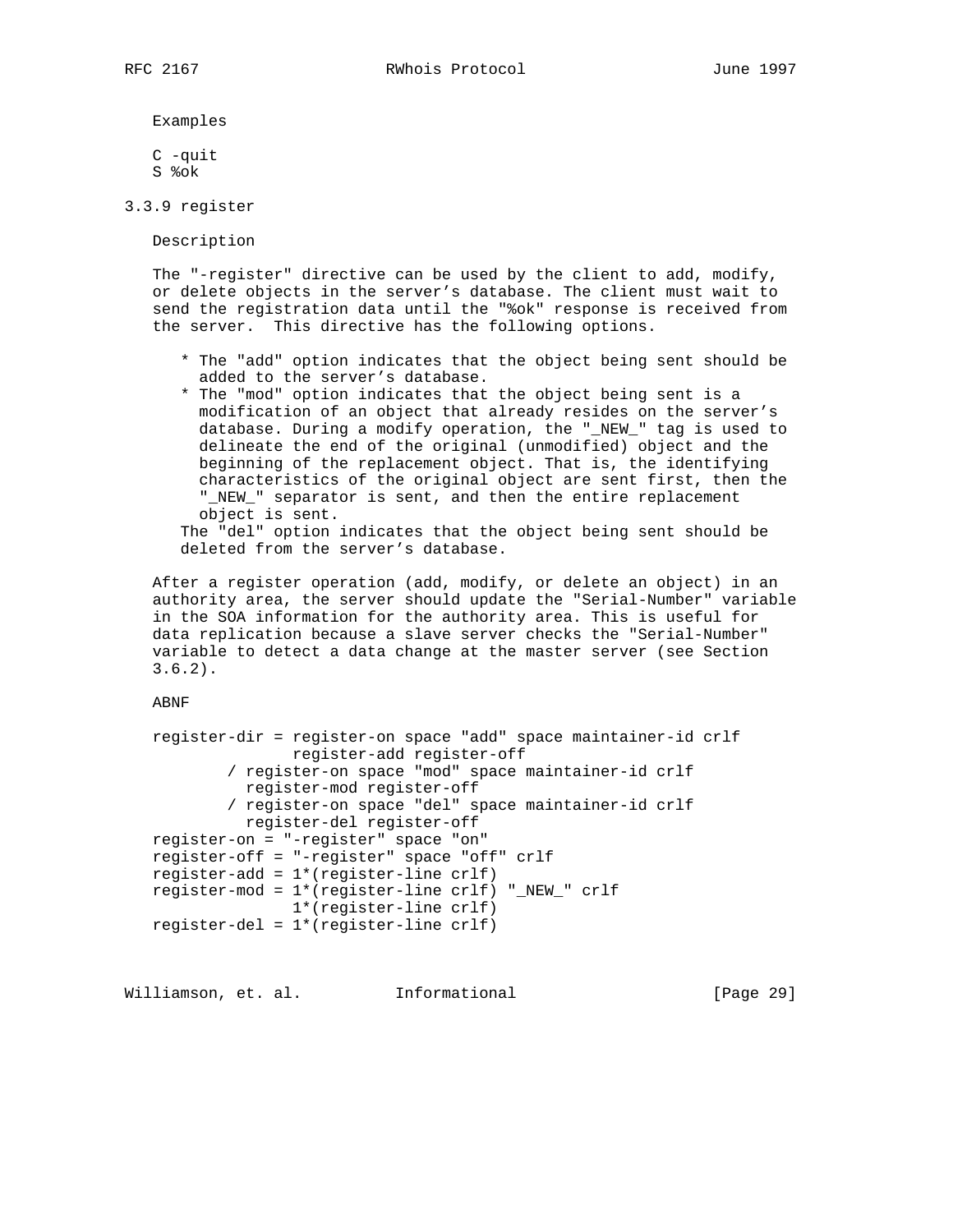Examples

 C -quit S %ok

3.3.9 register

Description

 The "-register" directive can be used by the client to add, modify, or delete objects in the server's database. The client must wait to send the registration data until the "%ok" response is received from the server. This directive has the following options.

- \* The "add" option indicates that the object being sent should be added to the server's database.
- \* The "mod" option indicates that the object being sent is a modification of an object that already resides on the server's database. During a modify operation, the "\_NEW\_" tag is used to delineate the end of the original (unmodified) object and the beginning of the replacement object. That is, the identifying characteristics of the original object are sent first, then the "\_NEW\_" separator is sent, and then the entire replacement object is sent.

 The "del" option indicates that the object being sent should be deleted from the server's database.

 After a register operation (add, modify, or delete an object) in an authority area, the server should update the "Serial-Number" variable in the SOA information for the authority area. This is useful for data replication because a slave server checks the "Serial-Number" variable to detect a data change at the master server (see Section 3.6.2).

ABNF

```
 register-dir = register-on space "add" space maintainer-id crlf
                register-add register-off
         / register-on space "mod" space maintainer-id crlf
          register-mod register-off
         / register-on space "del" space maintainer-id crlf
          register-del register-off
 register-on = "-register" space "on"
 register-off = "-register" space "off" crlf
 register-add = 1*(register-line crlf)
 register-mod = 1*(register-line crlf) "_NEW_" crlf
               1*(register-line crlf)
 register-del = 1*(register-line crlf)
```
Williamson, et. al. Informational [Page 29]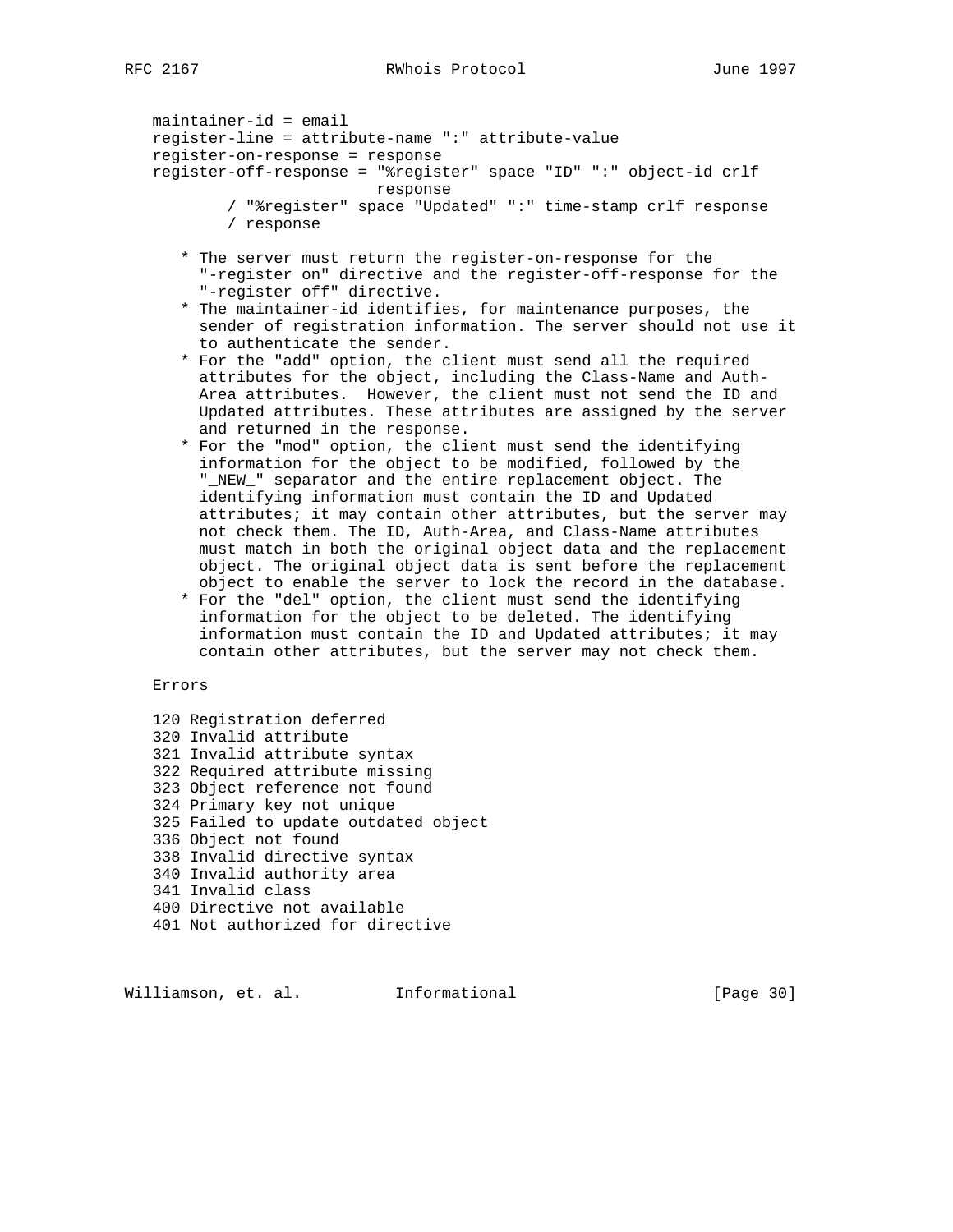```
 maintainer-id = email
 register-line = attribute-name ":" attribute-value
 register-on-response = response
 register-off-response = "%register" space "ID" ":" object-id crlf
                        response
         / "%register" space "Updated" ":" time-stamp crlf response
         / response
```
- \* The server must return the register-on-response for the "-register on" directive and the register-off-response for the "-register off" directive.
- \* The maintainer-id identifies, for maintenance purposes, the sender of registration information. The server should not use it to authenticate the sender.
- \* For the "add" option, the client must send all the required attributes for the object, including the Class-Name and Auth- Area attributes. However, the client must not send the ID and Updated attributes. These attributes are assigned by the server and returned in the response.
- \* For the "mod" option, the client must send the identifying information for the object to be modified, followed by the "\_NEW\_" separator and the entire replacement object. The identifying information must contain the ID and Updated attributes; it may contain other attributes, but the server may not check them. The ID, Auth-Area, and Class-Name attributes must match in both the original object data and the replacement object. The original object data is sent before the replacement object to enable the server to lock the record in the database.
- \* For the "del" option, the client must send the identifying information for the object to be deleted. The identifying information must contain the ID and Updated attributes; it may contain other attributes, but the server may not check them.

## Errors

 120 Registration deferred 320 Invalid attribute 321 Invalid attribute syntax 322 Required attribute missing 323 Object reference not found 324 Primary key not unique 325 Failed to update outdated object 336 Object not found 338 Invalid directive syntax 340 Invalid authority area 341 Invalid class 400 Directive not available 401 Not authorized for directive

Williamson, et. al. Informational [Page 30]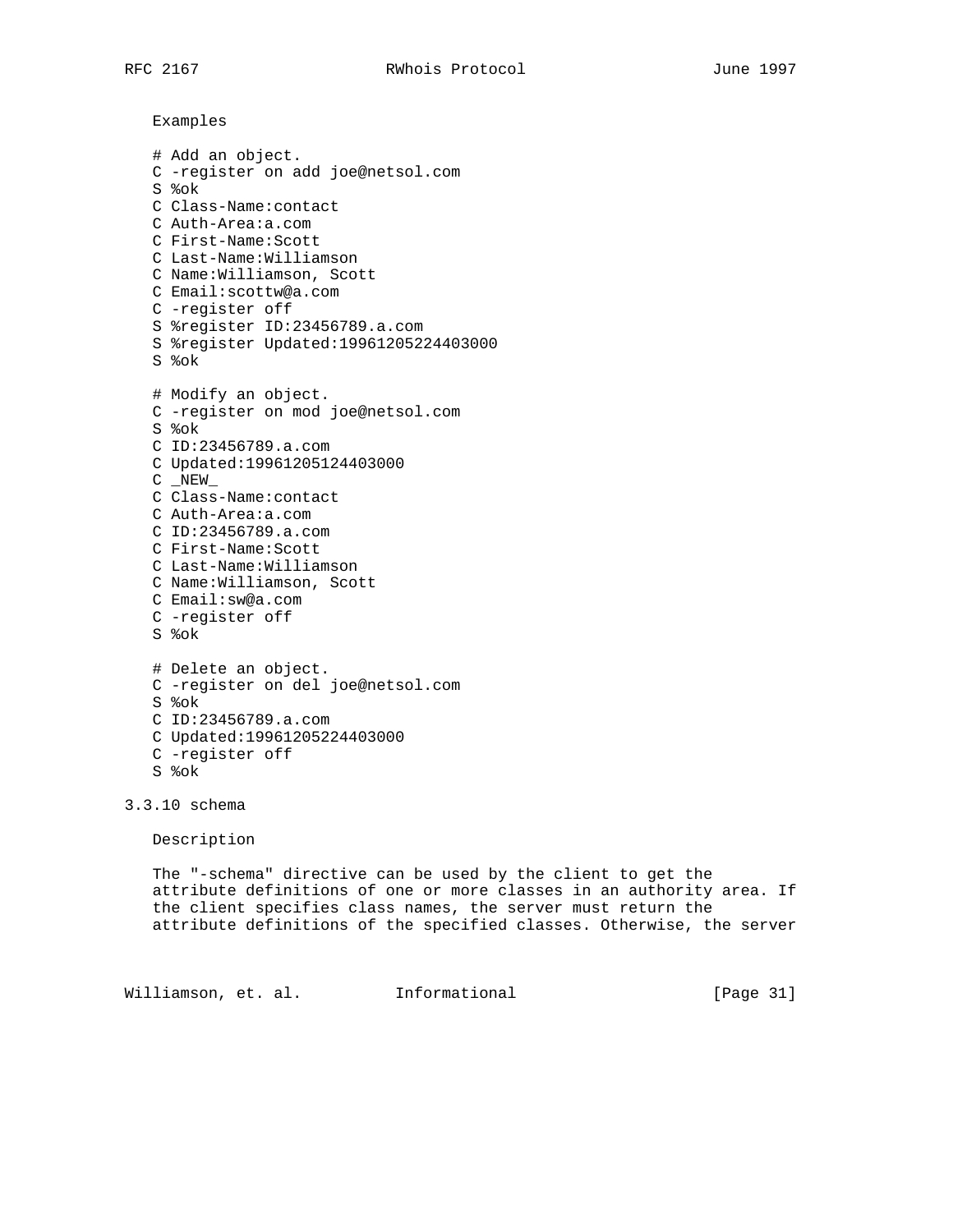Examples

```
 # Add an object.
 C -register on add joe@netsol.com
 S %ok
 C Class-Name:contact
 C Auth-Area:a.com
 C First-Name:Scott
 C Last-Name:Williamson
 C Name:Williamson, Scott
 C Email:scottw@a.com
 C -register off
 S %register ID:23456789.a.com
 S %register Updated:19961205224403000
 S %ok
 # Modify an object.
 C -register on mod joe@netsol.com
 S %ok
 C ID:23456789.a.com
 C Updated:19961205124403000
C _ NEW
 C Class-Name:contact
 C Auth-Area:a.com
 C ID:23456789.a.com
 C First-Name:Scott
 C Last-Name:Williamson
 C Name:Williamson, Scott
 C Email:sw@a.com
 C -register off
 S %ok
 # Delete an object.
 C -register on del joe@netsol.com
 S %ok
 C ID:23456789.a.com
 C Updated:19961205224403000
 C -register off
 S %ok
```
3.3.10 schema

Description

 The "-schema" directive can be used by the client to get the attribute definitions of one or more classes in an authority area. If the client specifies class names, the server must return the attribute definitions of the specified classes. Otherwise, the server

Williamson, et. al. Informational [Page 31]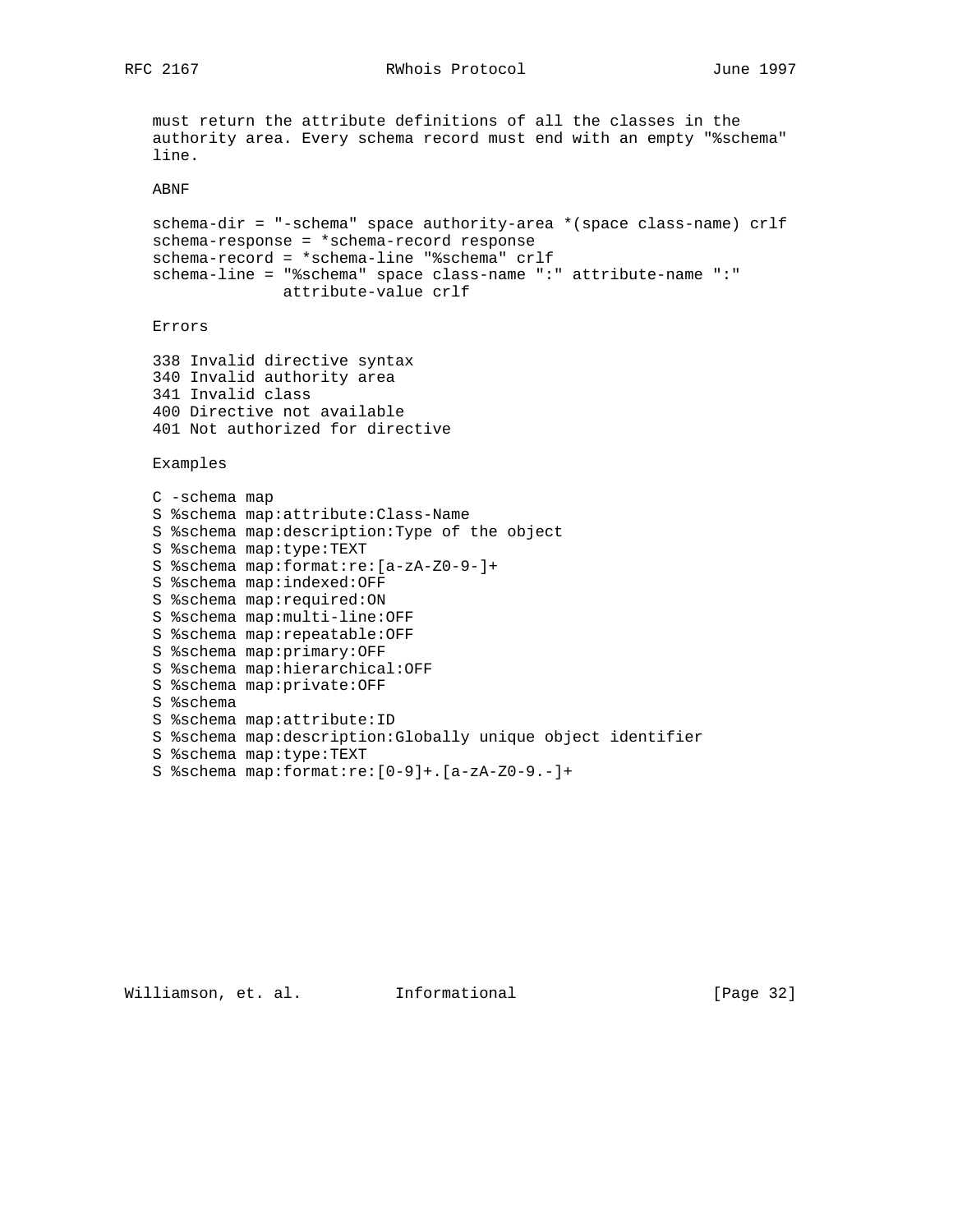RFC 2167 RWhois Protocol June 1997

```
 must return the attribute definitions of all the classes in the
 authority area. Every schema record must end with an empty "%schema"
 line.
 ABNF
 schema-dir = "-schema" space authority-area *(space class-name) crlf
 schema-response = *schema-record response
 schema-record = *schema-line "%schema" crlf
 schema-line = "%schema" space class-name ":" attribute-name ":"
              attribute-value crlf
 Errors
 338 Invalid directive syntax
 340 Invalid authority area
 341 Invalid class
 400 Directive not available
 401 Not authorized for directive
 Examples
 C -schema map
 S %schema map:attribute:Class-Name
 S %schema map:description:Type of the object
 S %schema map:type:TEXT
 S %schema map:format:re:[a-zA-Z0-9-]+
 S %schema map:indexed:OFF
 S %schema map:required:ON
 S %schema map:multi-line:OFF
 S %schema map:repeatable:OFF
 S %schema map:primary:OFF
 S %schema map:hierarchical:OFF
 S %schema map:private:OFF
 S %schema
 S %schema map:attribute:ID
 S %schema map:description:Globally unique object identifier
 S %schema map:type:TEXT
 S %schema map:format:re:[0-9]+.[a-zA-Z0-9.-]+
```
Williamson, et. al. Informational [Page 32]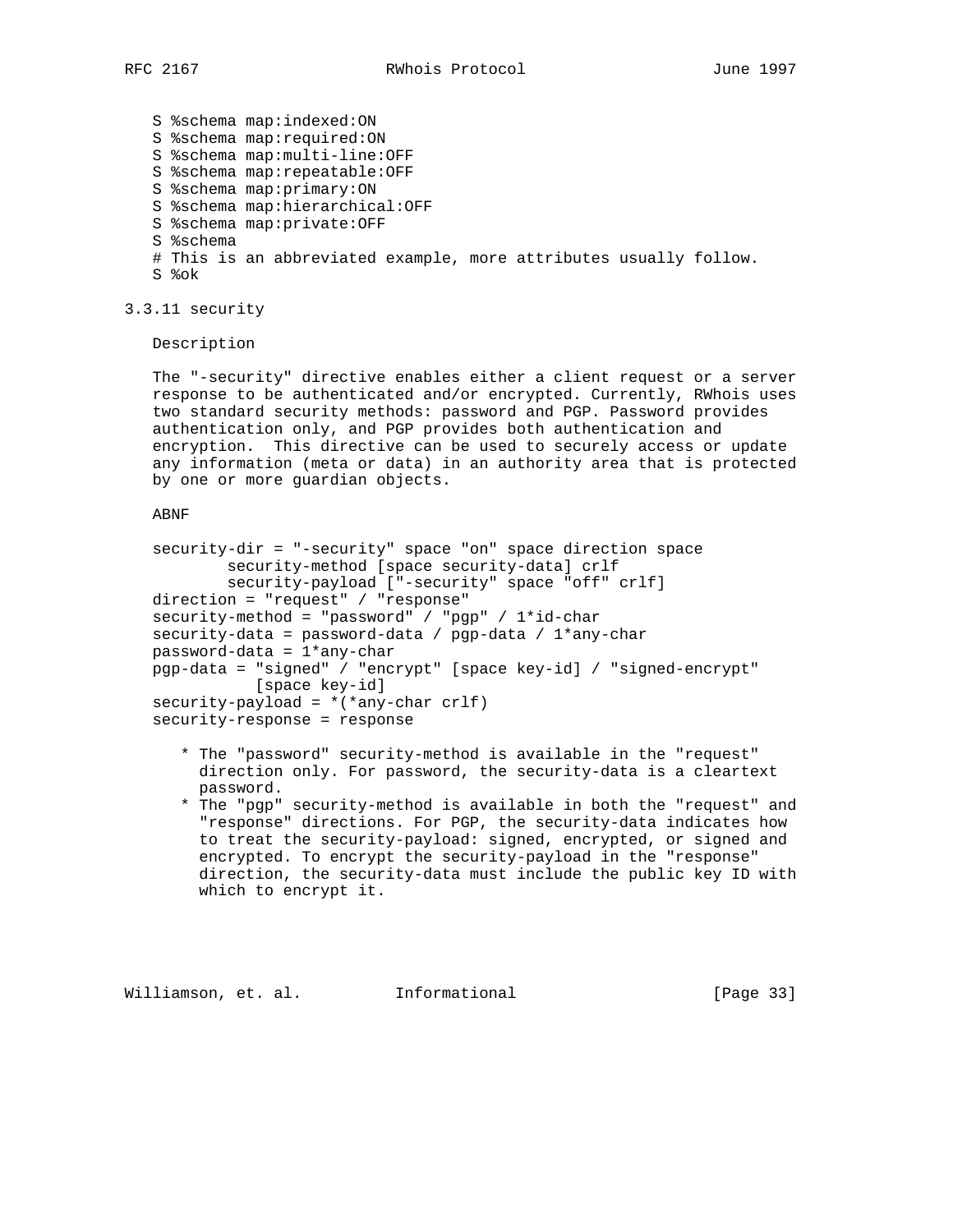S %schema map:indexed:ON S %schema map:required:ON S %schema map:multi-line:OFF S %schema map:repeatable:OFF S %schema map:primary:ON S %schema map:hierarchical:OFF S %schema map:private:OFF S %schema # This is an abbreviated example, more attributes usually follow. S %ok

3.3.11 security

Description

 The "-security" directive enables either a client request or a server response to be authenticated and/or encrypted. Currently, RWhois uses two standard security methods: password and PGP. Password provides authentication only, and PGP provides both authentication and encryption. This directive can be used to securely access or update any information (meta or data) in an authority area that is protected by one or more guardian objects.

ABNF

```
 security-dir = "-security" space "on" space direction space
         security-method [space security-data] crlf
         security-payload ["-security" space "off" crlf]
 direction = "request" / "response"
security-method = "password" / "pgp" / 1*id-char
 security-data = password-data / pgp-data / 1*any-char
 password-data = 1*any-char
 pgp-data = "signed" / "encrypt" [space key-id] / "signed-encrypt"
           [space key-id]
security-payload = *(*any-char crlf)
 security-response = response
```
- \* The "password" security-method is available in the "request" direction only. For password, the security-data is a cleartext password.
- \* The "pgp" security-method is available in both the "request" and "response" directions. For PGP, the security-data indicates how to treat the security-payload: signed, encrypted, or signed and encrypted. To encrypt the security-payload in the "response" direction, the security-data must include the public key ID with which to encrypt it.

Williamson, et. al. Informational [Page 33]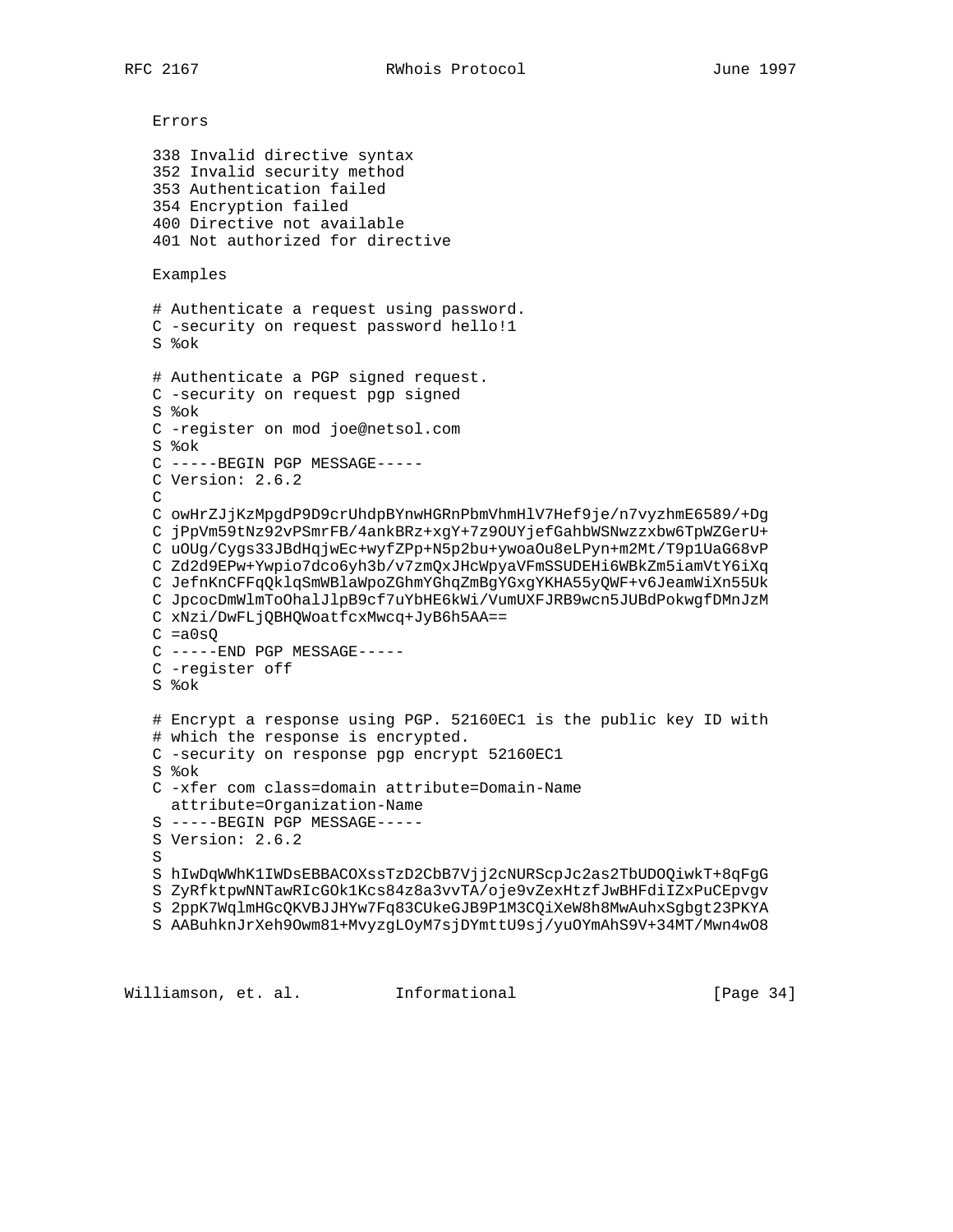```
 Errors
 338 Invalid directive syntax
 352 Invalid security method
 353 Authentication failed
 354 Encryption failed
 400 Directive not available
 401 Not authorized for directive
 Examples
 # Authenticate a request using password.
 C -security on request password hello!1
 S %ok
 # Authenticate a PGP signed request.
 C -security on request pgp signed
 S %ok
 C -register on mod joe@netsol.com
 S %ok
 C -----BEGIN PGP MESSAGE-----
 C Version: 2.6.2
\mathcal{C} C owHrZJjKzMpgdP9D9crUhdpBYnwHGRnPbmVhmHlV7Hef9je/n7vyzhmE6589/+Dg
 C jPpVm59tNz92vPSmrFB/4ankBRz+xgY+7z9OUYjefGahbWSNwzzxbw6TpWZGerU+
 C uOUg/Cygs33JBdHqjwEc+wyfZPp+N5p2bu+ywoaOu8eLPyn+m2Mt/T9p1UaG68vP
 C Zd2d9EPw+Ywpio7dco6yh3b/v7zmQxJHcWpyaVFmSSUDEHi6WBkZm5iamVtY6iXq
 C JefnKnCFFqQklqSmWBlaWpoZGhmYGhqZmBgYGxgYKHA55yQWF+v6JeamWiXn55Uk
 C JpcocDmWlmToOhalJlpB9cf7uYbHE6kWi/VumUXFJRB9wcn5JUBdPokwgfDMnJzM
 C xNzi/DwFLjQBHQWoatfcxMwcq+JyB6h5AA==
C = a0sQ C -----END PGP MESSAGE-----
 C -register off
 S %ok
 # Encrypt a response using PGP. 52160EC1 is the public key ID with
 # which the response is encrypted.
 C -security on response pgp encrypt 52160EC1
 S %ok
 C -xfer com class=domain attribute=Domain-Name
  attribute=Organization-Name
 S -----BEGIN PGP MESSAGE-----
 S Version: 2.6.2
 S
 S hIwDqWWhK1IWDsEBBACOXssTzD2CbB7Vjj2cNURScpJc2as2TbUDOQiwkT+8qFgG
 S ZyRfktpwNNTawRIcGOk1Kcs84z8a3vvTA/oje9vZexHtzfJwBHFdiIZxPuCEpvgv
 S 2ppK7WqlmHGcQKVBJJHYw7Fq83CUkeGJB9P1M3CQiXeW8h8MwAuhxSgbgt23PKYA
 S AABuhknJrXeh9Owm81+MvyzgLOyM7sjDYmttU9sj/yuOYmAhS9V+34MT/Mwn4wO8
```
Williamson, et. al. Informational [Page 34]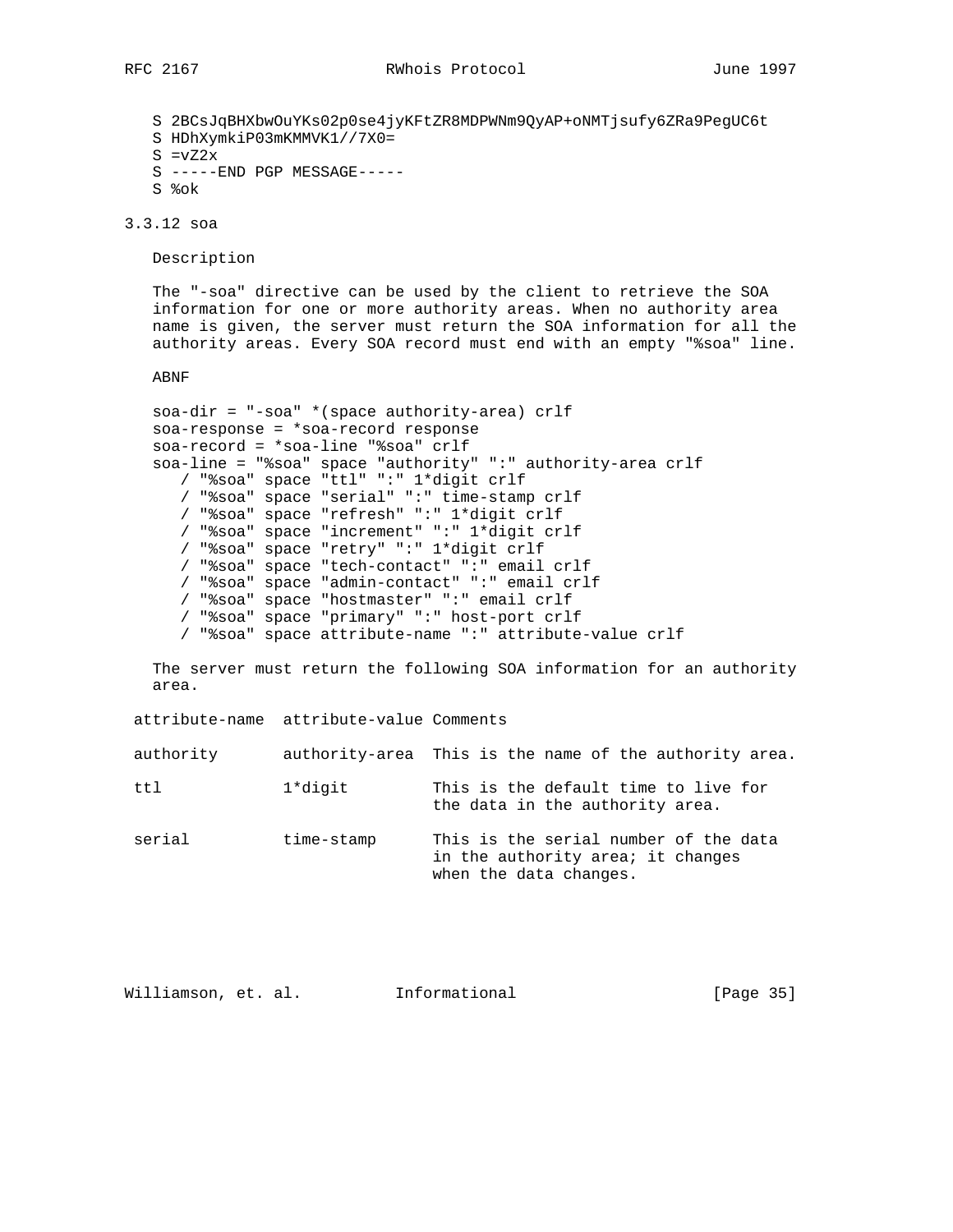S 2BCsJqBHXbwOuYKs02p0se4jyKFtZR8MDPWNm9QyAP+oNMTjsufy6ZRa9PegUC6t S HDhXymkiP03mKMMVK1//7X0=  $S = vZ2x$  S -----END PGP MESSAGE----- S %ok

3.3.12 soa

Description

 The "-soa" directive can be used by the client to retrieve the SOA information for one or more authority areas. When no authority area name is given, the server must return the SOA information for all the authority areas. Every SOA record must end with an empty "%soa" line.

ABNF

```
 soa-dir = "-soa" *(space authority-area) crlf
 soa-response = *soa-record response
 soa-record = *soa-line "%soa" crlf
 soa-line = "%soa" space "authority" ":" authority-area crlf
    / "%soa" space "ttl" ":" 1*digit crlf
    / "%soa" space "serial" ":" time-stamp crlf
    / "%soa" space "refresh" ":" 1*digit crlf
    / "%soa" space "increment" ":" 1*digit crlf
    / "%soa" space "retry" ":" 1*digit crlf
    / "%soa" space "tech-contact" ":" email crlf
    / "%soa" space "admin-contact" ":" email crlf
    / "%soa" space "hostmaster" ":" email crlf
    / "%soa" space "primary" ":" host-port crlf
    / "%soa" space attribute-name ":" attribute-value crlf
```
 The server must return the following SOA information for an authority area.

attribute-name attribute-value Comments

| authority-area This is the name of the authority area.<br>authority |  |  |  |  |  |  |
|---------------------------------------------------------------------|--|--|--|--|--|--|
|---------------------------------------------------------------------|--|--|--|--|--|--|

| ttl | 1*digit |  |  |                                 | This is the default time to live for |  |
|-----|---------|--|--|---------------------------------|--------------------------------------|--|
|     |         |  |  | the data in the authority area. |                                      |  |

serial time-stamp This is the serial number of the data in the authority area; it changes when the data changes.

| Williamson, et. al. |  |  | Informational | [Page 35] |  |  |
|---------------------|--|--|---------------|-----------|--|--|
|---------------------|--|--|---------------|-----------|--|--|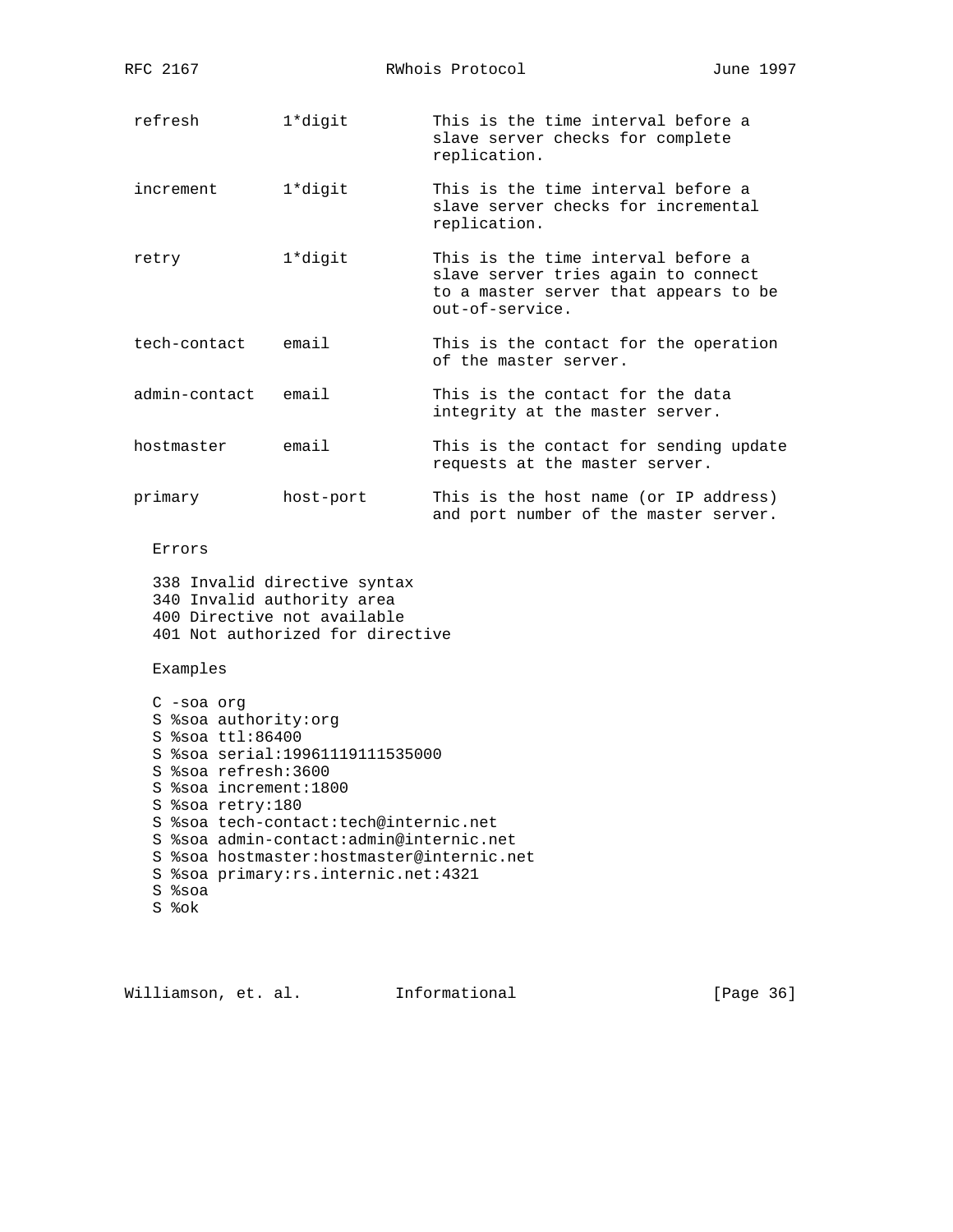| RFC 2167                                                                                                                                           | RWhois Protocol                                                                                                                                                                                              |                                                                                                                                       | June 1997 |
|----------------------------------------------------------------------------------------------------------------------------------------------------|--------------------------------------------------------------------------------------------------------------------------------------------------------------------------------------------------------------|---------------------------------------------------------------------------------------------------------------------------------------|-----------|
| refresh                                                                                                                                            | 1*digit                                                                                                                                                                                                      | This is the time interval before a<br>slave server checks for complete<br>replication.                                                |           |
| increment                                                                                                                                          | 1*digit                                                                                                                                                                                                      | This is the time interval before a<br>slave server checks for incremental<br>replication.                                             |           |
| retry                                                                                                                                              | 1*digit                                                                                                                                                                                                      | This is the time interval before a<br>slave server tries again to connect<br>to a master server that appears to be<br>out-of-service. |           |
| tech-contact                                                                                                                                       | email                                                                                                                                                                                                        | This is the contact for the operation<br>of the master server.                                                                        |           |
| admin-contact                                                                                                                                      | email                                                                                                                                                                                                        | This is the contact for the data<br>integrity at the master server.                                                                   |           |
| hostmaster                                                                                                                                         | email                                                                                                                                                                                                        | This is the contact for sending update<br>requests at the master server.                                                              |           |
| primary                                                                                                                                            | host-port                                                                                                                                                                                                    | This is the host name (or IP address)<br>and port number of the master server.                                                        |           |
| Errors                                                                                                                                             |                                                                                                                                                                                                              |                                                                                                                                       |           |
| 340 Invalid authority area                                                                                                                         | 338 Invalid directive syntax<br>400 Directive not available<br>401 Not authorized for directive                                                                                                              |                                                                                                                                       |           |
| Examples                                                                                                                                           |                                                                                                                                                                                                              |                                                                                                                                       |           |
| $C$ -soa org<br>S %soa authority: org<br>S %soa ttl:86400<br>S %soa refresh: 3600<br>S %soa increment:1800<br>S %soa retry: 180<br>S %soa<br>S %ok | S %soa serial: 19961119111535000<br>S %soa tech-contact:tech@internic.net<br>S %soa admin-contact:admin@internic.net<br>S %soa hostmaster: hostmaster@internic.net<br>S %soa primary: rs. internic.net: 4321 |                                                                                                                                       |           |

Williamson, et. al. 1nformational [Page 36]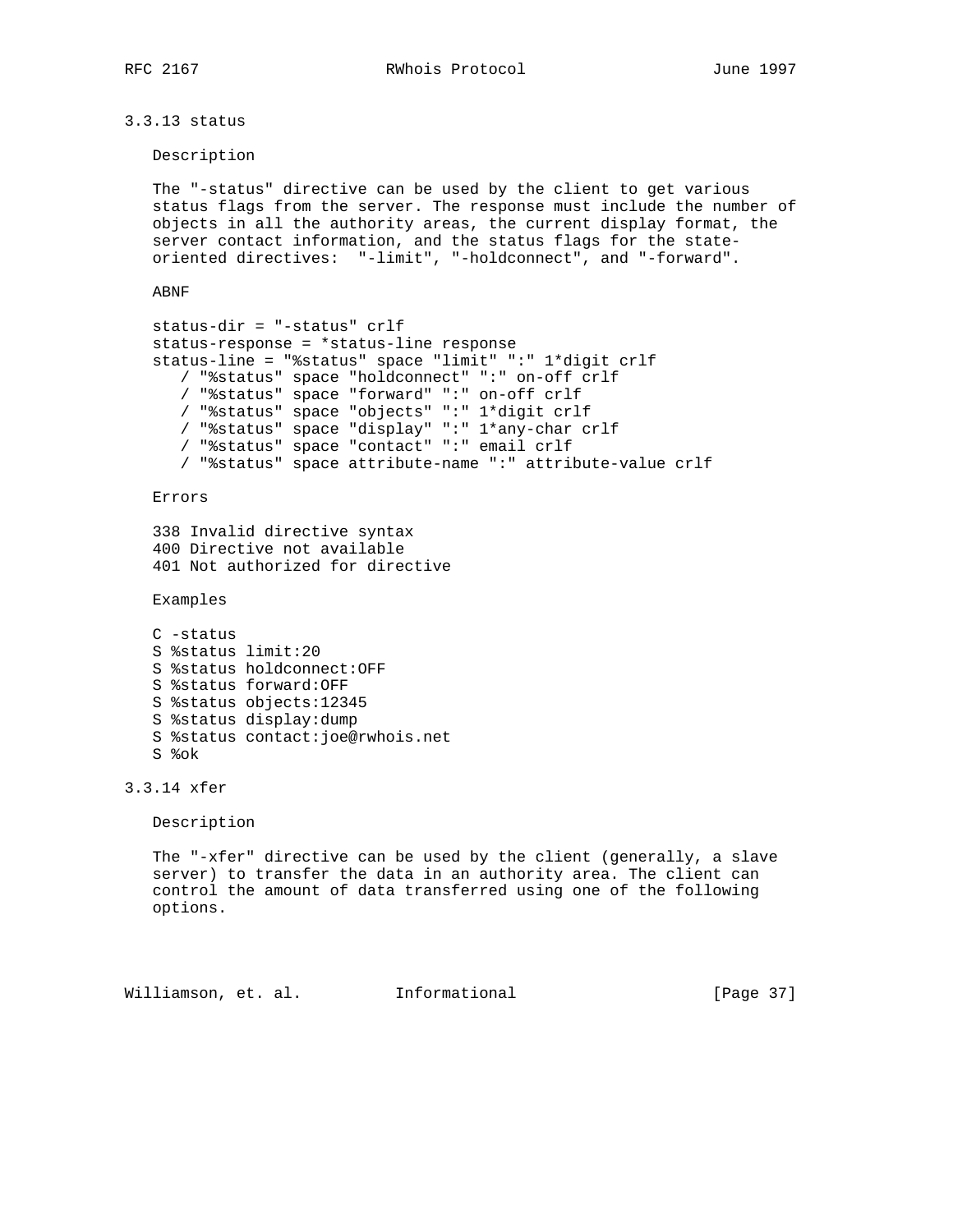RFC 2167 **RWhois Protocol** June 1997

3.3.13 status

Description

 The "-status" directive can be used by the client to get various status flags from the server. The response must include the number of objects in all the authority areas, the current display format, the server contact information, and the status flags for the state oriented directives: "-limit", "-holdconnect", and "-forward".

ABNF

```
 status-dir = "-status" crlf
 status-response = *status-line response
 status-line = "%status" space "limit" ":" 1*digit crlf
    / "%status" space "holdconnect" ":" on-off crlf
    / "%status" space "forward" ":" on-off crlf
    / "%status" space "objects" ":" 1*digit crlf
    / "%status" space "display" ":" 1*any-char crlf
    / "%status" space "contact" ":" email crlf
    / "%status" space attribute-name ":" attribute-value crlf
```
Errors

```
 338 Invalid directive syntax
 400 Directive not available
 401 Not authorized for directive
```
Examples

```
 C -status
 S %status limit:20
 S %status holdconnect:OFF
 S %status forward:OFF
 S %status objects:12345
 S %status display:dump
 S %status contact:joe@rwhois.net
 S %ok
```
3.3.14 xfer

Description

 The "-xfer" directive can be used by the client (generally, a slave server) to transfer the data in an authority area. The client can control the amount of data transferred using one of the following options.

Williamson, et. al. Informational [Page 37]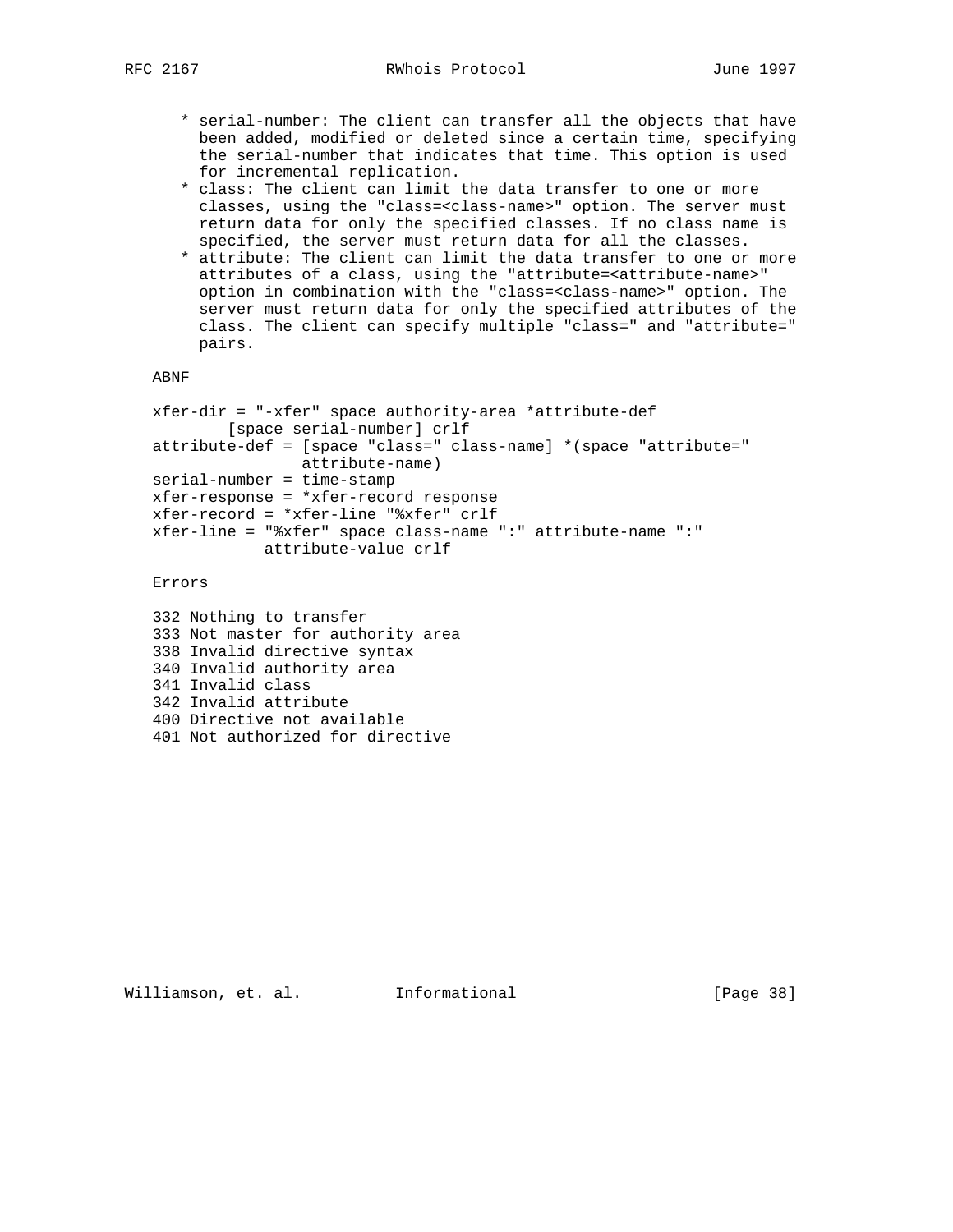- \* serial-number: The client can transfer all the objects that have been added, modified or deleted since a certain time, specifying the serial-number that indicates that time. This option is used for incremental replication.
- \* class: The client can limit the data transfer to one or more classes, using the "class=<class-name>" option. The server must return data for only the specified classes. If no class name is specified, the server must return data for all the classes.
- \* attribute: The client can limit the data transfer to one or more attributes of a class, using the "attribute=<attribute-name>" option in combination with the "class=<class-name>" option. The server must return data for only the specified attributes of the class. The client can specify multiple "class=" and "attribute=" pairs.

```
 ABNF
```

```
 xfer-dir = "-xfer" space authority-area *attribute-def
         [space serial-number] crlf
 attribute-def = [space "class=" class-name] *(space "attribute="
                 attribute-name)
 serial-number = time-stamp
 xfer-response = *xfer-record response
 xfer-record = *xfer-line "%xfer" crlf
 xfer-line = "%xfer" space class-name ":" attribute-name ":"
             attribute-value crlf
```
Errors

```
 332 Nothing to transfer
 333 Not master for authority area
 338 Invalid directive syntax
 340 Invalid authority area
 341 Invalid class
 342 Invalid attribute
 400 Directive not available
 401 Not authorized for directive
```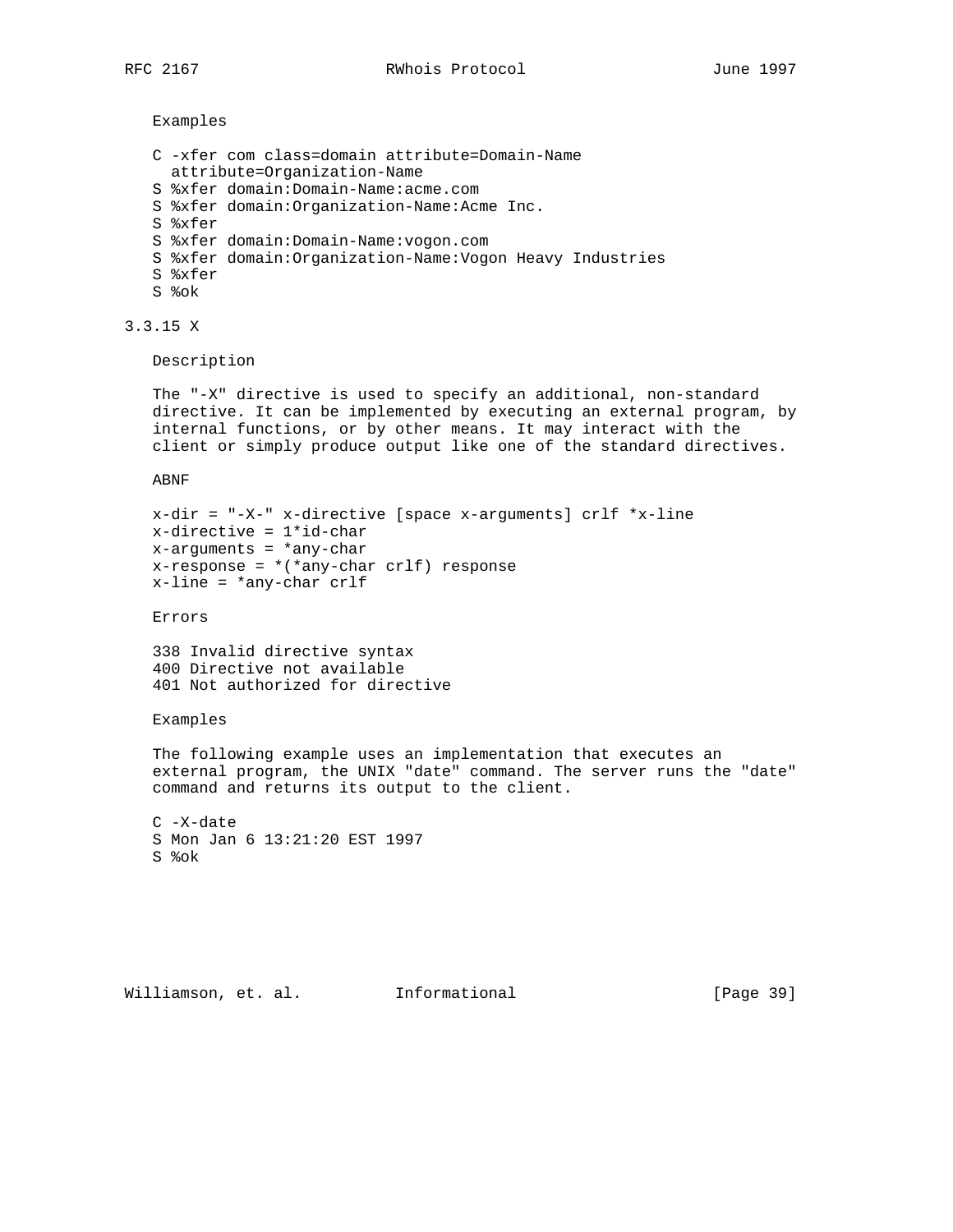Examples

```
 C -xfer com class=domain attribute=Domain-Name
  attribute=Organization-Name
 S %xfer domain:Domain-Name:acme.com
 S %xfer domain:Organization-Name:Acme Inc.
 S %xfer
 S %xfer domain:Domain-Name:vogon.com
 S %xfer domain:Organization-Name:Vogon Heavy Industries
 S %xfer
 S %ok
```
3.3.15 X

Description

 The "-X" directive is used to specify an additional, non-standard directive. It can be implemented by executing an external program, by internal functions, or by other means. It may interact with the client or simply produce output like one of the standard directives.

ABNF

```
 x-dir = "-X-" x-directive [space x-arguments] crlf *x-line
 x-directive = 1*id-char
 x-arguments = *any-char
x-response = *(*any-char crlf) response
 x-line = *any-char crlf
```
Errors

 338 Invalid directive syntax 400 Directive not available 401 Not authorized for directive

### Examples

 The following example uses an implementation that executes an external program, the UNIX "date" command. The server runs the "date" command and returns its output to the client.

 C -X-date S Mon Jan 6 13:21:20 EST 1997 S %ok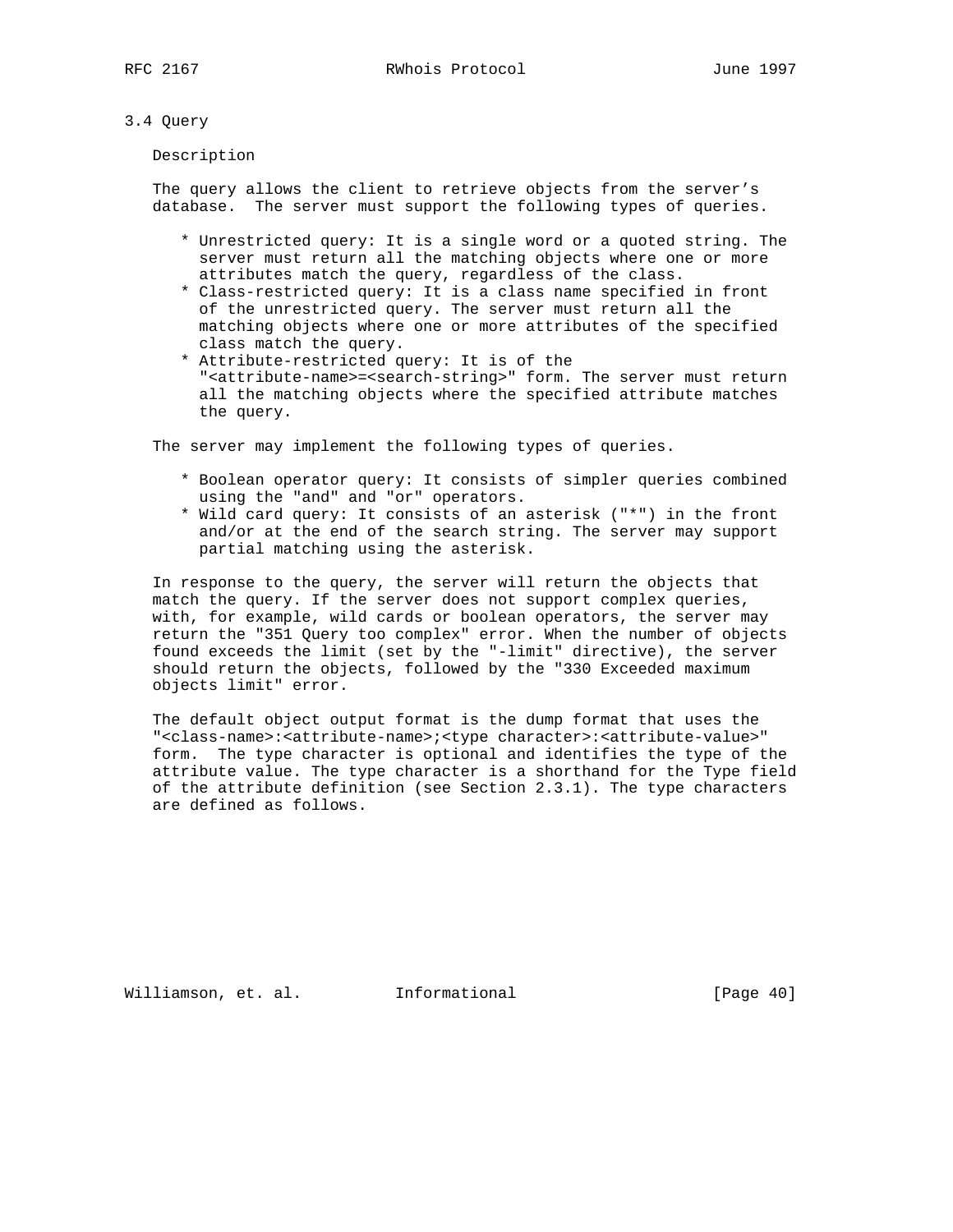# 3.4 Query

Description

 The query allows the client to retrieve objects from the server's database. The server must support the following types of queries.

- \* Unrestricted query: It is a single word or a quoted string. The server must return all the matching objects where one or more attributes match the query, regardless of the class.
- \* Class-restricted query: It is a class name specified in front of the unrestricted query. The server must return all the matching objects where one or more attributes of the specified class match the query.
- \* Attribute-restricted query: It is of the "<attribute-name>=<search-string>" form. The server must return all the matching objects where the specified attribute matches the query.

The server may implement the following types of queries.

- \* Boolean operator query: It consists of simpler queries combined using the "and" and "or" operators.
- \* Wild card query: It consists of an asterisk ("\*") in the front and/or at the end of the search string. The server may support partial matching using the asterisk.

 In response to the query, the server will return the objects that match the query. If the server does not support complex queries, with, for example, wild cards or boolean operators, the server may return the "351 Query too complex" error. When the number of objects found exceeds the limit (set by the "-limit" directive), the server should return the objects, followed by the "330 Exceeded maximum objects limit" error.

 The default object output format is the dump format that uses the "<class-name>:<attribute-name>;<type character>:<attribute-value>" form. The type character is optional and identifies the type of the attribute value. The type character is a shorthand for the Type field of the attribute definition (see Section 2.3.1). The type characters are defined as follows.

Williamson, et. al. Informational [Page 40]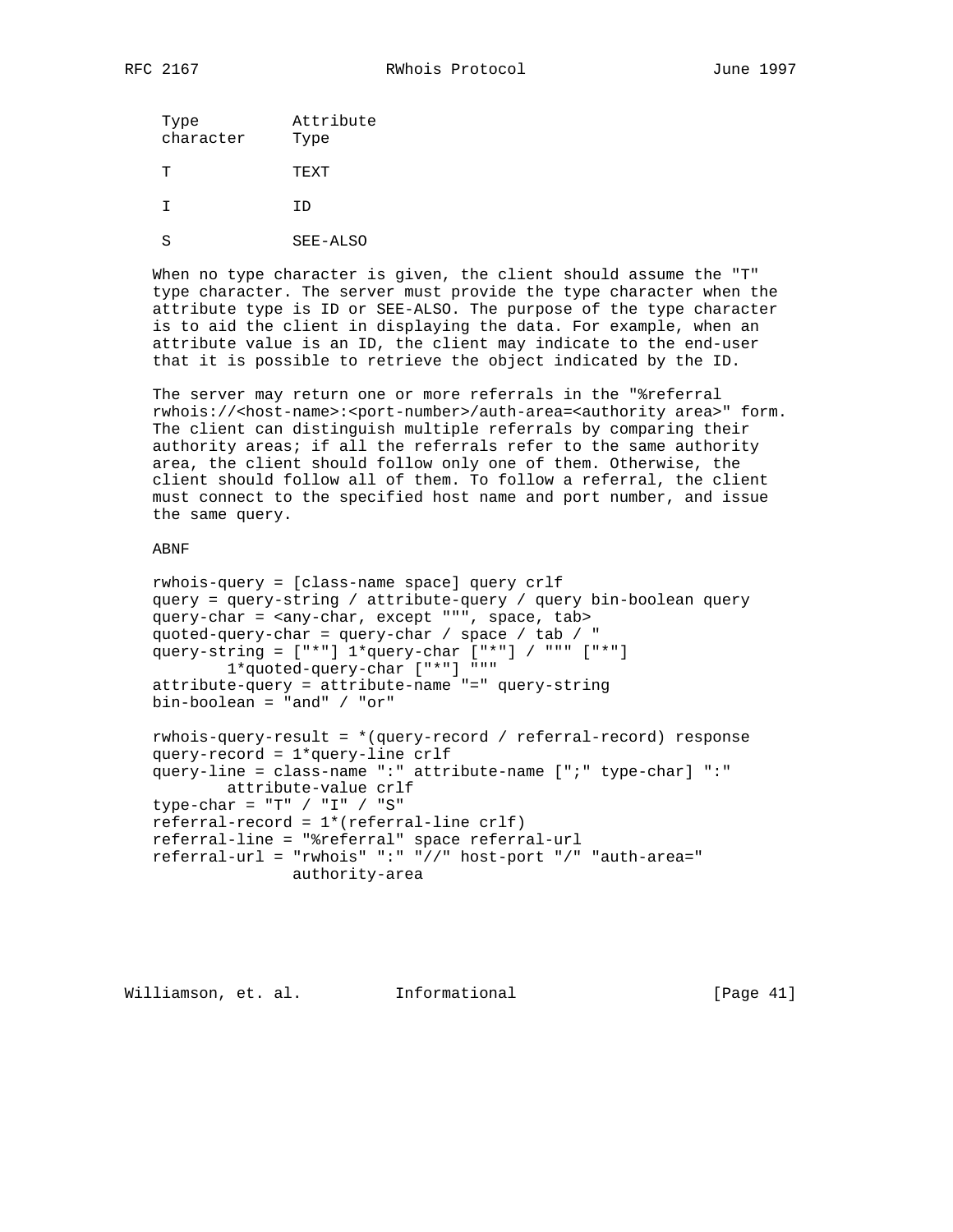| Type<br>character | Attribute<br>Type |
|-------------------|-------------------|
| Ͳ                 | TEXT              |
| т                 | TD                |
|                   |                   |

S SEE-ALSO

 When no type character is given, the client should assume the "T" type character. The server must provide the type character when the attribute type is ID or SEE-ALSO. The purpose of the type character is to aid the client in displaying the data. For example, when an attribute value is an ID, the client may indicate to the end-user that it is possible to retrieve the object indicated by the ID.

 The server may return one or more referrals in the "%referral rwhois://<host-name>:<port-number>/auth-area=<authority area>" form. The client can distinguish multiple referrals by comparing their authority areas; if all the referrals refer to the same authority area, the client should follow only one of them. Otherwise, the client should follow all of them. To follow a referral, the client must connect to the specified host name and port number, and issue the same query.

### ABNF

```
 rwhois-query = [class-name space] query crlf
 query = query-string / attribute-query / query bin-boolean query
 query-char = <any-char, except """, space, tab>
 quoted-query-char = query-char / space / tab / "
query-string = ["*"] 1*query-char ['*"] / """ " ["*"] 1*quoted-query-char ["*"] """
 attribute-query = attribute-name "=" query-string
 bin-boolean = "and" / "or"
 rwhois-query-result = *(query-record / referral-record) response
 query-record = 1*query-line crlf
 query-line = class-name ":" attribute-name [";" type-char] ":"
         attribute-value crlf
 type-char = "T" / "I" / "S"
 referral-record = 1*(referral-line crlf)
 referral-line = "%referral" space referral-url
 referral-url = "rwhois" ":" "//" host-port "/" "auth-area="
                authority-area
```
Williamson, et. al. Informational [Page 41]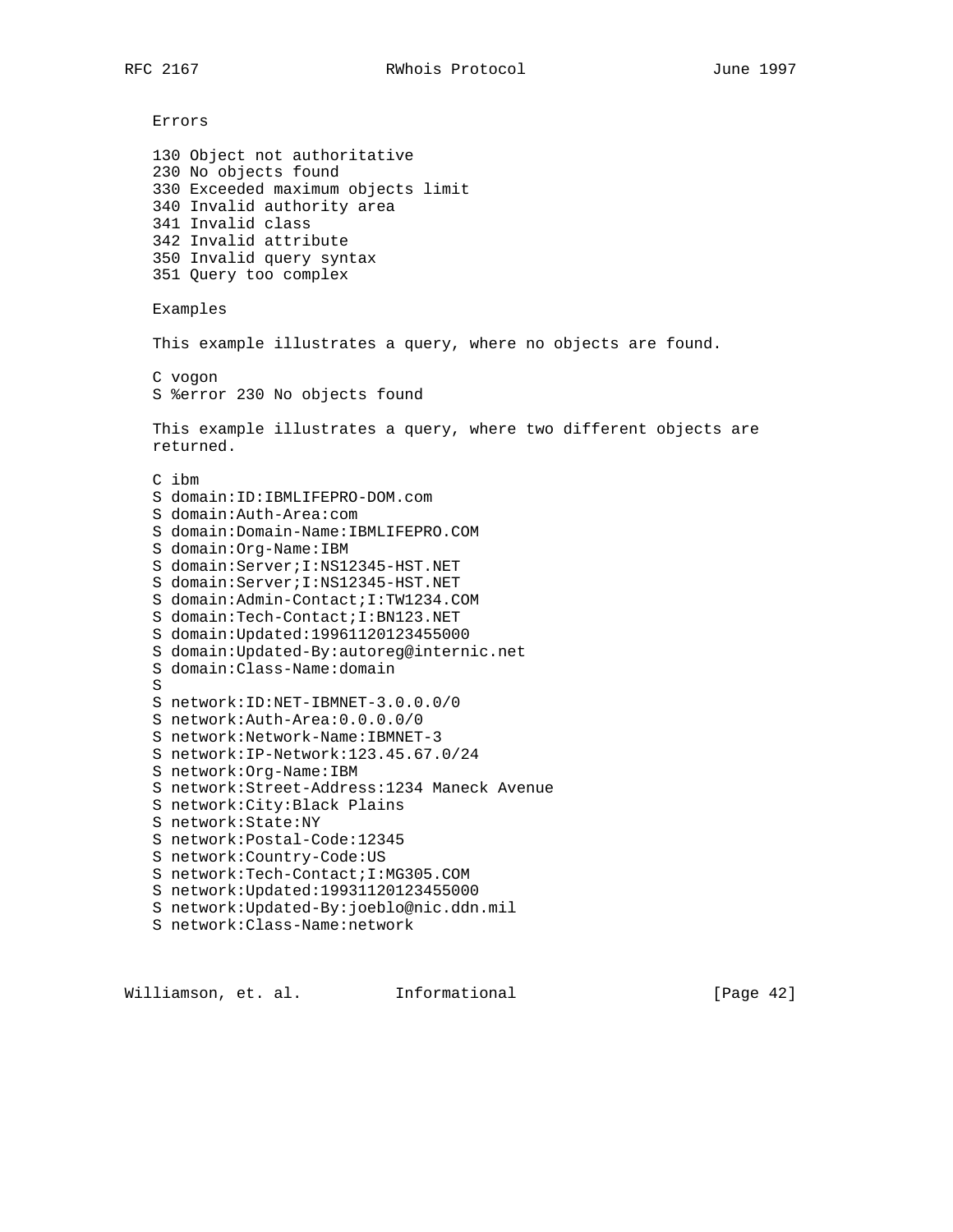Errors 130 Object not authoritative 230 No objects found 330 Exceeded maximum objects limit 340 Invalid authority area 341 Invalid class 342 Invalid attribute 350 Invalid query syntax 351 Query too complex Examples This example illustrates a query, where no objects are found. C vogon S %error 230 No objects found This example illustrates a query, where two different objects are returned. C ibm S domain:ID:IBMLIFEPRO-DOM.com S domain:Auth-Area:com S domain:Domain-Name:IBMLIFEPRO.COM S domain:Org-Name:IBM S domain:Server;I:NS12345-HST.NET S domain:Server;I:NS12345-HST.NET S domain:Admin-Contact;I:TW1234.COM S domain:Tech-Contact;I:BN123.NET S domain:Updated:19961120123455000 S domain:Updated-By:autoreg@internic.net S domain:Class-Name:domain S S network:ID:NET-IBMNET-3.0.0.0/0 S network:Auth-Area:0.0.0.0/0 S network:Network-Name:IBMNET-3 S network:IP-Network:123.45.67.0/24 S network:Org-Name:IBM S network:Street-Address:1234 Maneck Avenue S network:City:Black Plains S network:State:NY S network:Postal-Code:12345 S network:Country-Code:US S network:Tech-Contact;I:MG305.COM S network:Updated:19931120123455000 S network:Updated-By:joeblo@nic.ddn.mil S network:Class-Name:network

Williamson, et. al. Informational [Page 42]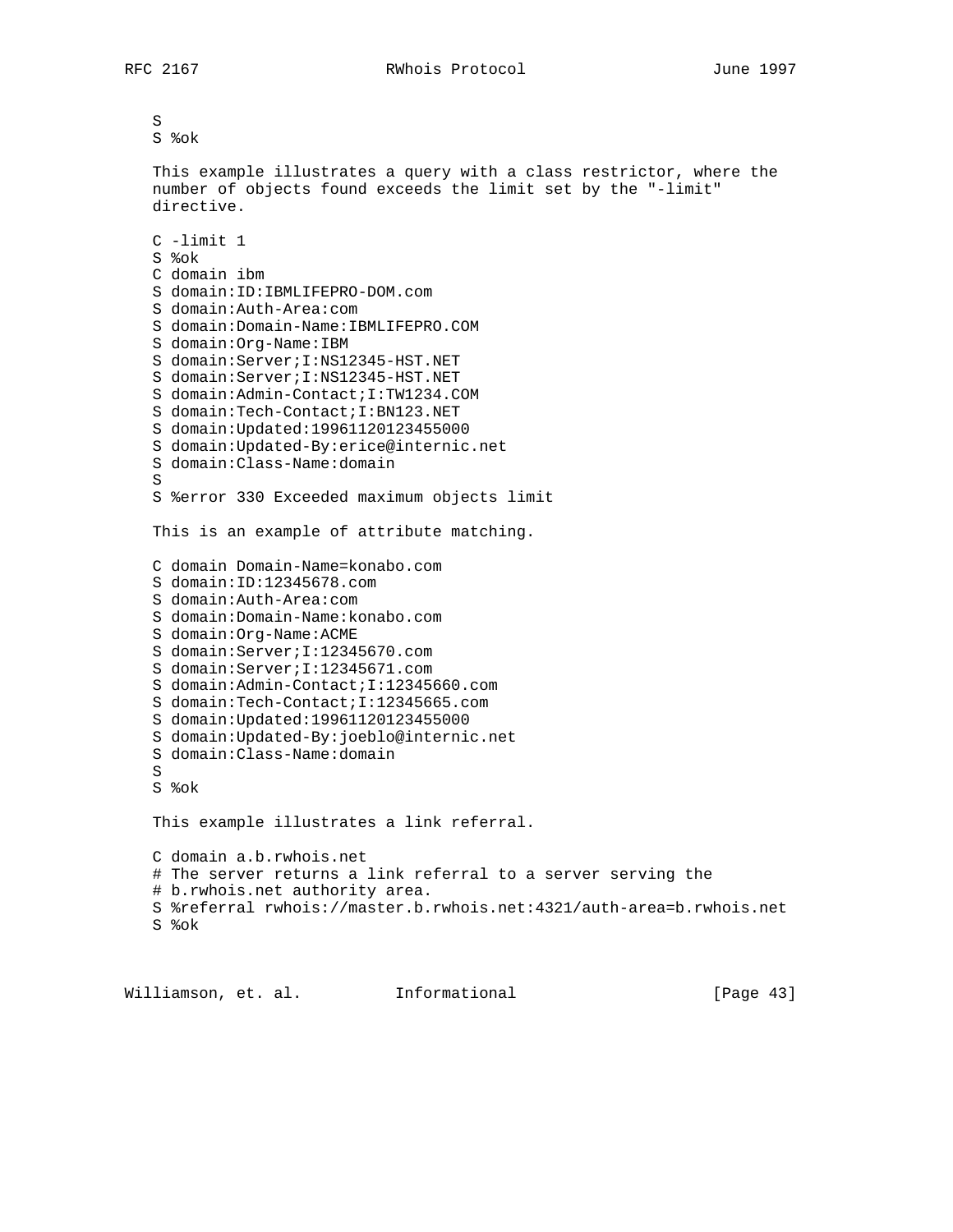```
 S
 S %ok
 This example illustrates a query with a class restrictor, where the
 number of objects found exceeds the limit set by the "-limit"
 directive.
 C -limit 1
 S %ok
 C domain ibm
 S domain:ID:IBMLIFEPRO-DOM.com
 S domain:Auth-Area:com
 S domain:Domain-Name:IBMLIFEPRO.COM
 S domain:Org-Name:IBM
 S domain:Server;I:NS12345-HST.NET
 S domain:Server;I:NS12345-HST.NET
 S domain:Admin-Contact;I:TW1234.COM
 S domain:Tech-Contact;I:BN123.NET
 S domain:Updated:19961120123455000
 S domain:Updated-By:erice@internic.net
 S domain:Class-Name:domain
 S
 S %error 330 Exceeded maximum objects limit
 This is an example of attribute matching.
 C domain Domain-Name=konabo.com
 S domain:ID:12345678.com
 S domain:Auth-Area:com
 S domain:Domain-Name:konabo.com
 S domain:Org-Name:ACME
 S domain:Server;I:12345670.com
 S domain:Server;I:12345671.com
 S domain:Admin-Contact;I:12345660.com
 S domain:Tech-Contact;I:12345665.com
 S domain:Updated:19961120123455000
 S domain:Updated-By:joeblo@internic.net
 S domain:Class-Name:domain
 S
 S %ok
 This example illustrates a link referral.
 C domain a.b.rwhois.net
 # The server returns a link referral to a server serving the
 # b.rwhois.net authority area.
 S %referral rwhois://master.b.rwhois.net:4321/auth-area=b.rwhois.net
 S %ok
```
Williamson, et. al. Informational [Page 43]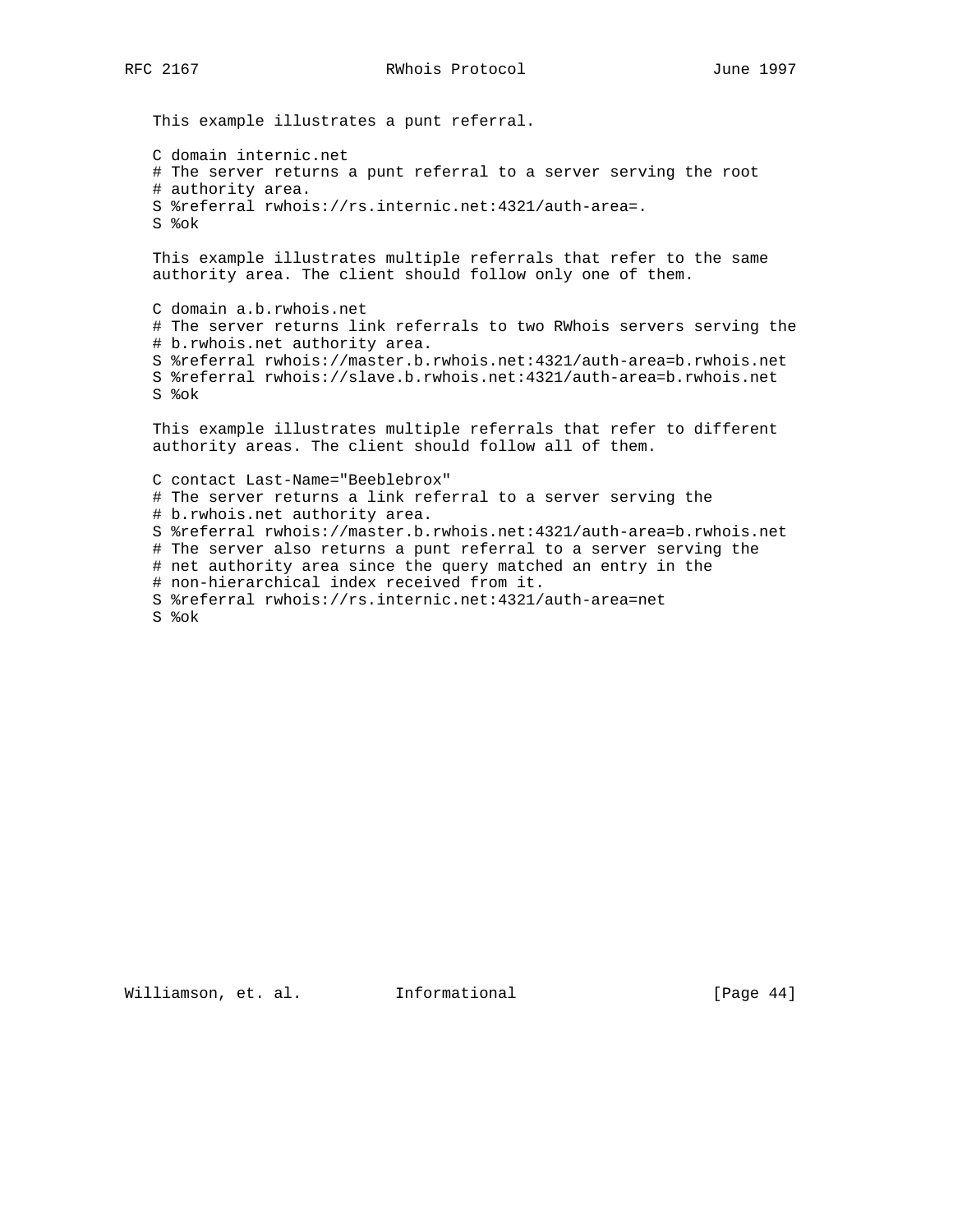This example illustrates a punt referral. C domain internic.net # The server returns a punt referral to a server serving the root # authority area. S %referral rwhois://rs.internic.net:4321/auth-area=. S %ok This example illustrates multiple referrals that refer to the same authority area. The client should follow only one of them. C domain a.b.rwhois.net # The server returns link referrals to two RWhois servers serving the # b.rwhois.net authority area. S %referral rwhois://master.b.rwhois.net:4321/auth-area=b.rwhois.net S %referral rwhois://slave.b.rwhois.net:4321/auth-area=b.rwhois.net S %ok This example illustrates multiple referrals that refer to different authority areas. The client should follow all of them. C contact Last-Name="Beeblebrox" # The server returns a link referral to a server serving the # b.rwhois.net authority area. S %referral rwhois://master.b.rwhois.net:4321/auth-area=b.rwhois.net # The server also returns a punt referral to a server serving the # net authority area since the query matched an entry in the # non-hierarchical index received from it. S %referral rwhois://rs.internic.net:4321/auth-area=net S %ok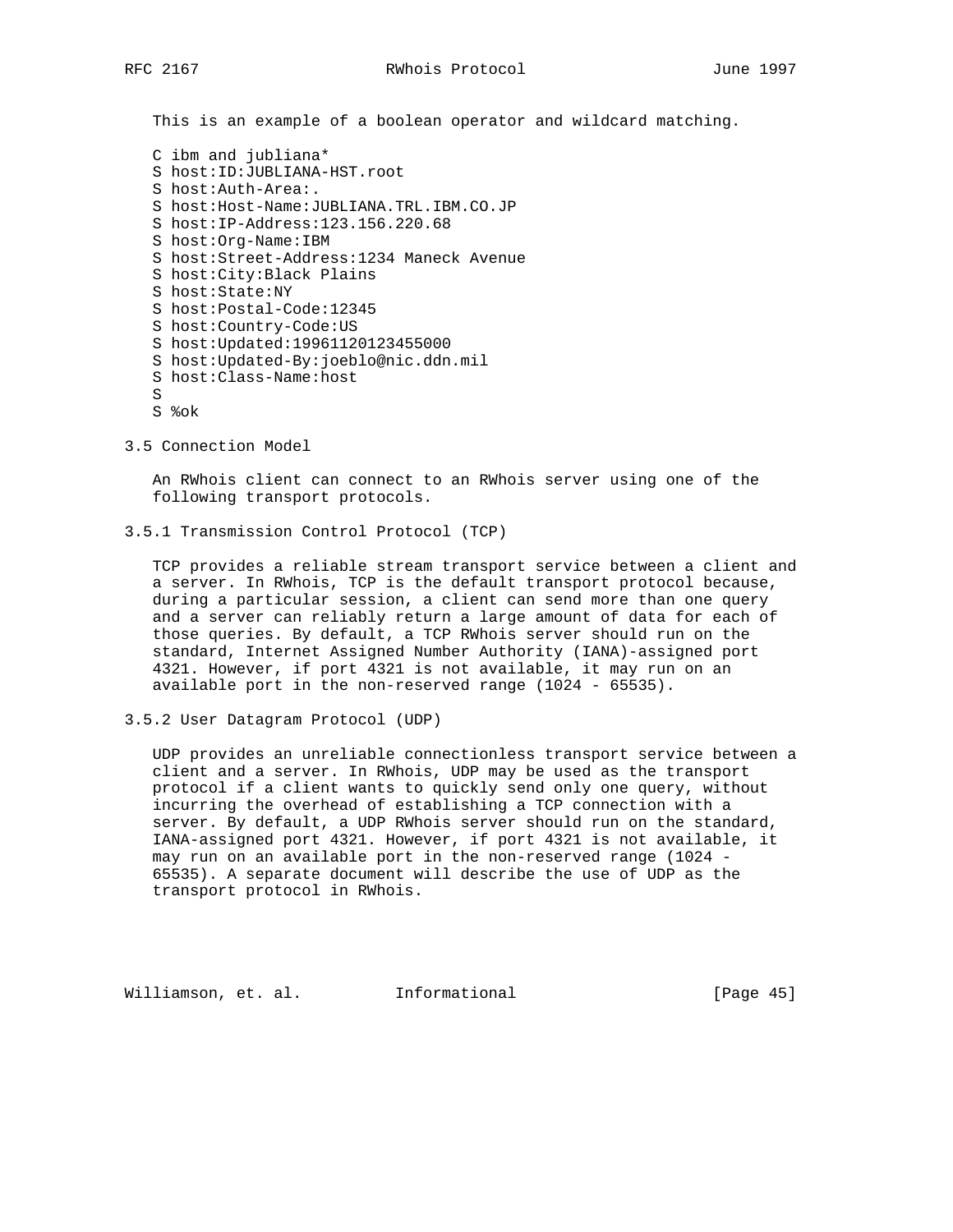This is an example of a boolean operator and wildcard matching.

- C ibm and jubliana\* S host:ID:JUBLIANA-HST.root S host:Auth-Area:. S host:Host-Name:JUBLIANA.TRL.IBM.CO.JP S host:IP-Address:123.156.220.68 S host:Org-Name:IBM S host:Street-Address:1234 Maneck Avenue S host:City:Black Plains S host:State:NY S host:Postal-Code:12345 S host:Country-Code:US S host:Updated:19961120123455000 S host:Updated-By:joeblo@nic.ddn.mil S host:Class-Name:host S S %ok
- 3.5 Connection Model

 An RWhois client can connect to an RWhois server using one of the following transport protocols.

3.5.1 Transmission Control Protocol (TCP)

 TCP provides a reliable stream transport service between a client and a server. In RWhois, TCP is the default transport protocol because, during a particular session, a client can send more than one query and a server can reliably return a large amount of data for each of those queries. By default, a TCP RWhois server should run on the standard, Internet Assigned Number Authority (IANA)-assigned port 4321. However, if port 4321 is not available, it may run on an available port in the non-reserved range (1024 - 65535).

3.5.2 User Datagram Protocol (UDP)

 UDP provides an unreliable connectionless transport service between a client and a server. In RWhois, UDP may be used as the transport protocol if a client wants to quickly send only one query, without incurring the overhead of establishing a TCP connection with a server. By default, a UDP RWhois server should run on the standard, IANA-assigned port 4321. However, if port 4321 is not available, it may run on an available port in the non-reserved range (1024 - 65535). A separate document will describe the use of UDP as the transport protocol in RWhois.

Williamson, et. al. Informational [Page 45]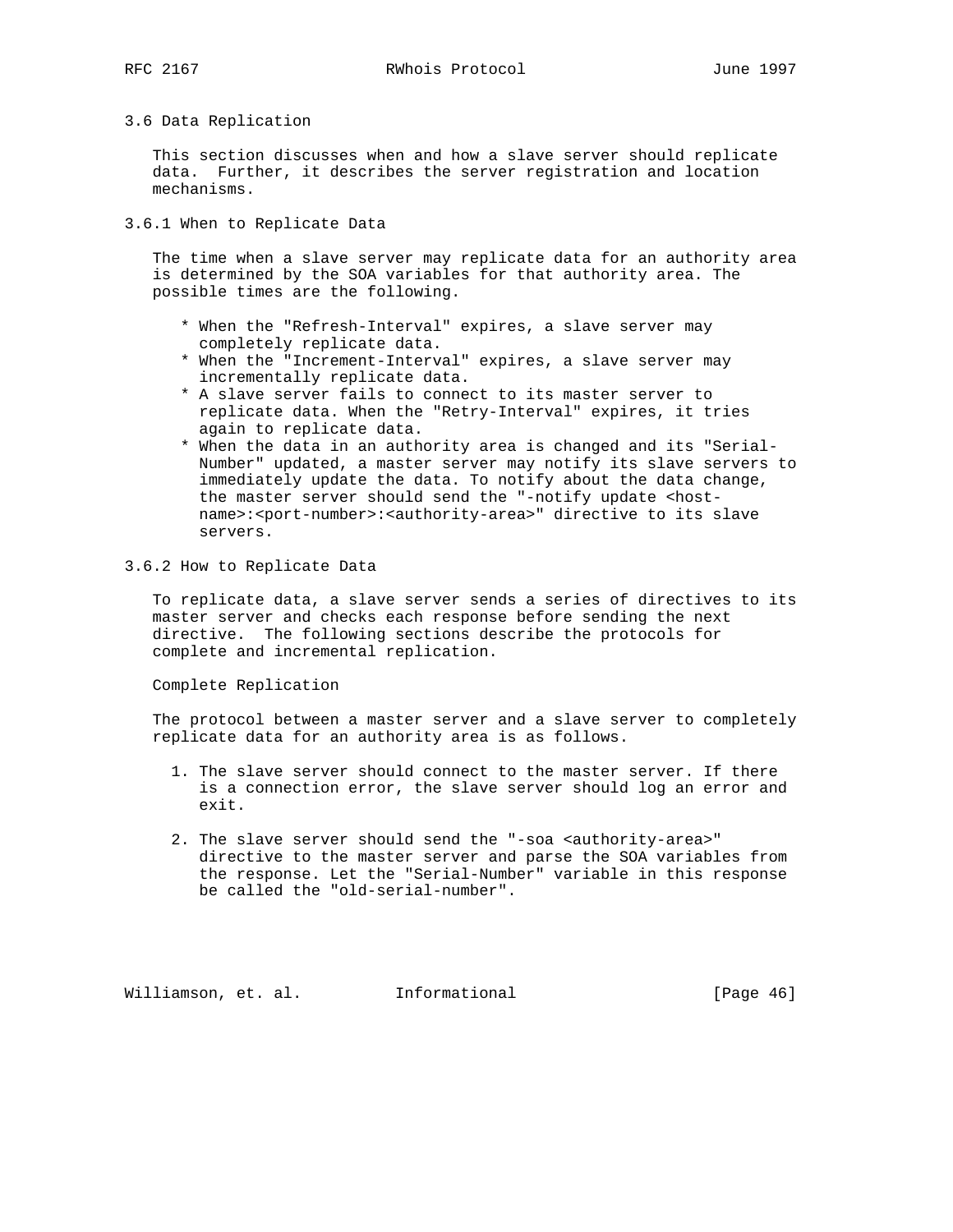# 3.6 Data Replication

 This section discusses when and how a slave server should replicate data. Further, it describes the server registration and location mechanisms.

3.6.1 When to Replicate Data

 The time when a slave server may replicate data for an authority area is determined by the SOA variables for that authority area. The possible times are the following.

- \* When the "Refresh-Interval" expires, a slave server may completely replicate data.
- \* When the "Increment-Interval" expires, a slave server may incrementally replicate data.
- \* A slave server fails to connect to its master server to replicate data. When the "Retry-Interval" expires, it tries again to replicate data.
- \* When the data in an authority area is changed and its "Serial- Number" updated, a master server may notify its slave servers to immediately update the data. To notify about the data change, the master server should send the "-notify update <hostname>:<port-number>:<authority-area>" directive to its slave servers.

### 3.6.2 How to Replicate Data

 To replicate data, a slave server sends a series of directives to its master server and checks each response before sending the next directive. The following sections describe the protocols for complete and incremental replication.

Complete Replication

 The protocol between a master server and a slave server to completely replicate data for an authority area is as follows.

- 1. The slave server should connect to the master server. If there is a connection error, the slave server should log an error and exit.
- 2. The slave server should send the "-soa <authority-area>" directive to the master server and parse the SOA variables from the response. Let the "Serial-Number" variable in this response be called the "old-serial-number".

Williamson, et. al. Informational [Page 46]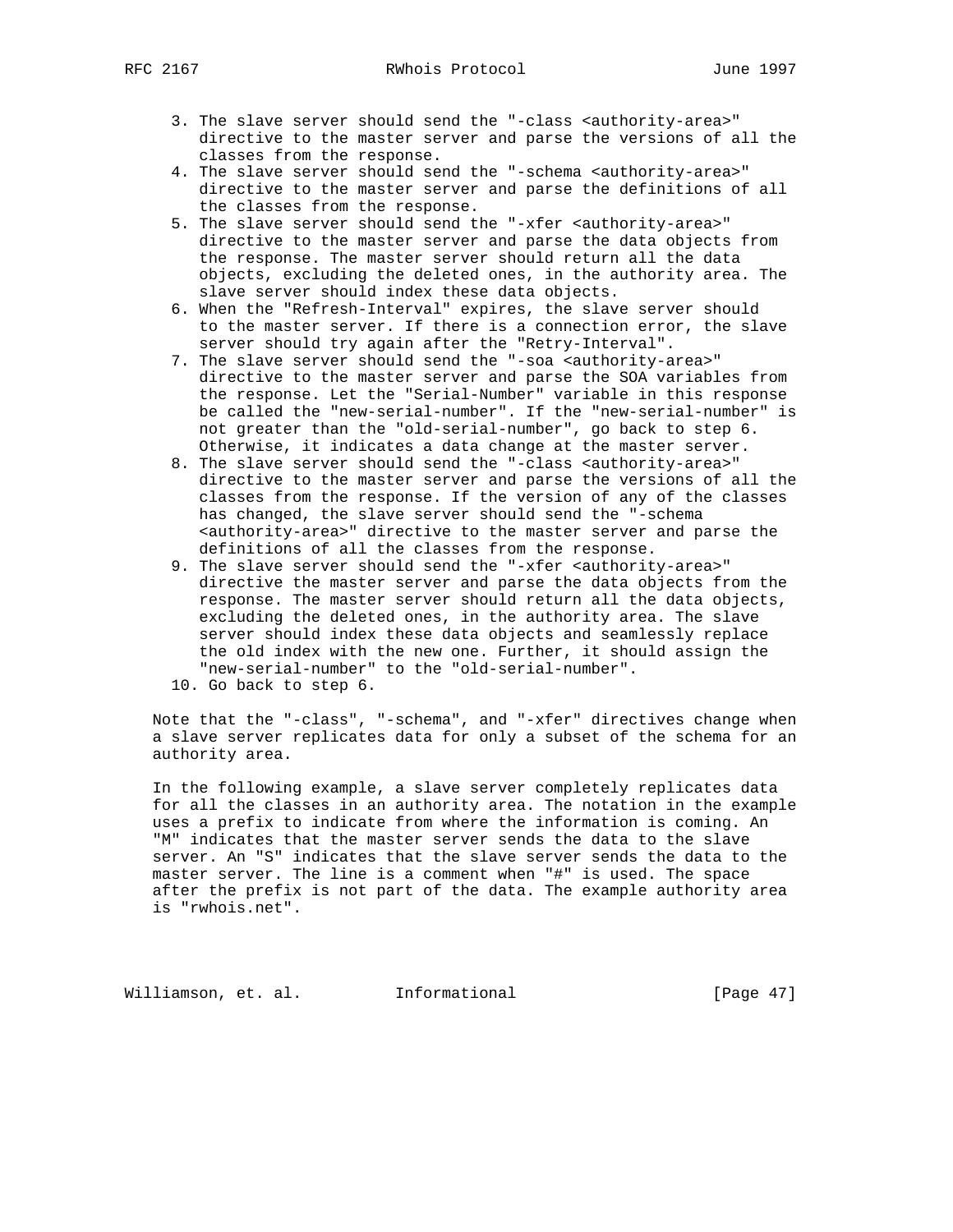- - 3. The slave server should send the "-class <authority-area>" directive to the master server and parse the versions of all the classes from the response.
	- 4. The slave server should send the "-schema <authority-area>" directive to the master server and parse the definitions of all the classes from the response.
	- 5. The slave server should send the "-xfer <authority-area>" directive to the master server and parse the data objects from the response. The master server should return all the data objects, excluding the deleted ones, in the authority area. The slave server should index these data objects.
	- 6. When the "Refresh-Interval" expires, the slave server should to the master server. If there is a connection error, the slave server should try again after the "Retry-Interval".
	- 7. The slave server should send the "-soa <authority-area>" directive to the master server and parse the SOA variables from the response. Let the "Serial-Number" variable in this response be called the "new-serial-number". If the "new-serial-number" is not greater than the "old-serial-number", go back to step 6. Otherwise, it indicates a data change at the master server.
	- 8. The slave server should send the "-class <authority-area>" directive to the master server and parse the versions of all the classes from the response. If the version of any of the classes has changed, the slave server should send the "-schema <authority-area>" directive to the master server and parse the definitions of all the classes from the response.
	- 9. The slave server should send the "-xfer <authority-area>" directive the master server and parse the data objects from the response. The master server should return all the data objects, excluding the deleted ones, in the authority area. The slave server should index these data objects and seamlessly replace the old index with the new one. Further, it should assign the "new-serial-number" to the "old-serial-number".
	- 10. Go back to step 6.

 Note that the "-class", "-schema", and "-xfer" directives change when a slave server replicates data for only a subset of the schema for an authority area.

 In the following example, a slave server completely replicates data for all the classes in an authority area. The notation in the example uses a prefix to indicate from where the information is coming. An "M" indicates that the master server sends the data to the slave server. An "S" indicates that the slave server sends the data to the master server. The line is a comment when "#" is used. The space after the prefix is not part of the data. The example authority area is "rwhois.net".

Williamson, et. al. Informational [Page 47]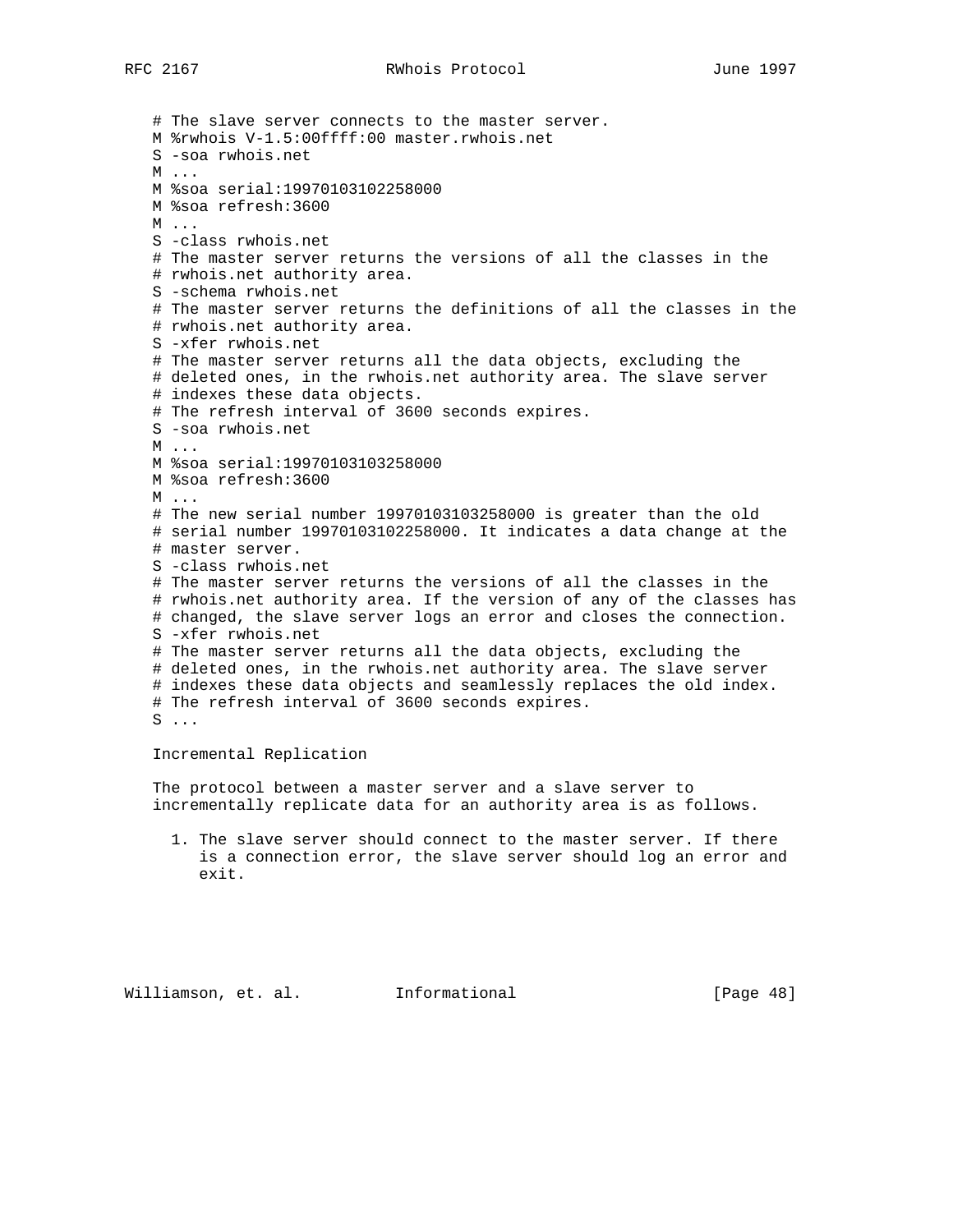# The slave server connects to the master server. M %rwhois V-1.5:00ffff:00 master.rwhois.net S -soa rwhois.net M ... M %soa serial:19970103102258000 M %soa refresh:3600 M ... S -class rwhois.net # The master server returns the versions of all the classes in the # rwhois.net authority area. S -schema rwhois.net # The master server returns the definitions of all the classes in the # rwhois.net authority area. S -xfer rwhois.net # The master server returns all the data objects, excluding the # deleted ones, in the rwhois.net authority area. The slave server # indexes these data objects. # The refresh interval of 3600 seconds expires. S -soa rwhois.net M ... M %soa serial:19970103103258000 M %soa refresh:3600 M ... # The new serial number 19970103103258000 is greater than the old # serial number 19970103102258000. It indicates a data change at the # master server. S -class rwhois.net # The master server returns the versions of all the classes in the # rwhois.net authority area. If the version of any of the classes has # changed, the slave server logs an error and closes the connection. S -xfer rwhois.net # The master server returns all the data objects, excluding the # deleted ones, in the rwhois.net authority area. The slave server # indexes these data objects and seamlessly replaces the old index. # The refresh interval of 3600 seconds expires.  $S \ldots$ 

Incremental Replication

 The protocol between a master server and a slave server to incrementally replicate data for an authority area is as follows.

 1. The slave server should connect to the master server. If there is a connection error, the slave server should log an error and exit.

Williamson, et. al. Informational [Page 48]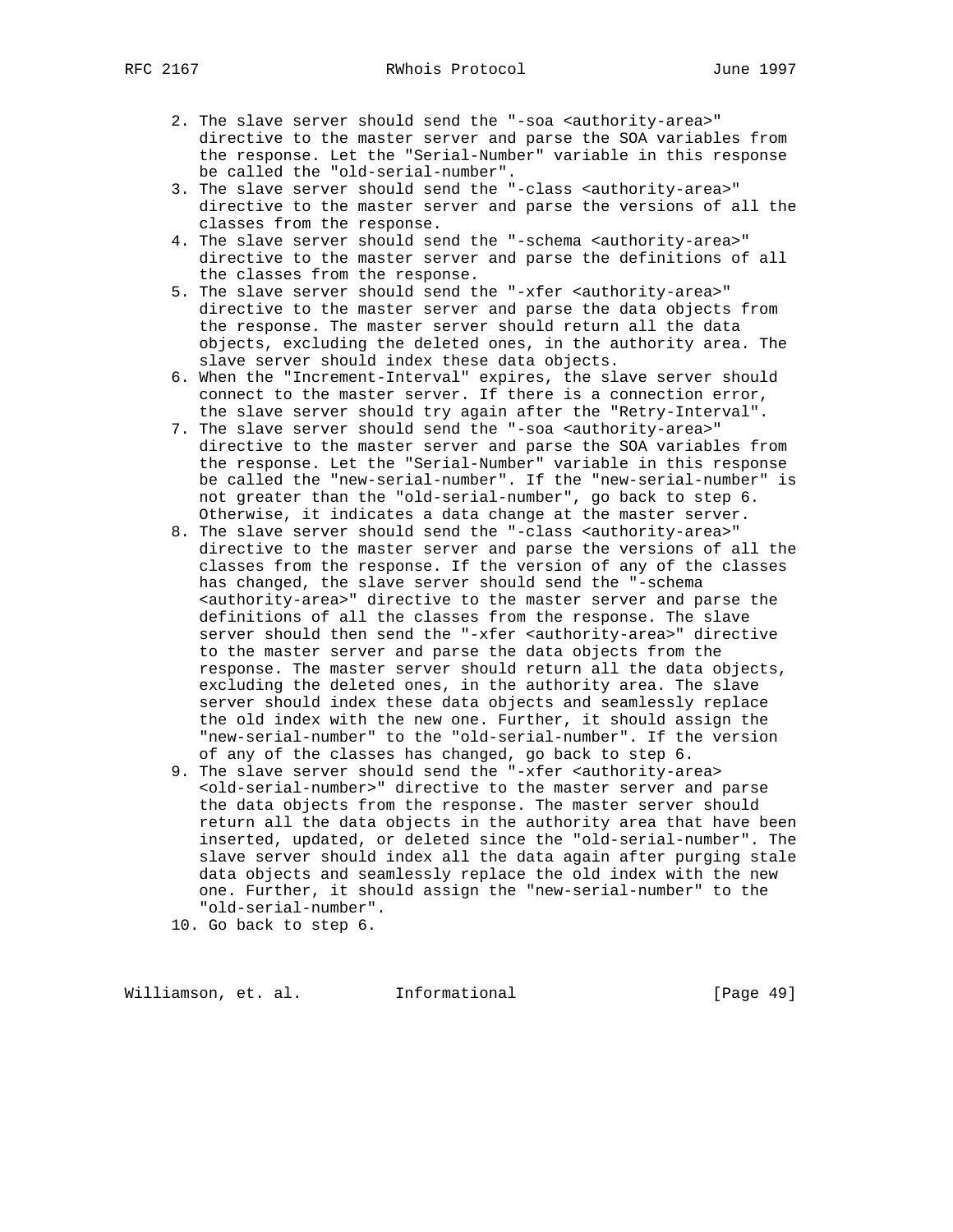- 2. The slave server should send the "-soa <authority-area>" directive to the master server and parse the SOA variables from the response. Let the "Serial-Number" variable in this response be called the "old-serial-number".
- 3. The slave server should send the "-class <authority-area>" directive to the master server and parse the versions of all the classes from the response.
- 4. The slave server should send the "-schema <authority-area>" directive to the master server and parse the definitions of all the classes from the response.
- 5. The slave server should send the "-xfer <authority-area>" directive to the master server and parse the data objects from the response. The master server should return all the data objects, excluding the deleted ones, in the authority area. The slave server should index these data objects.
- 6. When the "Increment-Interval" expires, the slave server should connect to the master server. If there is a connection error, the slave server should try again after the "Retry-Interval".
	- 7. The slave server should send the "-soa <authority-area>" directive to the master server and parse the SOA variables from the response. Let the "Serial-Number" variable in this response be called the "new-serial-number". If the "new-serial-number" is not greater than the "old-serial-number", go back to step 6. Otherwise, it indicates a data change at the master server.
	- 8. The slave server should send the "-class <authority-area>" directive to the master server and parse the versions of all the classes from the response. If the version of any of the classes has changed, the slave server should send the "-schema <authority-area>" directive to the master server and parse the definitions of all the classes from the response. The slave server should then send the "-xfer <authority-area>" directive to the master server and parse the data objects from the response. The master server should return all the data objects, excluding the deleted ones, in the authority area. The slave server should index these data objects and seamlessly replace the old index with the new one. Further, it should assign the "new-serial-number" to the "old-serial-number". If the version of any of the classes has changed, go back to step 6.
	- 9. The slave server should send the "-xfer <authority-area> <old-serial-number>" directive to the master server and parse the data objects from the response. The master server should return all the data objects in the authority area that have been inserted, updated, or deleted since the "old-serial-number". The slave server should index all the data again after purging stale data objects and seamlessly replace the old index with the new one. Further, it should assign the "new-serial-number" to the "old-serial-number".
	- 10. Go back to step 6.

Williamson, et. al. Informational [Page 49]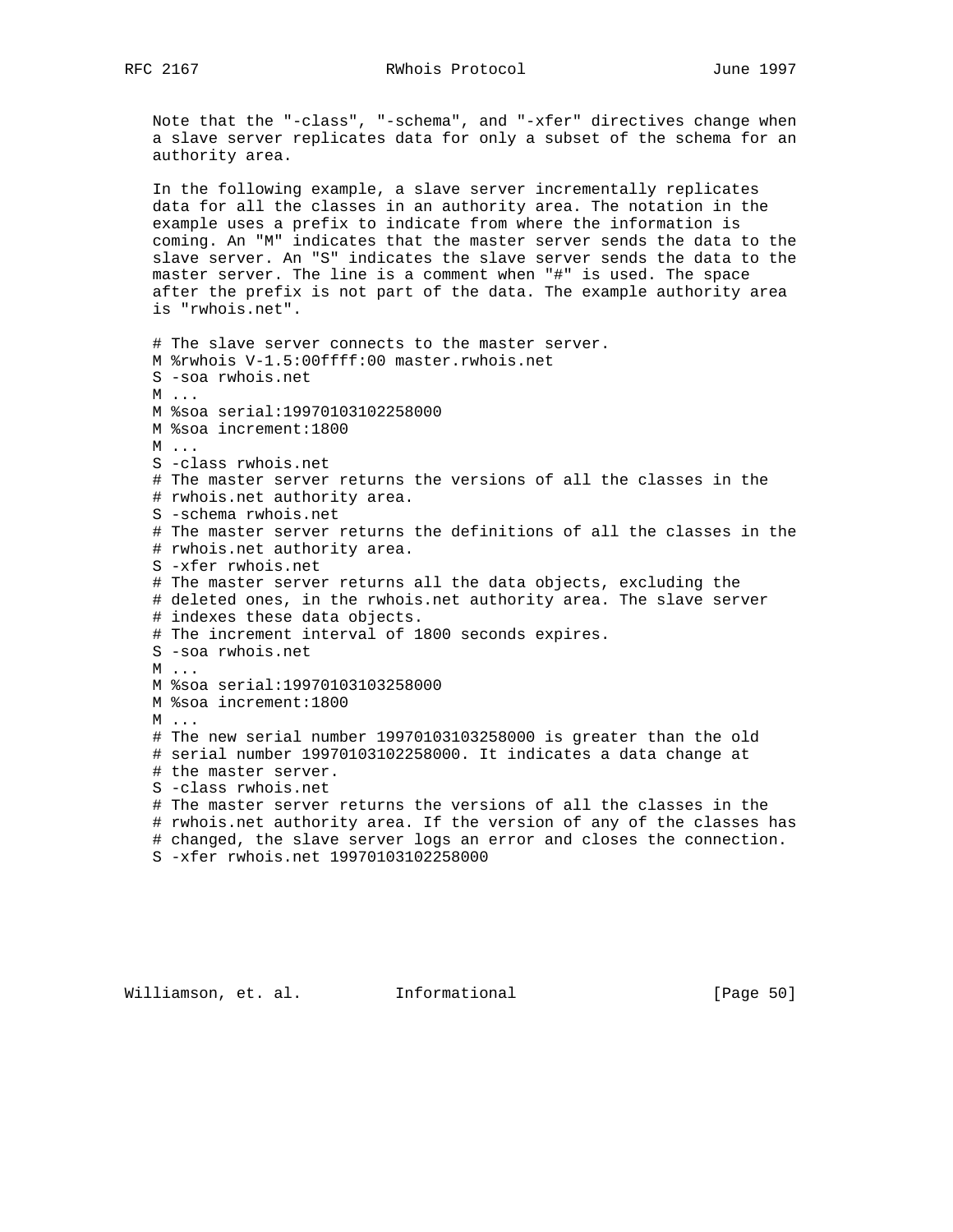Note that the "-class", "-schema", and "-xfer" directives change when a slave server replicates data for only a subset of the schema for an authority area.

 In the following example, a slave server incrementally replicates data for all the classes in an authority area. The notation in the example uses a prefix to indicate from where the information is coming. An "M" indicates that the master server sends the data to the slave server. An "S" indicates the slave server sends the data to the master server. The line is a comment when "#" is used. The space after the prefix is not part of the data. The example authority area is "rwhois.net".

```
 # The slave server connects to the master server.
 M %rwhois V-1.5:00ffff:00 master.rwhois.net
 S -soa rwhois.net
 M ...
 M %soa serial:19970103102258000
 M %soa increment:1800
 M ...
 S -class rwhois.net
 # The master server returns the versions of all the classes in the
 # rwhois.net authority area.
 S -schema rwhois.net
 # The master server returns the definitions of all the classes in the
 # rwhois.net authority area.
 S -xfer rwhois.net
 # The master server returns all the data objects, excluding the
 # deleted ones, in the rwhois.net authority area. The slave server
 # indexes these data objects.
 # The increment interval of 1800 seconds expires.
 S -soa rwhois.net
 M ...
 M %soa serial:19970103103258000
 M %soa increment:1800
 M ...
 # The new serial number 19970103103258000 is greater than the old
 # serial number 19970103102258000. It indicates a data change at
 # the master server.
 S -class rwhois.net
 # The master server returns the versions of all the classes in the
 # rwhois.net authority area. If the version of any of the classes has
 # changed, the slave server logs an error and closes the connection.
 S -xfer rwhois.net 19970103102258000
```
Williamson, et. al. Informational [Page 50]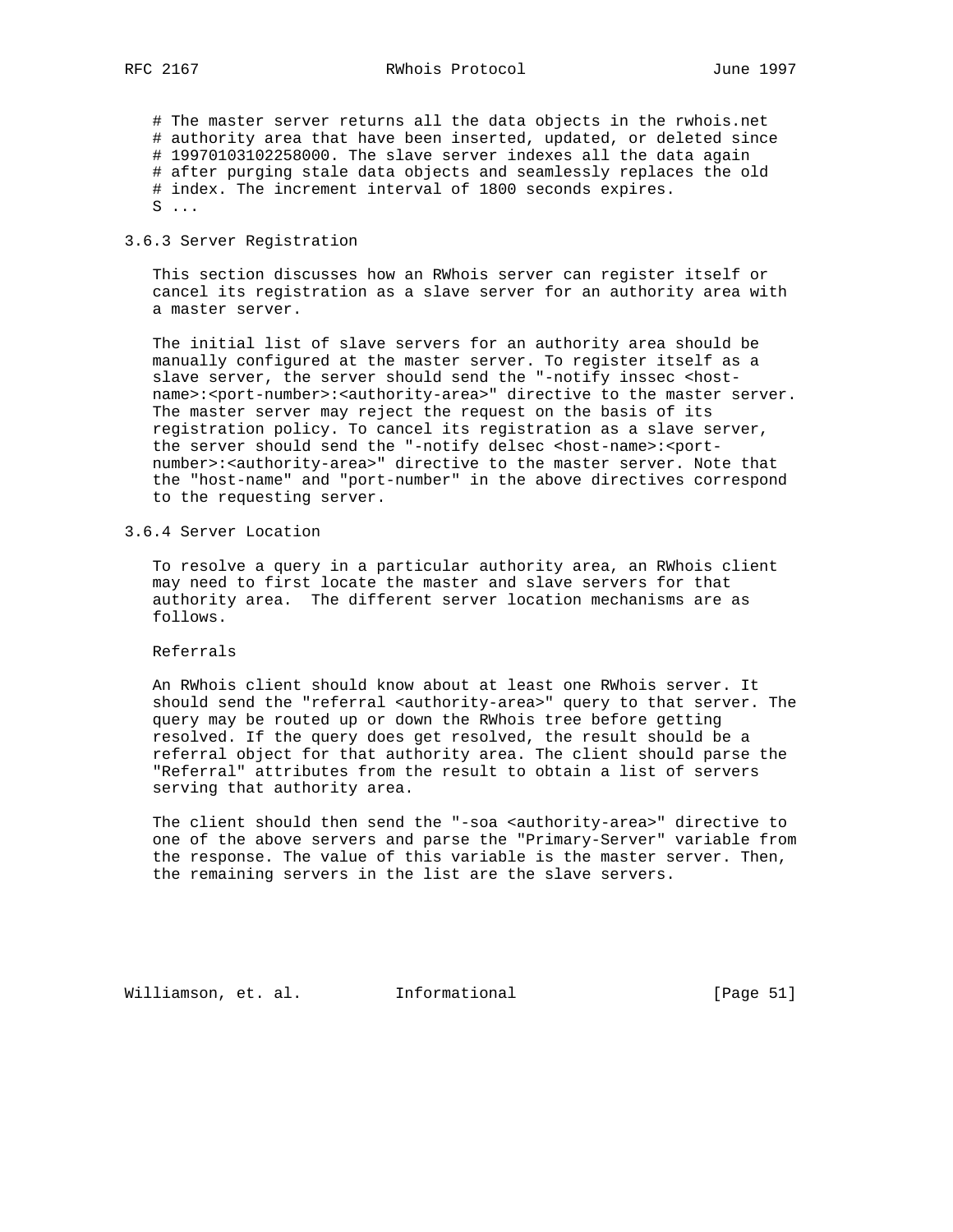# The master server returns all the data objects in the rwhois.net # authority area that have been inserted, updated, or deleted since # 19970103102258000. The slave server indexes all the data again # after purging stale data objects and seamlessly replaces the old # index. The increment interval of 1800 seconds expires.  $S \ldots$ 

## 3.6.3 Server Registration

 This section discusses how an RWhois server can register itself or cancel its registration as a slave server for an authority area with a master server.

 The initial list of slave servers for an authority area should be manually configured at the master server. To register itself as a slave server, the server should send the "-notify inssec <hostname>:<port-number>:<authority-area>" directive to the master server. The master server may reject the request on the basis of its registration policy. To cancel its registration as a slave server, the server should send the "-notify delsec <host-name>:<port number>:<authority-area>" directive to the master server. Note that the "host-name" and "port-number" in the above directives correspond to the requesting server.

3.6.4 Server Location

 To resolve a query in a particular authority area, an RWhois client may need to first locate the master and slave servers for that authority area. The different server location mechanisms are as follows.

Referrals

 An RWhois client should know about at least one RWhois server. It should send the "referral <authority-area>" query to that server. The query may be routed up or down the RWhois tree before getting resolved. If the query does get resolved, the result should be a referral object for that authority area. The client should parse the "Referral" attributes from the result to obtain a list of servers serving that authority area.

 The client should then send the "-soa <authority-area>" directive to one of the above servers and parse the "Primary-Server" variable from the response. The value of this variable is the master server. Then, the remaining servers in the list are the slave servers.

Williamson, et. al. Informational [Page 51]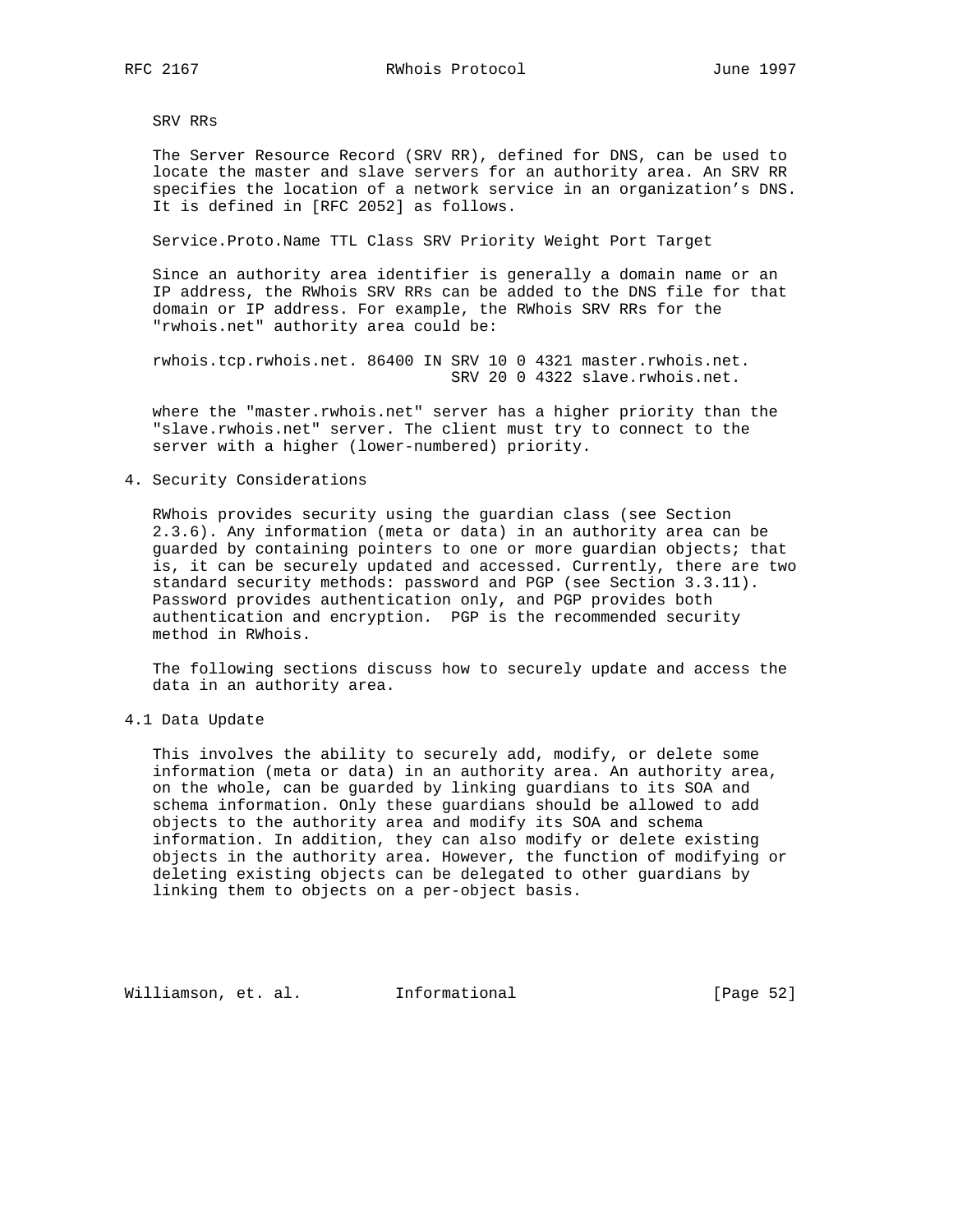SRV RRs

 The Server Resource Record (SRV RR), defined for DNS, can be used to locate the master and slave servers for an authority area. An SRV RR specifies the location of a network service in an organization's DNS. It is defined in [RFC 2052] as follows.

Service.Proto.Name TTL Class SRV Priority Weight Port Target

 Since an authority area identifier is generally a domain name or an IP address, the RWhois SRV RRs can be added to the DNS file for that domain or IP address. For example, the RWhois SRV RRs for the "rwhois.net" authority area could be:

 rwhois.tcp.rwhois.net. 86400 IN SRV 10 0 4321 master.rwhois.net. SRV 20 0 4322 slave.rwhois.net.

 where the "master.rwhois.net" server has a higher priority than the "slave.rwhois.net" server. The client must try to connect to the server with a higher (lower-numbered) priority.

## 4. Security Considerations

 RWhois provides security using the guardian class (see Section 2.3.6). Any information (meta or data) in an authority area can be guarded by containing pointers to one or more guardian objects; that is, it can be securely updated and accessed. Currently, there are two standard security methods: password and PGP (see Section 3.3.11). Password provides authentication only, and PGP provides both authentication and encryption. PGP is the recommended security method in RWhois.

 The following sections discuss how to securely update and access the data in an authority area.

4.1 Data Update

 This involves the ability to securely add, modify, or delete some information (meta or data) in an authority area. An authority area, on the whole, can be guarded by linking guardians to its SOA and schema information. Only these guardians should be allowed to add objects to the authority area and modify its SOA and schema information. In addition, they can also modify or delete existing objects in the authority area. However, the function of modifying or deleting existing objects can be delegated to other guardians by linking them to objects on a per-object basis.

Williamson, et. al. 1nformational 1999 [Page 52]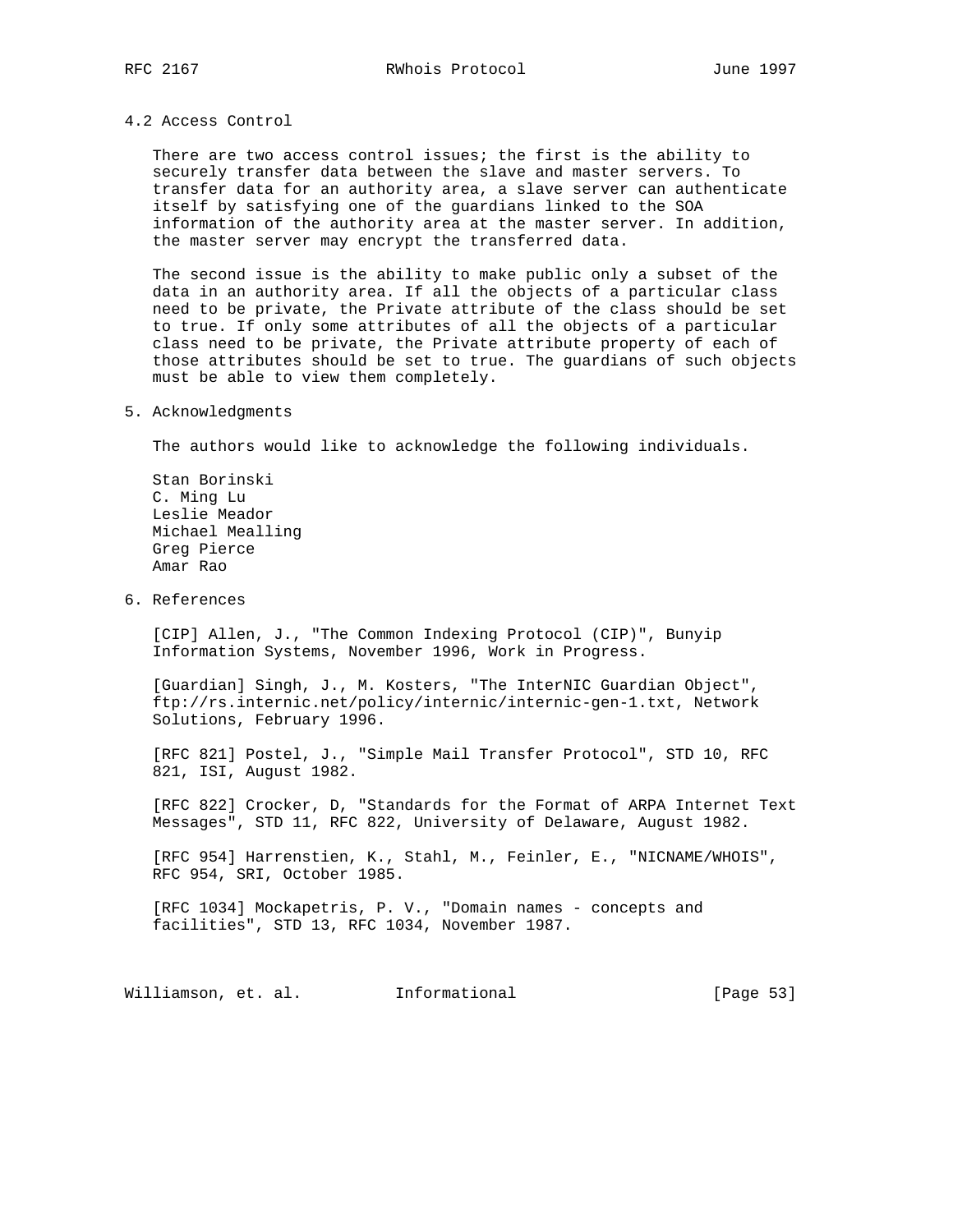### 4.2 Access Control

 There are two access control issues; the first is the ability to securely transfer data between the slave and master servers. To transfer data for an authority area, a slave server can authenticate itself by satisfying one of the guardians linked to the SOA information of the authority area at the master server. In addition, the master server may encrypt the transferred data.

 The second issue is the ability to make public only a subset of the data in an authority area. If all the objects of a particular class need to be private, the Private attribute of the class should be set to true. If only some attributes of all the objects of a particular class need to be private, the Private attribute property of each of those attributes should be set to true. The guardians of such objects must be able to view them completely.

## 5. Acknowledgments

The authors would like to acknowledge the following individuals.

 Stan Borinski C. Ming Lu Leslie Meador Michael Mealling Greg Pierce Amar Rao

6. References

 [CIP] Allen, J., "The Common Indexing Protocol (CIP)", Bunyip Information Systems, November 1996, Work in Progress.

 [Guardian] Singh, J., M. Kosters, "The InterNIC Guardian Object", ftp://rs.internic.net/policy/internic/internic-gen-1.txt, Network Solutions, February 1996.

 [RFC 821] Postel, J., "Simple Mail Transfer Protocol", STD 10, RFC 821, ISI, August 1982.

 [RFC 822] Crocker, D, "Standards for the Format of ARPA Internet Text Messages", STD 11, RFC 822, University of Delaware, August 1982.

 [RFC 954] Harrenstien, K., Stahl, M., Feinler, E., "NICNAME/WHOIS", RFC 954, SRI, October 1985.

 [RFC 1034] Mockapetris, P. V., "Domain names - concepts and facilities", STD 13, RFC 1034, November 1987.

Williamson, et. al. 1nformational 1999 [Page 53]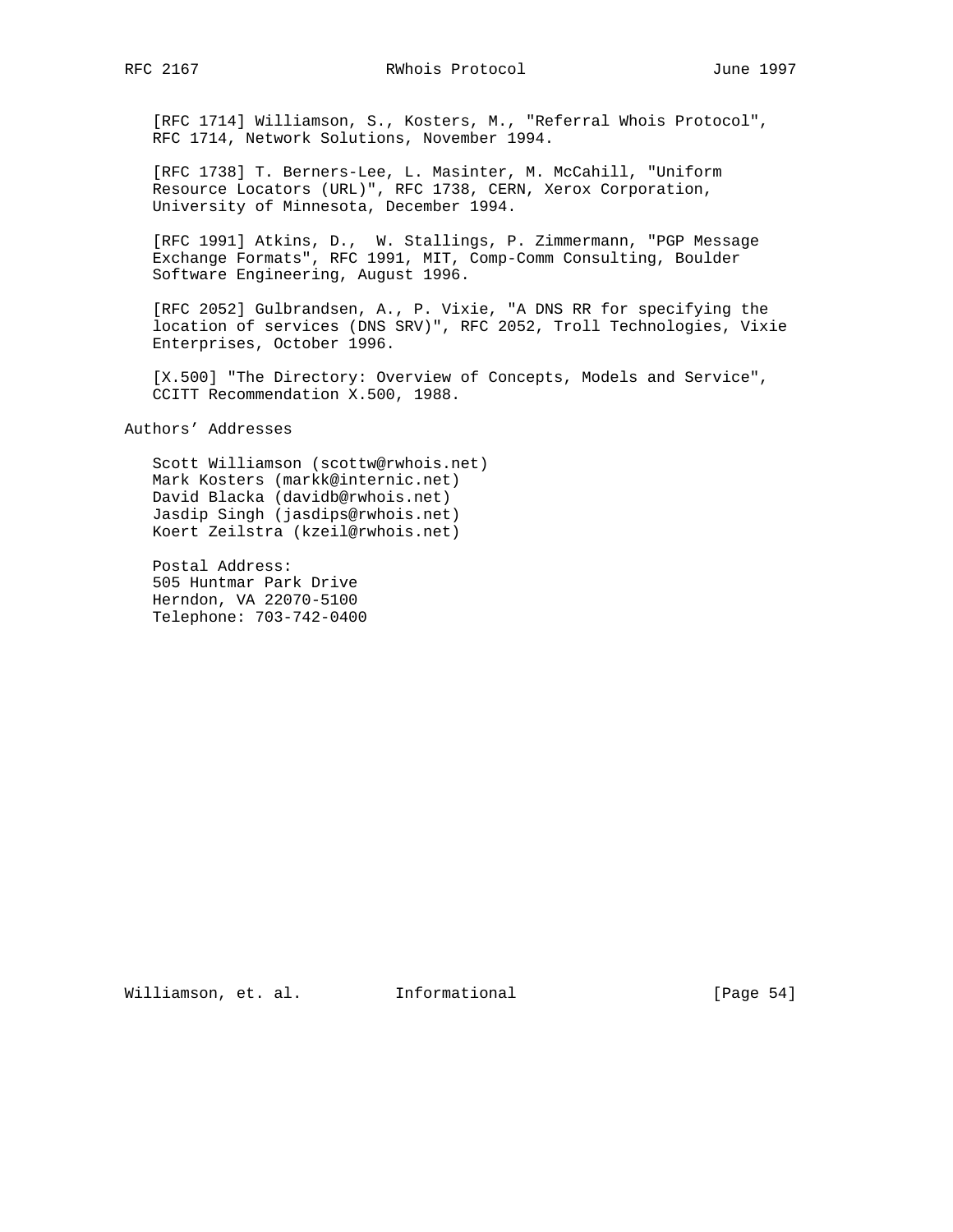RFC 2167 RWhois Protocol June 1997

 [RFC 1714] Williamson, S., Kosters, M., "Referral Whois Protocol", RFC 1714, Network Solutions, November 1994.

 [RFC 1738] T. Berners-Lee, L. Masinter, M. McCahill, "Uniform Resource Locators (URL)", RFC 1738, CERN, Xerox Corporation, University of Minnesota, December 1994.

 [RFC 1991] Atkins, D., W. Stallings, P. Zimmermann, "PGP Message Exchange Formats", RFC 1991, MIT, Comp-Comm Consulting, Boulder Software Engineering, August 1996.

 [RFC 2052] Gulbrandsen, A., P. Vixie, "A DNS RR for specifying the location of services (DNS SRV)", RFC 2052, Troll Technologies, Vixie Enterprises, October 1996.

 [X.500] "The Directory: Overview of Concepts, Models and Service", CCITT Recommendation X.500, 1988.

Authors' Addresses

 Scott Williamson (scottw@rwhois.net) Mark Kosters (markk@internic.net) David Blacka (davidb@rwhois.net) Jasdip Singh (jasdips@rwhois.net) Koert Zeilstra (kzeil@rwhois.net)

 Postal Address: 505 Huntmar Park Drive Herndon, VA 22070-5100 Telephone: 703-742-0400

Williamson, et. al. Informational [Page 54]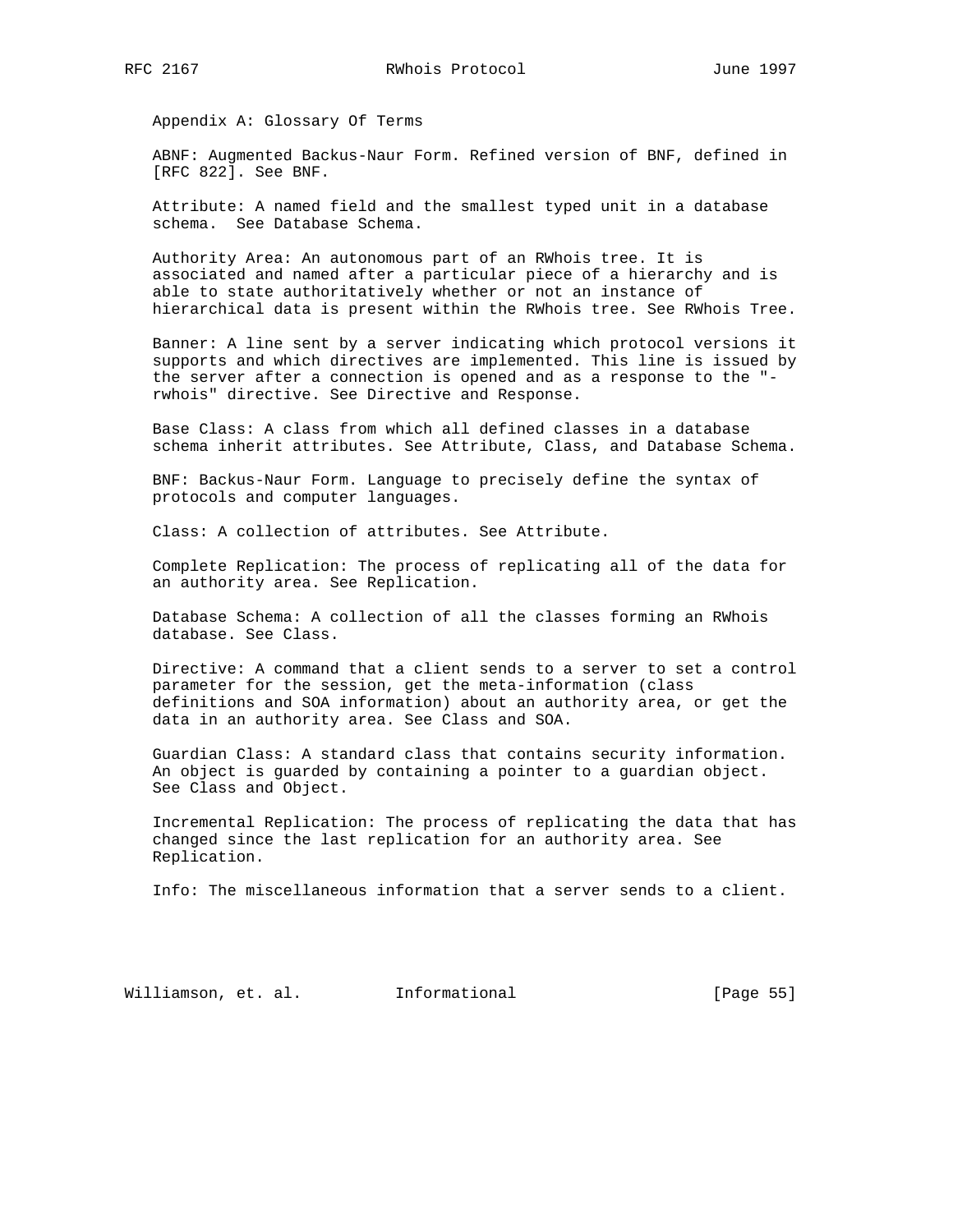Appendix A: Glossary Of Terms

 ABNF: Augmented Backus-Naur Form. Refined version of BNF, defined in [RFC 822]. See BNF.

 Attribute: A named field and the smallest typed unit in a database schema. See Database Schema.

 Authority Area: An autonomous part of an RWhois tree. It is associated and named after a particular piece of a hierarchy and is able to state authoritatively whether or not an instance of hierarchical data is present within the RWhois tree. See RWhois Tree.

 Banner: A line sent by a server indicating which protocol versions it supports and which directives are implemented. This line is issued by the server after a connection is opened and as a response to the " rwhois" directive. See Directive and Response.

 Base Class: A class from which all defined classes in a database schema inherit attributes. See Attribute, Class, and Database Schema.

 BNF: Backus-Naur Form. Language to precisely define the syntax of protocols and computer languages.

Class: A collection of attributes. See Attribute.

 Complete Replication: The process of replicating all of the data for an authority area. See Replication.

 Database Schema: A collection of all the classes forming an RWhois database. See Class.

 Directive: A command that a client sends to a server to set a control parameter for the session, get the meta-information (class definitions and SOA information) about an authority area, or get the data in an authority area. See Class and SOA.

 Guardian Class: A standard class that contains security information. An object is guarded by containing a pointer to a guardian object. See Class and Object.

 Incremental Replication: The process of replicating the data that has changed since the last replication for an authority area. See Replication.

Info: The miscellaneous information that a server sends to a client.

Williamson, et. al. Informational [Page 55]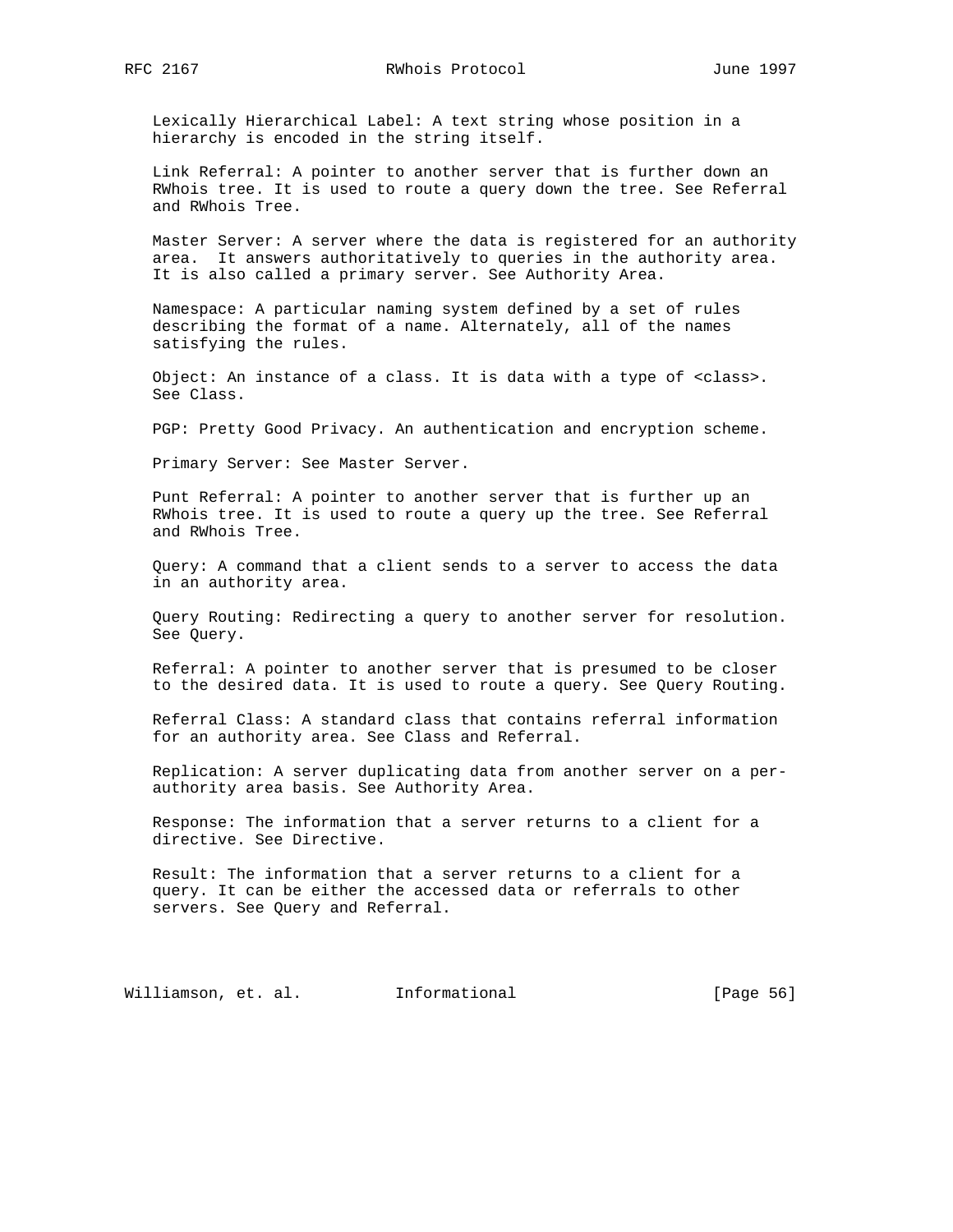Lexically Hierarchical Label: A text string whose position in a hierarchy is encoded in the string itself.

 Link Referral: A pointer to another server that is further down an RWhois tree. It is used to route a query down the tree. See Referral and RWhois Tree.

 Master Server: A server where the data is registered for an authority area. It answers authoritatively to queries in the authority area. It is also called a primary server. See Authority Area.

 Namespace: A particular naming system defined by a set of rules describing the format of a name. Alternately, all of the names satisfying the rules.

 Object: An instance of a class. It is data with a type of <class>. See Class.

PGP: Pretty Good Privacy. An authentication and encryption scheme.

Primary Server: See Master Server.

 Punt Referral: A pointer to another server that is further up an RWhois tree. It is used to route a query up the tree. See Referral and RWhois Tree.

 Query: A command that a client sends to a server to access the data in an authority area.

 Query Routing: Redirecting a query to another server for resolution. See Query.

 Referral: A pointer to another server that is presumed to be closer to the desired data. It is used to route a query. See Query Routing.

 Referral Class: A standard class that contains referral information for an authority area. See Class and Referral.

 Replication: A server duplicating data from another server on a per authority area basis. See Authority Area.

 Response: The information that a server returns to a client for a directive. See Directive.

 Result: The information that a server returns to a client for a query. It can be either the accessed data or referrals to other servers. See Query and Referral.

Williamson, et. al. Informational [Page 56]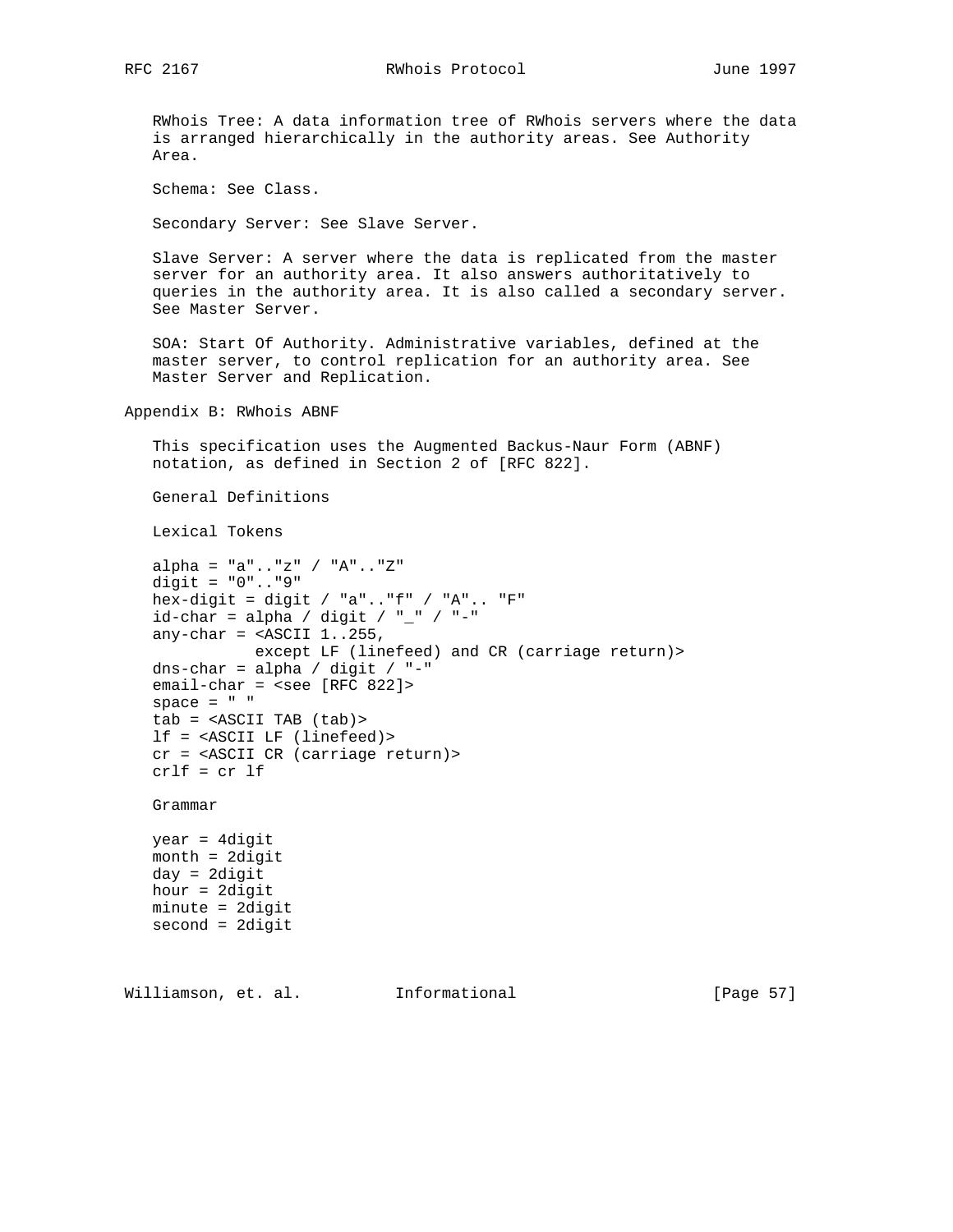RWhois Tree: A data information tree of RWhois servers where the data is arranged hierarchically in the authority areas. See Authority Area.

Schema: See Class.

Secondary Server: See Slave Server.

 Slave Server: A server where the data is replicated from the master server for an authority area. It also answers authoritatively to queries in the authority area. It is also called a secondary server. See Master Server.

 SOA: Start Of Authority. Administrative variables, defined at the master server, to control replication for an authority area. See Master Server and Replication.

Appendix B: RWhois ABNF

 This specification uses the Augmented Backus-Naur Form (ABNF) notation, as defined in Section 2 of [RFC 822].

General Definitions

Lexical Tokens

```
 alpha = "a".."z" / "A".."Z"
 digit = "0".."9"
 hex-digit = digit / "a".."f" / "A".. "F"
id-char = alpha / digit / "_" / "-"
any-char = <ASCII 1..255,
           except LF (linefeed) and CR (carriage return)>
dns-char = alpha / digit / "-"
 email-char = <see [RFC 822]>
space = " " tab = <ASCII TAB (tab)>
 lf = <ASCII LF (linefeed)>
 cr = <ASCII CR (carriage return)>
 crlf = cr lf
```
Grammar

 year = 4digit month = 2digit day = 2digit hour = 2digit minute = 2digit second = 2digit

Williamson, et. al. Informational [Page 57]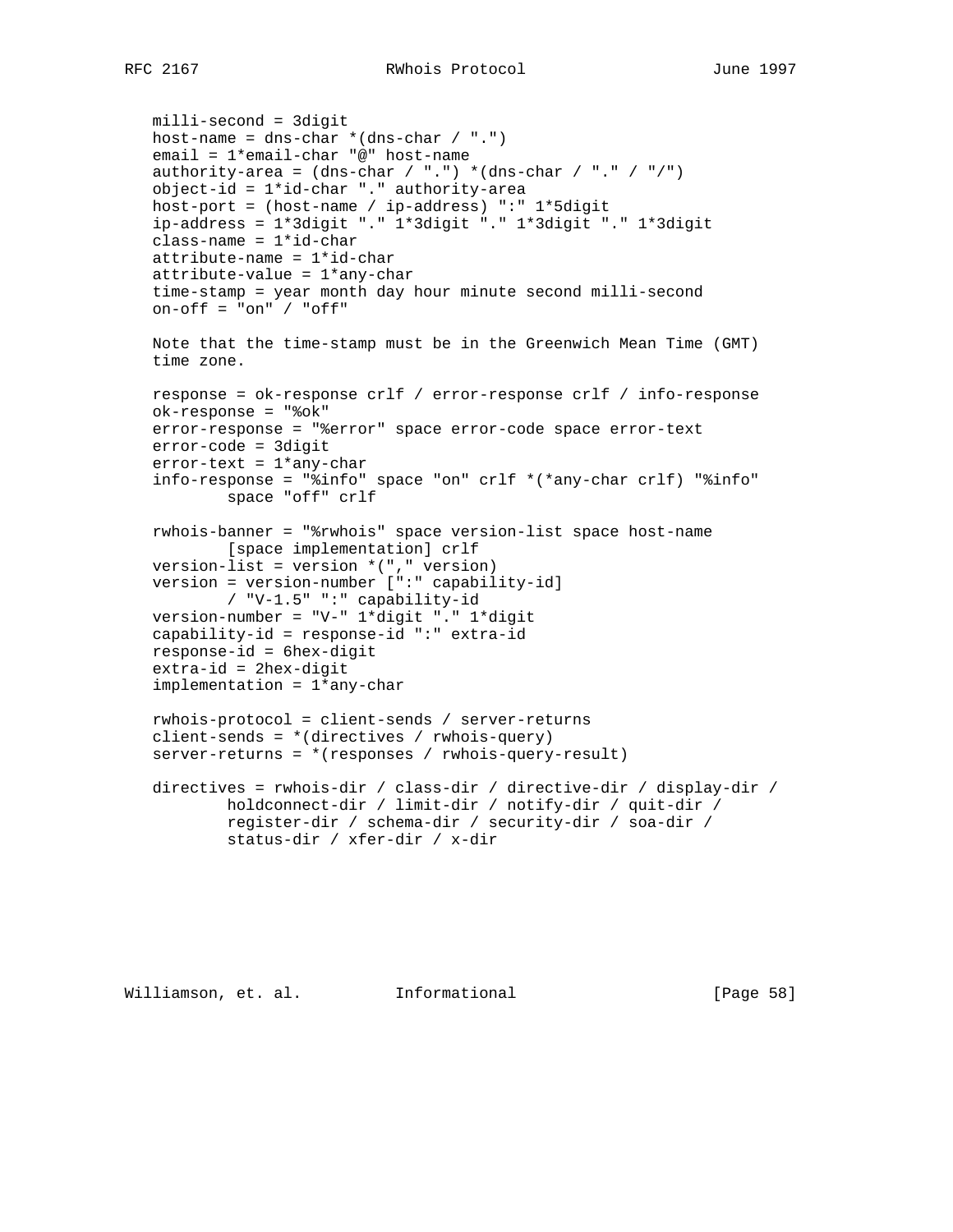milli-second = 3digit host-name = dns-char  $*(\text{Ans-char } / " .")$  email = 1\*email-char "@" host-name authority-area =  $(dns-char / "."') * (dns-char / "." / "/")$  object-id = 1\*id-char "." authority-area host-port = (host-name / ip-address) ":" 1\*5digit ip-address = 1\*3digit "." 1\*3digit "." 1\*3digit "." 1\*3digit  $class$ -name =  $1*id$ -char attribute-name = 1\*id-char attribute-value = 1\*any-char time-stamp = year month day hour minute second milli-second on-off = "on" / "off" Note that the time-stamp must be in the Greenwich Mean Time (GMT) time zone. response = ok-response crlf / error-response crlf / info-response ok-response = "%ok" error-response = "%error" space error-code space error-text error-code = 3digit  $error-text = 1*any-char$  info-response = "%info" space "on" crlf \*(\*any-char crlf) "%info" space "off" crlf rwhois-banner = "%rwhois" space version-list space host-name [space implementation] crlf version-list = version  $*(", "$  version) version = version-number [":" capability-id] / "V-1.5" ":" capability-id version-number = "V-" 1\*digit "." 1\*digit capability-id = response-id ":" extra-id response-id = 6hex-digit extra-id = 2hex-digit implementation = 1\*any-char rwhois-protocol = client-sends / server-returns client-sends = \*(directives / rwhois-query) server-returns = \*(responses / rwhois-query-result) directives = rwhois-dir / class-dir / directive-dir / display-dir / holdconnect-dir / limit-dir / notify-dir / quit-dir / register-dir / schema-dir / security-dir / soa-dir / status-dir / xfer-dir / x-dir

Williamson, et. al. Informational [Page 58]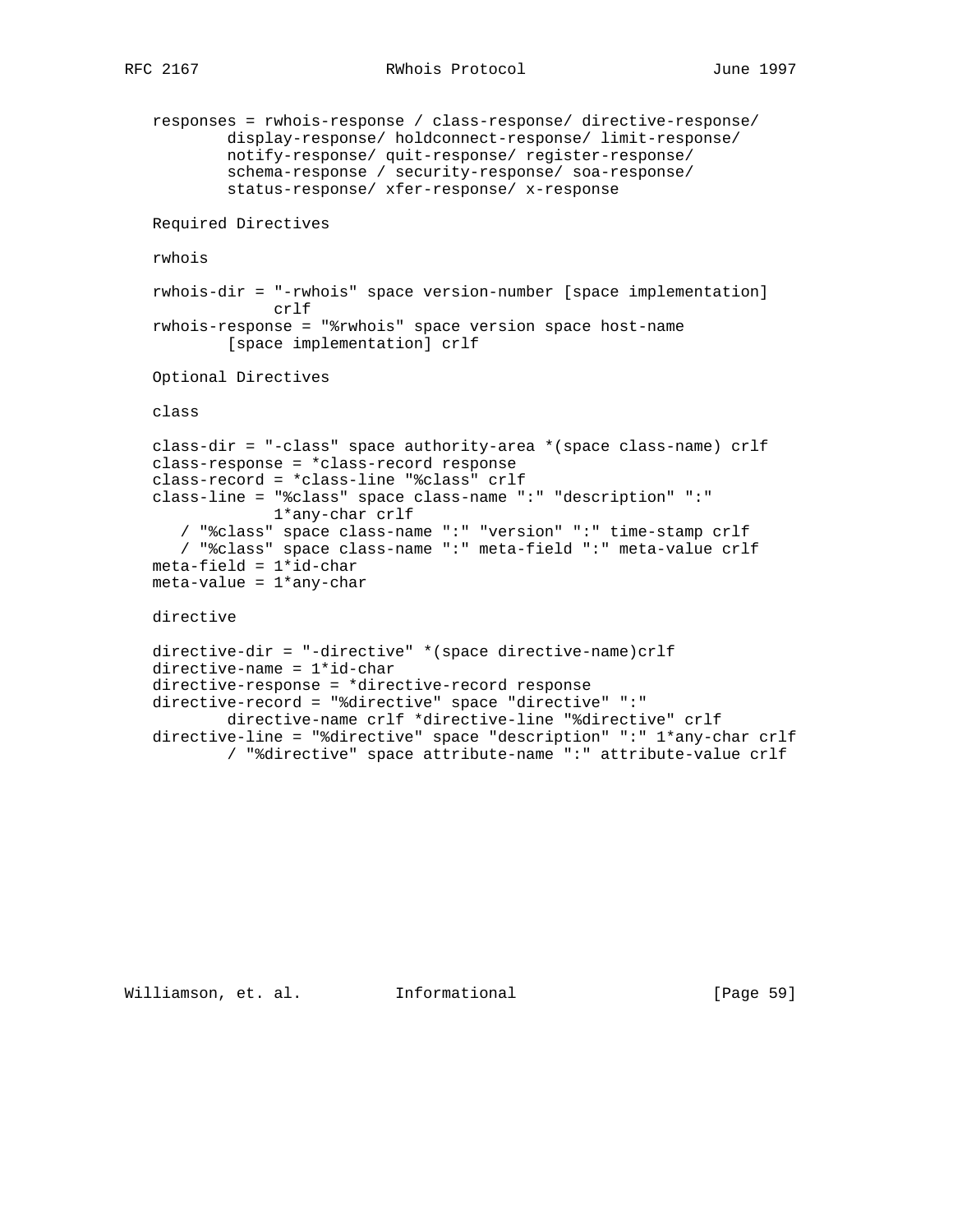```
 responses = rwhois-response / class-response/ directive-response/
         display-response/ holdconnect-response/ limit-response/
         notify-response/ quit-response/ register-response/
         schema-response / security-response/ soa-response/
         status-response/ xfer-response/ x-response
 Required Directives
 rwhois
 rwhois-dir = "-rwhois" space version-number [space implementation]
             crlf
 rwhois-response = "%rwhois" space version space host-name
        [space implementation] crlf
 Optional Directives
 class
 class-dir = "-class" space authority-area *(space class-name) crlf
 class-response = *class-record response
 class-record = *class-line "%class" crlf
 class-line = "%class" space class-name ":" "description" ":"
             1*any-char crlf
    / "%class" space class-name ":" "version" ":" time-stamp crlf
    / "%class" space class-name ":" meta-field ":" meta-value crlf
meta-field = 1*id-char meta-value = 1*any-char
 directive
 directive-dir = "-directive" *(space directive-name)crlf
 directive-name = 1*id-char
 directive-response = *directive-record response
 directive-record = "%directive" space "directive" ":"
         directive-name crlf *directive-line "%directive" crlf
 directive-line = "%directive" space "description" ":" 1*any-char crlf
         / "%directive" space attribute-name ":" attribute-value crlf
```
Williamson, et. al. Informational [Page 59]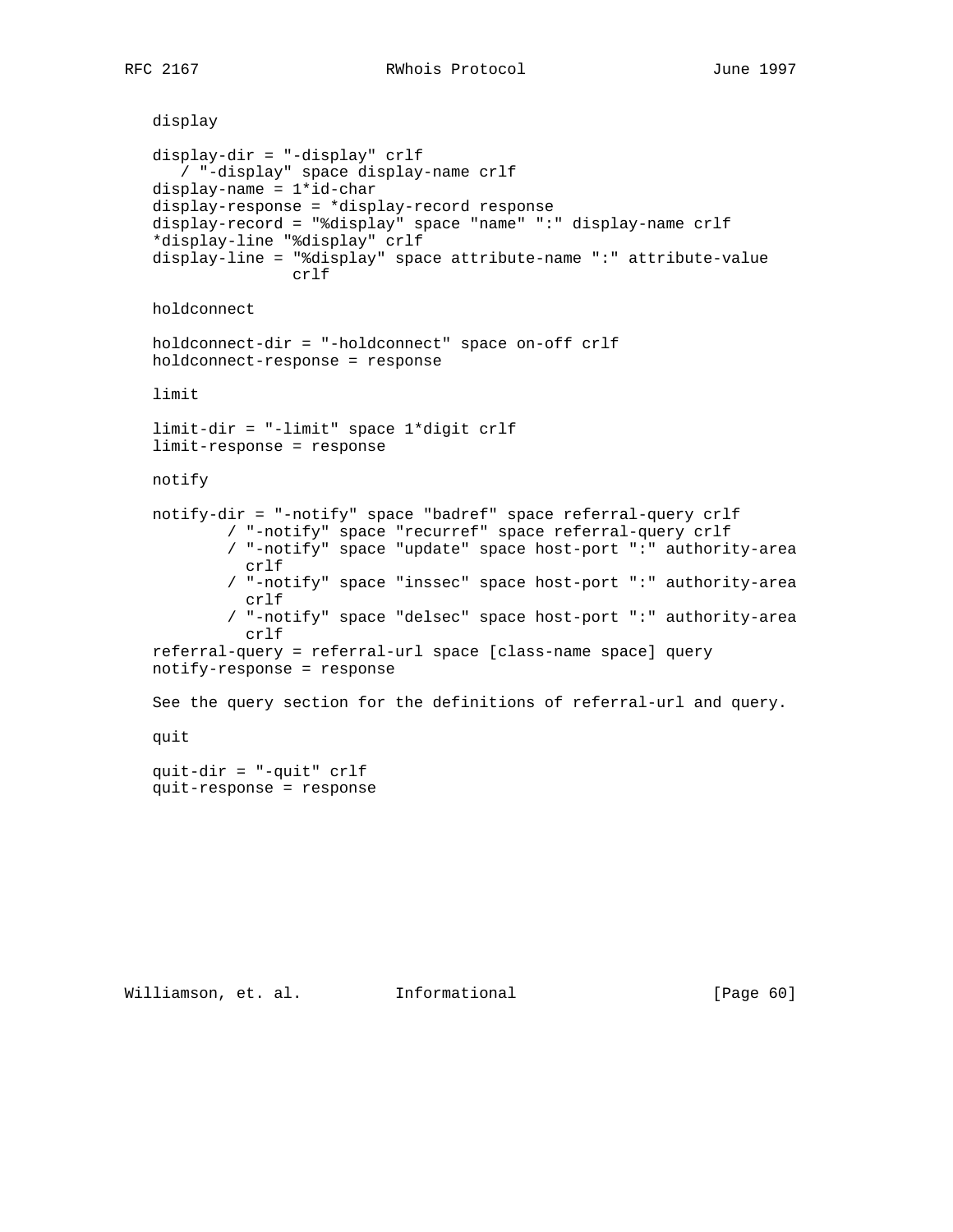```
 display
 display-dir = "-display" crlf
    / "-display" space display-name crlf
 display-name = 1*id-char
 display-response = *display-record response
 display-record = "%display" space "name" ":" display-name crlf
 *display-line "%display" crlf
 display-line = "%display" space attribute-name ":" attribute-value
                crlf
 holdconnect
 holdconnect-dir = "-holdconnect" space on-off crlf
 holdconnect-response = response
 limit
 limit-dir = "-limit" space 1*digit crlf
 limit-response = response
 notify
 notify-dir = "-notify" space "badref" space referral-query crlf
         / "-notify" space "recurref" space referral-query crlf
         / "-notify" space "update" space host-port ":" authority-area
           crlf
         / "-notify" space "inssec" space host-port ":" authority-area
           crlf
         / "-notify" space "delsec" space host-port ":" authority-area
           crlf
 referral-query = referral-url space [class-name space] query
 notify-response = response
 See the query section for the definitions of referral-url and query.
 quit
 quit-dir = "-quit" crlf
 quit-response = response
```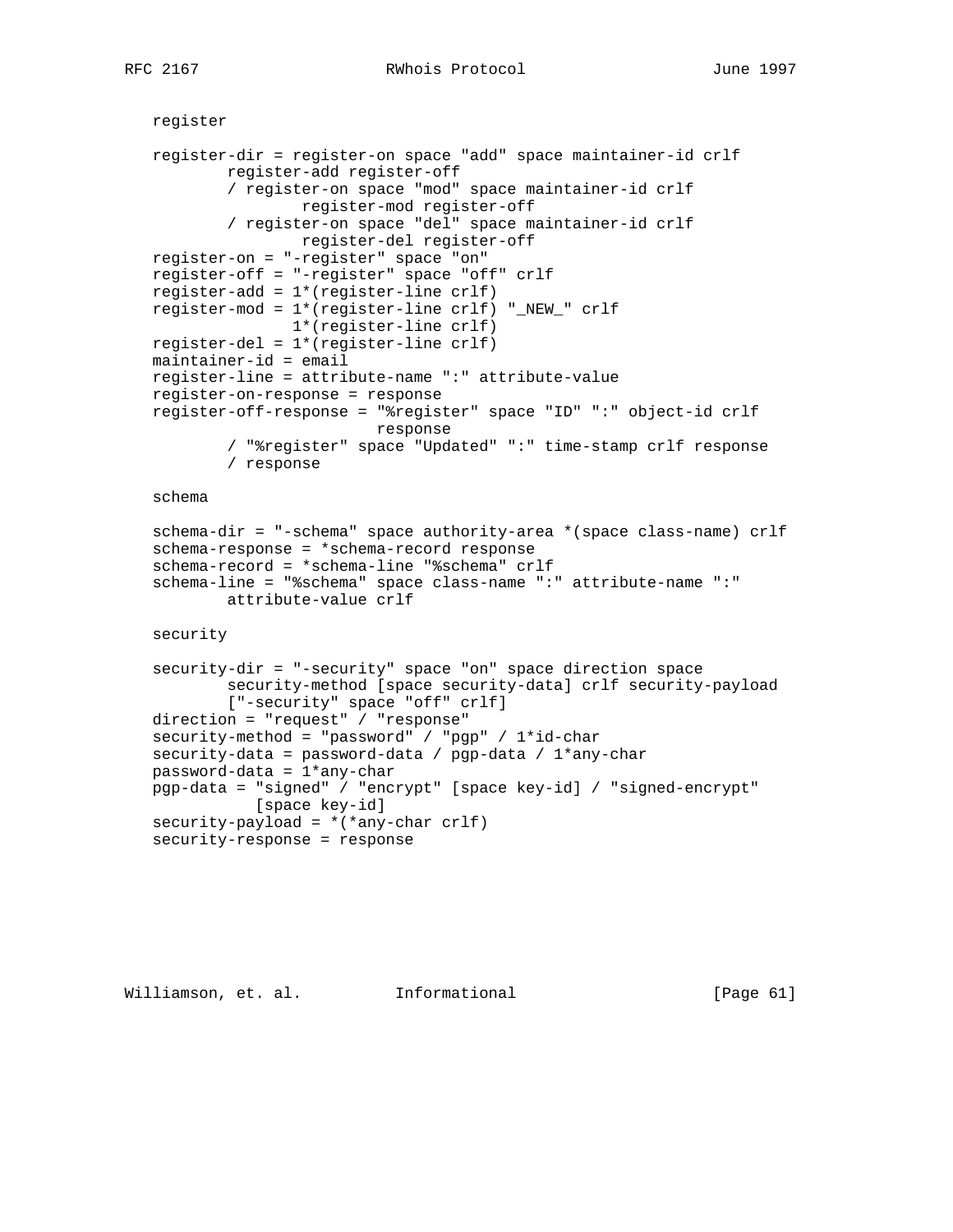```
 register
 register-dir = register-on space "add" space maintainer-id crlf
         register-add register-off
         / register-on space "mod" space maintainer-id crlf
                 register-mod register-off
         / register-on space "del" space maintainer-id crlf
                register-del register-off
 register-on = "-register" space "on"
 register-off = "-register" space "off" crlf
 register-add = 1*(register-line crlf)
 register-mod = 1*(register-line crlf) "_NEW_" crlf
                1*(register-line crlf)
 register-del = 1*(register-line crlf)
 maintainer-id = email
 register-line = attribute-name ":" attribute-value
 register-on-response = response
 register-off-response = "%register" space "ID" ":" object-id crlf
                         response
         / "%register" space "Updated" ":" time-stamp crlf response
         / response
```
schema

```
 schema-dir = "-schema" space authority-area *(space class-name) crlf
 schema-response = *schema-record response
 schema-record = *schema-line "%schema" crlf
 schema-line = "%schema" space class-name ":" attribute-name ":"
         attribute-value crlf
```
security

```
 security-dir = "-security" space "on" space direction space
         security-method [space security-data] crlf security-payload
         ["-security" space "off" crlf]
 direction = "request" / "response"
 security-method = "password" / "pgp" / 1*id-char
 security-data = password-data / pgp-data / 1*any-char
 password-data = 1*any-char
 pgp-data = "signed" / "encrypt" [space key-id] / "signed-encrypt"
           [space key-id]
security-payload = *(*any-char crlf) security-response = response
```
Williamson, et. al. Informational [Page 61]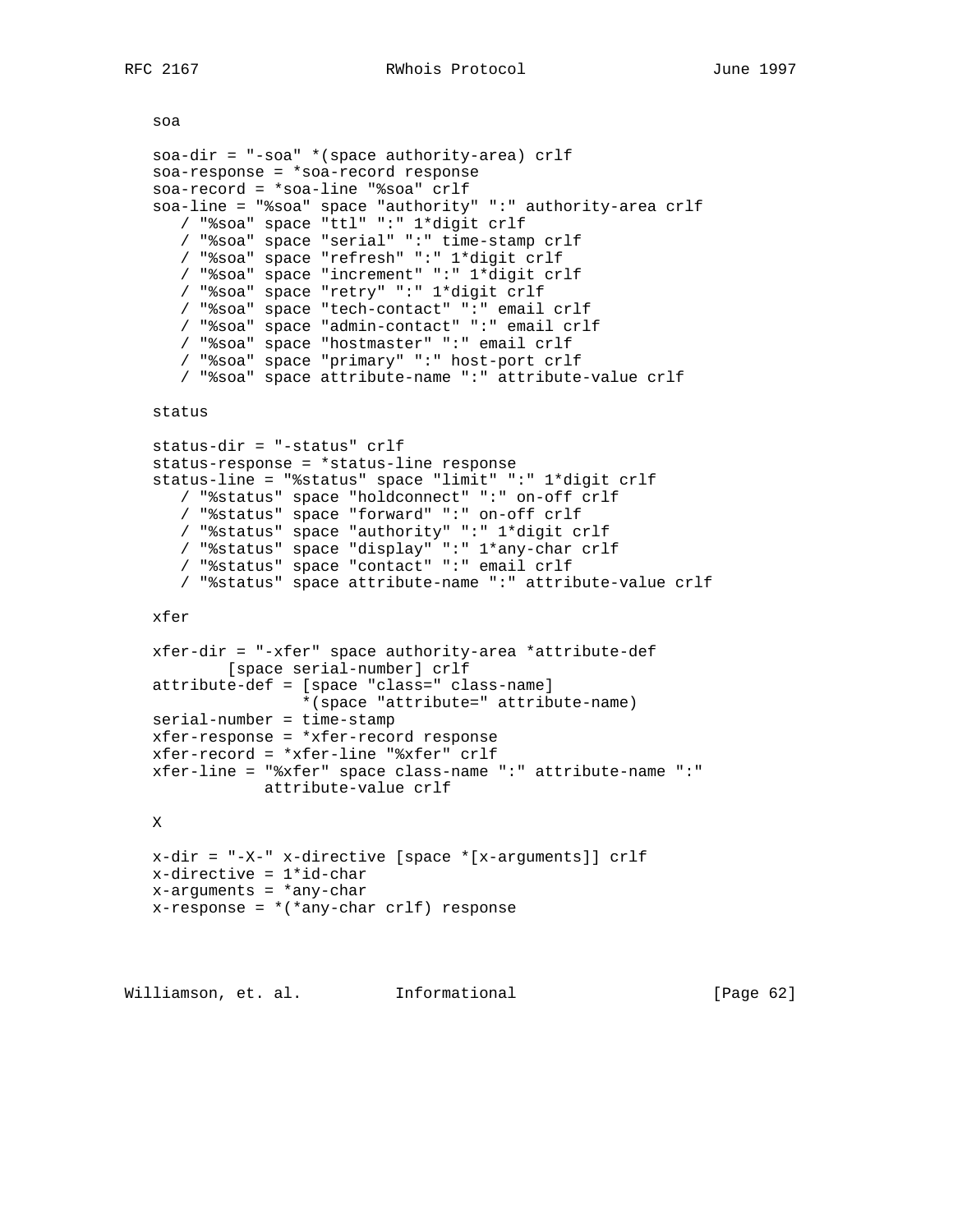```
 soa
    soa-dir = "-soa" *(space authority-area) crlf
    soa-response = *soa-record response
   soa-record = *soa-line "%soa" crlf
    soa-line = "%soa" space "authority" ":" authority-area crlf
      / "%soa" space "ttl" ":" 1*digit crlf
       / "%soa" space "serial" ":" time-stamp crlf
       / "%soa" space "refresh" ":" 1*digit crlf
       / "%soa" space "increment" ":" 1*digit crlf
       / "%soa" space "retry" ":" 1*digit crlf
       / "%soa" space "tech-contact" ":" email crlf
       / "%soa" space "admin-contact" ":" email crlf
       / "%soa" space "hostmaster" ":" email crlf
       / "%soa" space "primary" ":" host-port crlf
       / "%soa" space attribute-name ":" attribute-value crlf
   status
   status-dir = "-status" crlf
   status-response = *status-line response
    status-line = "%status" space "limit" ":" 1*digit crlf
      / "%status" space "holdconnect" ":" on-off crlf
       / "%status" space "forward" ":" on-off crlf
       / "%status" space "authority" ":" 1*digit crlf
 / "%status" space "display" ":" 1*any-char crlf
 / "%status" space "contact" ":" email crlf
       / "%status" space attribute-name ":" attribute-value crlf
   xfer
   xfer-dir = "-xfer" space authority-area *attribute-def
           [space serial-number] crlf
    attribute-def = [space "class=" class-name]
                   *(space "attribute=" attribute-name)
   serial-number = time-stamp
   xfer-response = *xfer-record response
   xfer-record = *xfer-line "%xfer" crlf
   xfer-line = "%xfer" space class-name ":" attribute-name ":"
               attribute-value crlf
   X
   x-dir = "-X-" x-directive [space *[x-arguments]] crlf
   x-directive = 1*id-char
  x-arguments = *any-char
  x-response = *(*any-char crlf) response
Williamson, et. al.     Informational           [Page 62]
```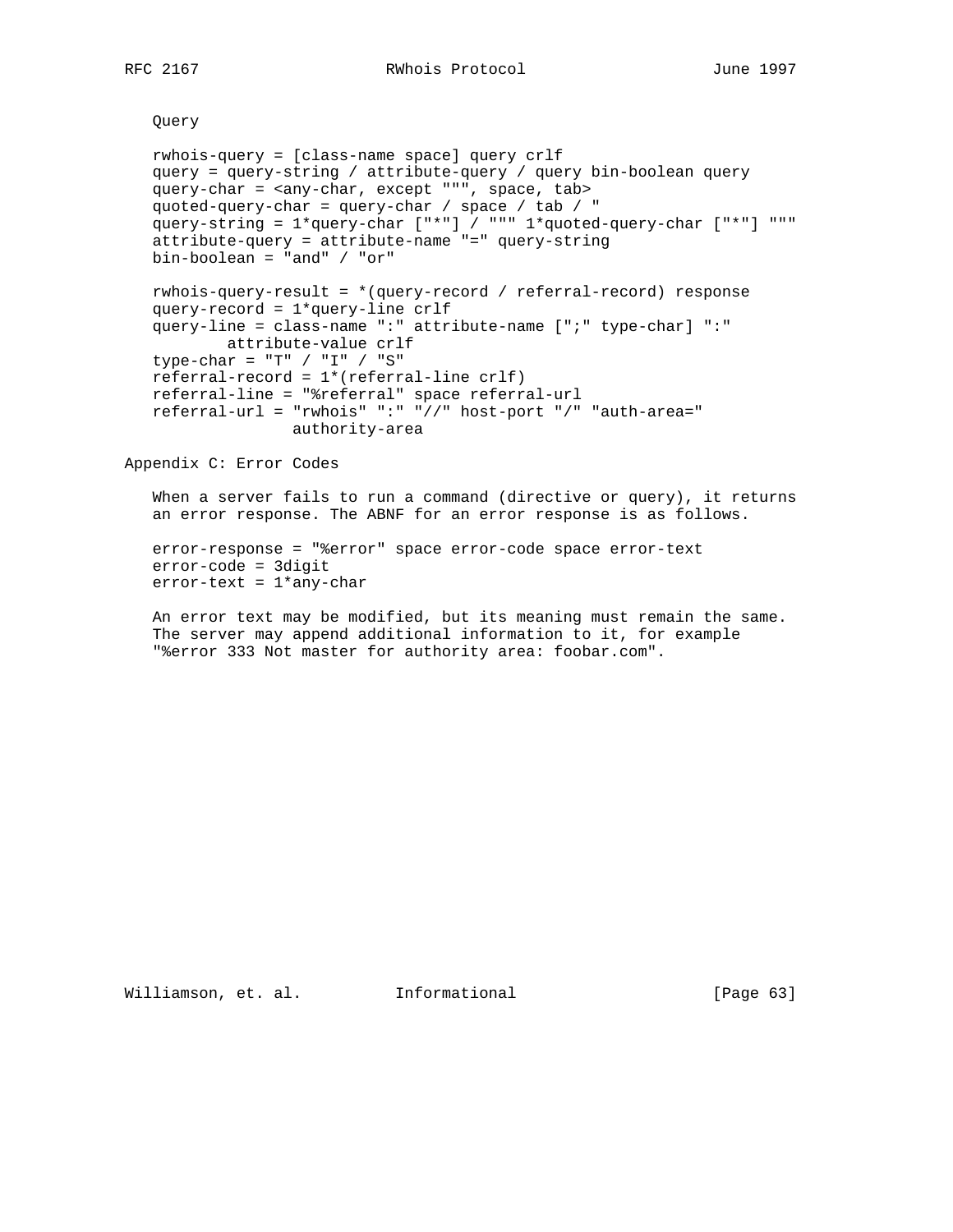Query

```
 rwhois-query = [class-name space] query crlf
    query = query-string / attribute-query / query bin-boolean query
    query-char = <any-char, except """, space, tab>
   quoted-query-char = query-char / space / tab / "
   query-string = 1*query-char ["*"] / """ 1*quoted-query-char ["*"] """
    attribute-query = attribute-name "=" query-string
   bin-boolean = "and" / "or"
   rwhois-query-result = *(query-record / referral-record) response
    query-record = 1*query-line crlf
    query-line = class-name ":" attribute-name [";" type-char] ":"
          attribute-value crlf
   type-char = "T" / "I" / "S" referral-record = 1*(referral-line crlf)
   referral-line = "%referral" space referral-url
   referral-url = "rwhois" ":" "//" host-port "/" "auth-area="
                  authority-area
Appendix C: Error Codes
```
 When a server fails to run a command (directive or query), it returns an error response. The ABNF for an error response is as follows.

```
 error-response = "%error" space error-code space error-text
 error-code = 3digit
 error-text = 1*any-char
```
 An error text may be modified, but its meaning must remain the same. The server may append additional information to it, for example "%error 333 Not master for authority area: foobar.com".

Williamson, et. al. Informational [Page 63]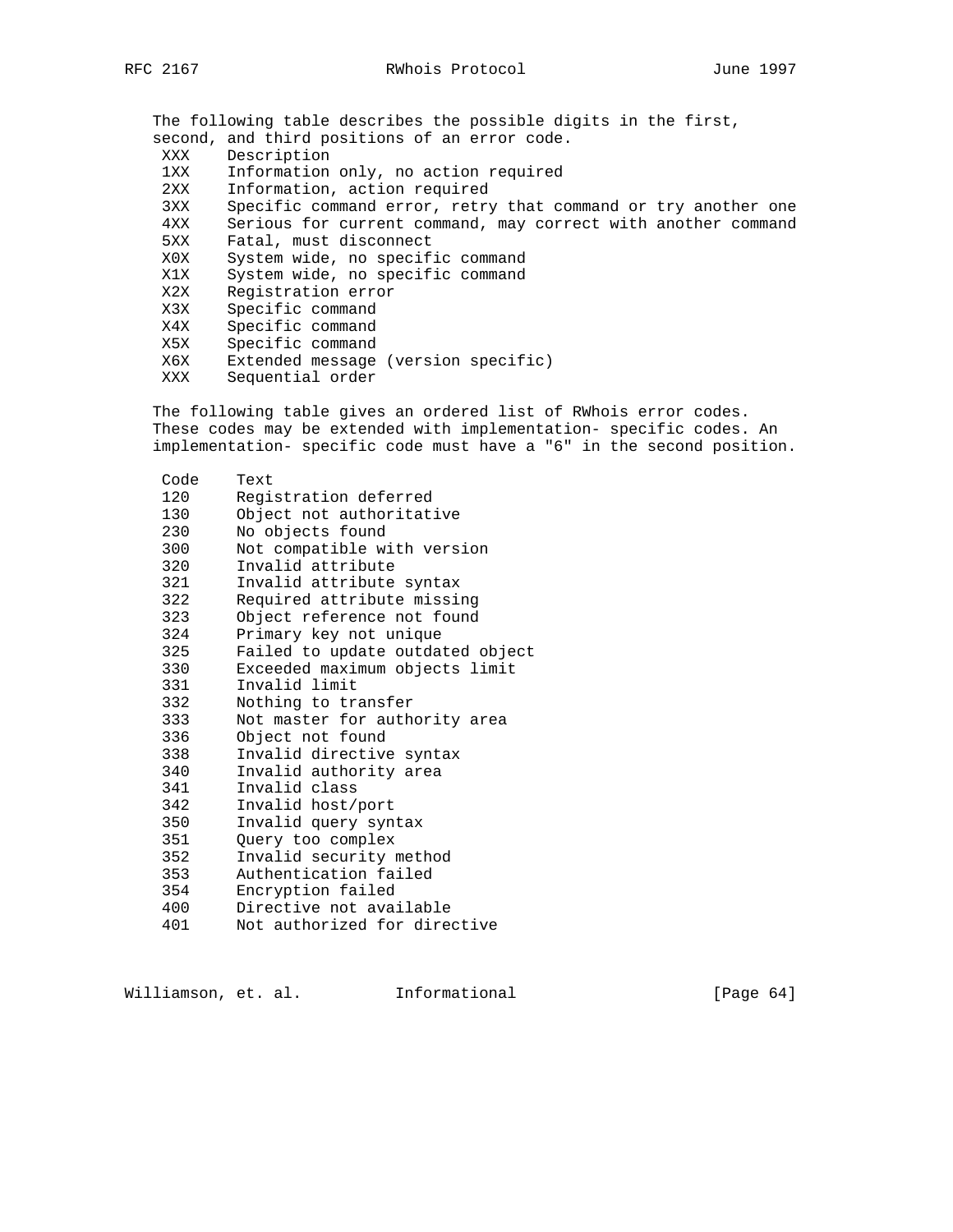The following table describes the possible digits in the first, second, and third positions of an error code. XXX Description 1XX Information only, no action required 2XX Information, action required 3XX Specific command error, retry that command or try another one 4XX Serious for current command, may correct with another command 5XX Fatal, must disconnect X0X System wide, no specific command X1X System wide, no specific command X2X Registration error X3X Specific command X4X Specific command<br>X5X Specific command X5X Specific command X6X Extended message (version specific) XXX Sequential order

 The following table gives an ordered list of RWhois error codes. These codes may be extended with implementation- specific codes. An implementation- specific code must have a "6" in the second position.

| Code | Text                             |
|------|----------------------------------|
| 120  | Registration deferred            |
| 130  | Object not authoritative         |
| 230  | No objects found                 |
| 300  | Not compatible with version      |
| 320  | Invalid attribute                |
| 321  | Invalid attribute syntax         |
| 322  | Required attribute missing       |
| 323  | Object reference not found       |
| 324  | Primary key not unique           |
| 325  | Failed to update outdated object |
| 330  | Exceeded maximum objects limit   |
| 331  | Invalid limit                    |
| 332  | Nothing to transfer              |
| 333  | Not master for authority area    |
| 336  | Object not found                 |
| 338  | Invalid directive syntax         |
| 340  | Invalid authority area           |
| 341  | Invalid class                    |
| 342  | Invalid host/port                |
| 350  | Invalid query syntax             |
| 351  | Query too complex                |
| 352  | Invalid security method          |
| 353  | Authentication failed            |
| 354  | Encryption failed                |
| 400  | Directive not available          |
| 401  | Not authorized for directive     |

Williamson, et. al. 1nformational [Page 64]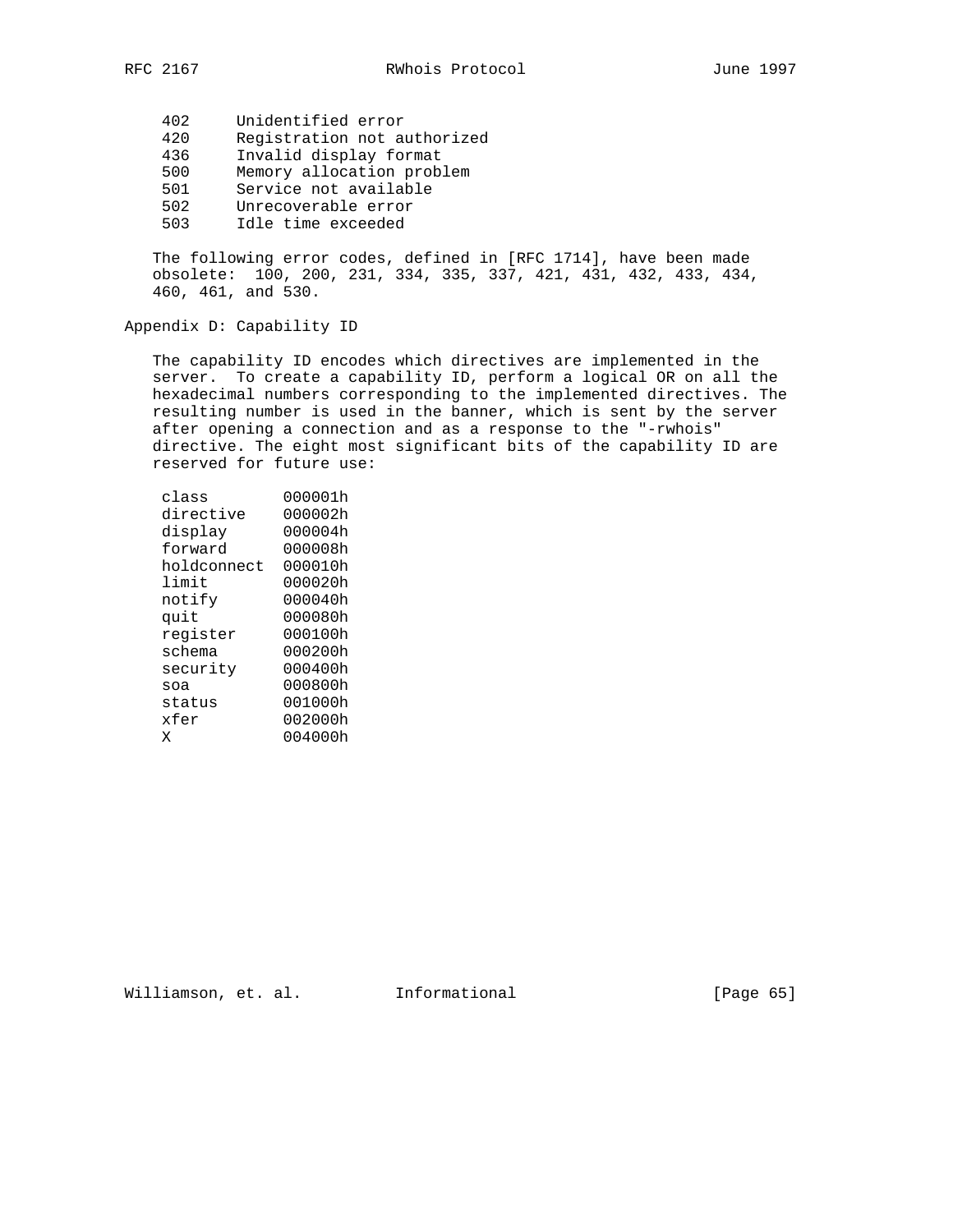- 420 Registration not authorized
- 436 Invalid display format
- 500 Memory allocation problem
- 501 Service not available
- 502 Unrecoverable error
	- 503 Idle time exceeded

 The following error codes, defined in [RFC 1714], have been made obsolete: 100, 200, 231, 334, 335, 337, 421, 431, 432, 433, 434, 460, 461, and 530.

## Appendix D: Capability ID

 The capability ID encodes which directives are implemented in the server. To create a capability ID, perform a logical OR on all the hexadecimal numbers corresponding to the implemented directives. The resulting number is used in the banner, which is sent by the server after opening a connection and as a response to the "-rwhois" directive. The eight most significant bits of the capability ID are reserved for future use:

| class       | 000001h |
|-------------|---------|
| directive   | 000002h |
| display     | 000004h |
| forward     | 000008h |
| holdconnect | 000010h |
| limit       | 000020h |
| notify      | 000040h |
| quit        | 000080h |
| register    | 000100h |
| schema      | 000200h |
| security    | 000400h |
| soa         | 000800h |
| status      | 001000h |
| xfer        | 002000h |
| Χ           | 004000h |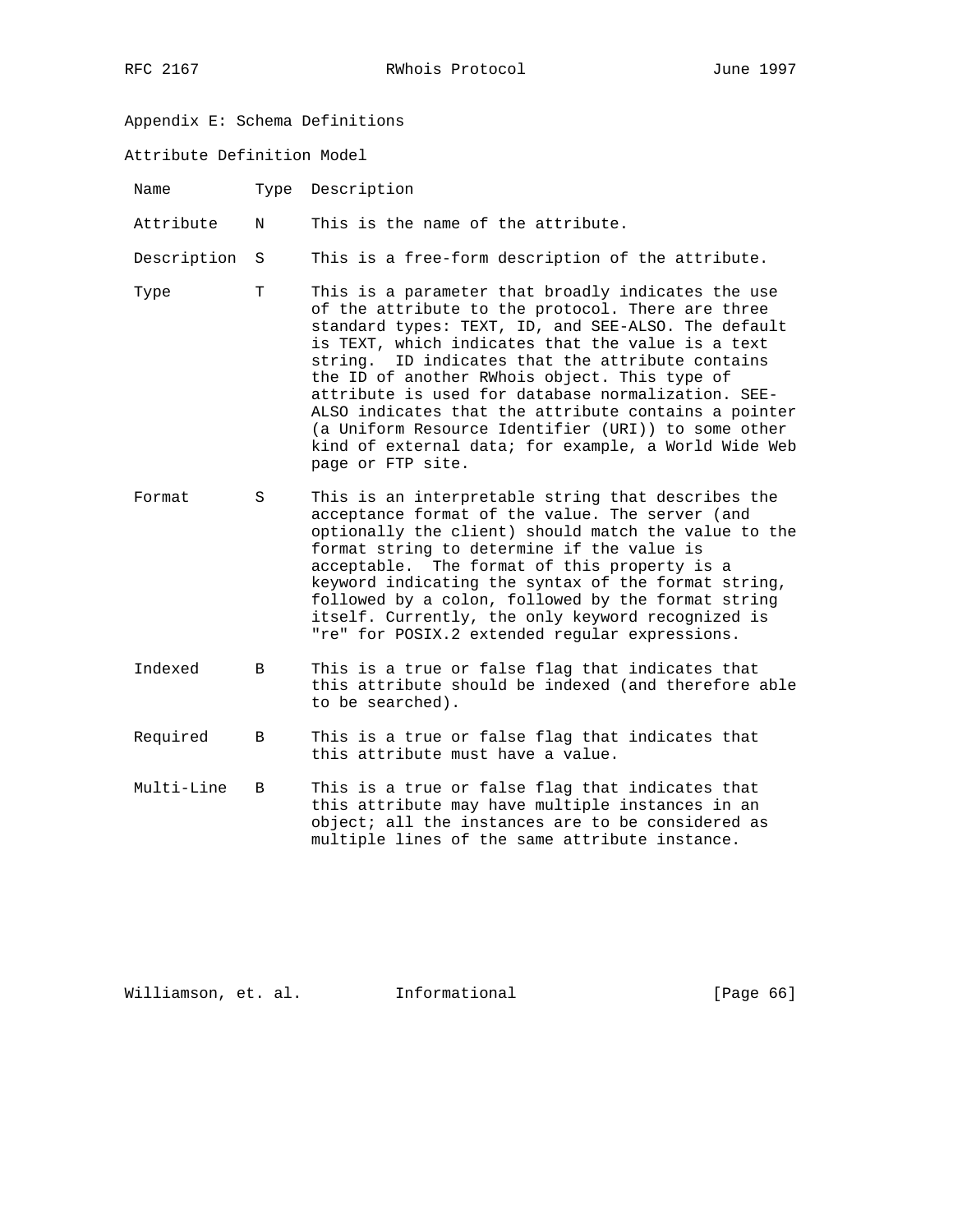- Appendix E: Schema Definitions
- Attribute Definition Model

| Name |  | Type Description |
|------|--|------------------|
|------|--|------------------|

Attribute N This is the name of the attribute.

Description S This is a free-form description of the attribute.

- Type T This is a parameter that broadly indicates the use of the attribute to the protocol. There are three standard types: TEXT, ID, and SEE-ALSO. The default is TEXT, which indicates that the value is a text string. ID indicates that the attribute contains the ID of another RWhois object. This type of attribute is used for database normalization. SEE- ALSO indicates that the attribute contains a pointer (a Uniform Resource Identifier (URI)) to some other kind of external data; for example, a World Wide Web page or FTP site.
- Format S This is an interpretable string that describes the acceptance format of the value. The server (and optionally the client) should match the value to the format string to determine if the value is acceptable. The format of this property is a keyword indicating the syntax of the format string, followed by a colon, followed by the format string itself. Currently, the only keyword recognized is "re" for POSIX.2 extended regular expressions.
- Indexed B This is a true or false flag that indicates that this attribute should be indexed (and therefore able to be searched).
- Required B This is a true or false flag that indicates that this attribute must have a value.
- Multi-Line B This is a true or false flag that indicates that this attribute may have multiple instances in an object; all the instances are to be considered as multiple lines of the same attribute instance.

Williamson, et. al. Informational [Page 66]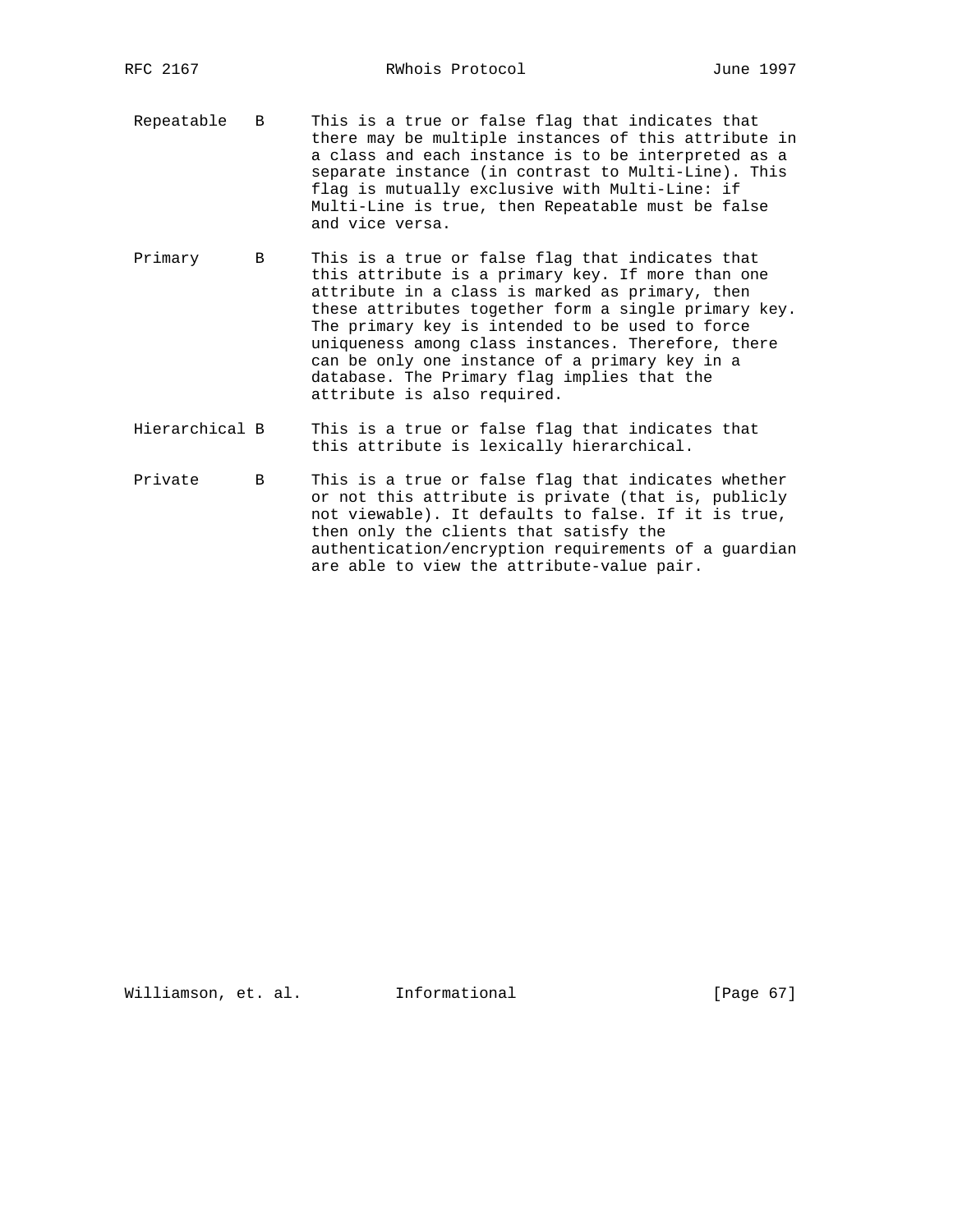- Repeatable B This is a true or false flag that indicates that there may be multiple instances of this attribute in a class and each instance is to be interpreted as a separate instance (in contrast to Multi-Line). This flag is mutually exclusive with Multi-Line: if Multi-Line is true, then Repeatable must be false and vice versa.
- Primary B This is a true or false flag that indicates that this attribute is a primary key. If more than one attribute in a class is marked as primary, then these attributes together form a single primary key. The primary key is intended to be used to force uniqueness among class instances. Therefore, there can be only one instance of a primary key in a database. The Primary flag implies that the attribute is also required.
- Hierarchical B This is a true or false flag that indicates that this attribute is lexically hierarchical.
- Private B This is a true or false flag that indicates whether or not this attribute is private (that is, publicly not viewable). It defaults to false. If it is true, then only the clients that satisfy the authentication/encryption requirements of a guardian are able to view the attribute-value pair.

Williamson, et. al. Informational [Page 67]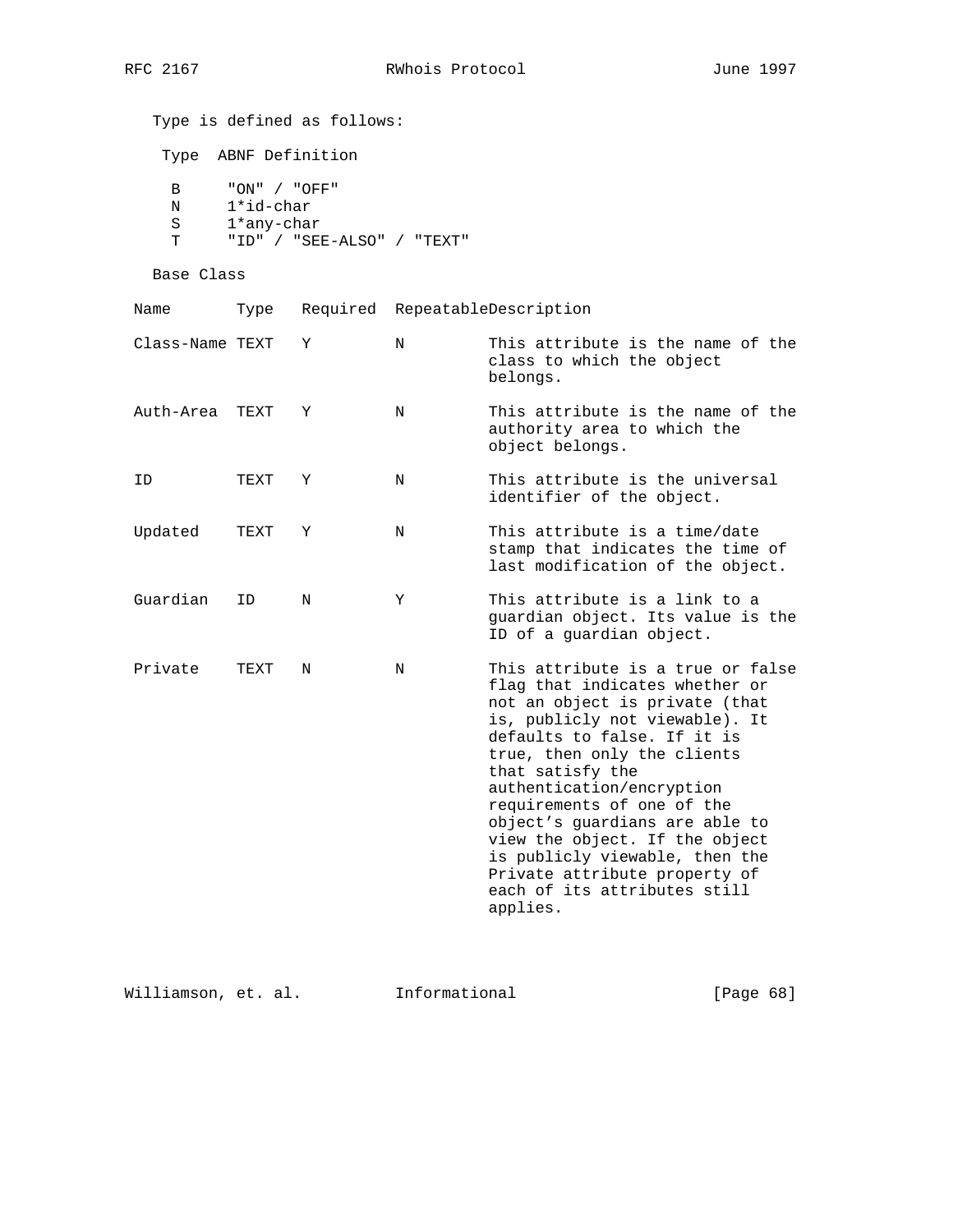Type is defined as follows: Type ABNF Definition B "ON" / "OFF" N 1\*id-char S 1\*any-char T "ID" / "SEE-ALSO" / "TEXT" Base Class Name Type Required RepeatableDescription Class-Name TEXT Y N This attribute is the name of the class to which the object belongs. Auth-Area TEXT Y N This attribute is the name of the authority area to which the object belongs. ID TEXT Y N This attribute is the universal identifier of the object. Updated TEXT Y N This attribute is a time/date stamp that indicates the time of last modification of the object. Guardian ID N Y This attribute is a link to a guardian object. Its value is the ID of a guardian object. Private TEXT N N This attribute is a true or false flag that indicates whether or not an object is private (that is, publicly not viewable). It defaults to false. If it is true, then only the clients that satisfy the authentication/encryption requirements of one of the object's guardians are able to view the object. If the object is publicly viewable, then the Private attribute property of each of its attributes still applies.

Williamson, et. al. Informational [Page 68]